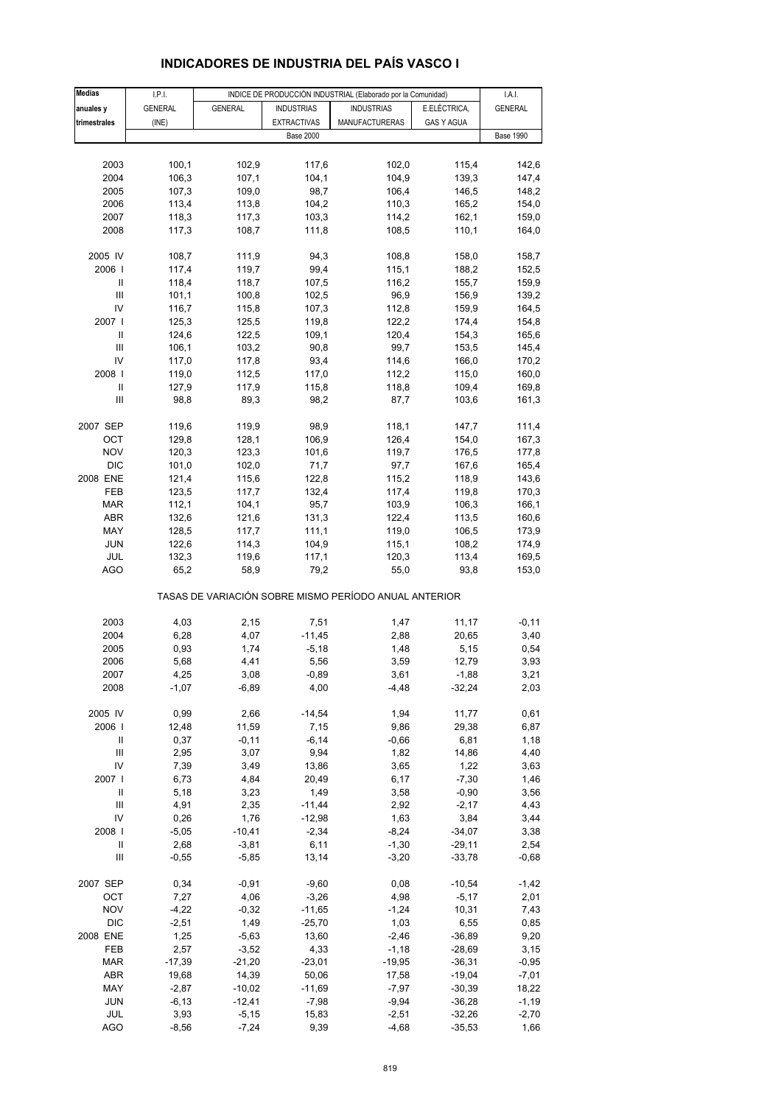| <b>Medias</b>  | I.P.I.         |                |                    | INDICE DE PRODUCCIÓN INDUSTRIAL (Elaborado por la Comunidad) |                   | I.A.I.           |
|----------------|----------------|----------------|--------------------|--------------------------------------------------------------|-------------------|------------------|
|                |                | <b>GENERAL</b> |                    | <b>INDUSTRIAS</b>                                            |                   |                  |
| anuales y      | <b>GENERAL</b> |                | <b>INDUSTRIAS</b>  |                                                              | E.ELÉCTRICA,      | <b>GENERAL</b>   |
| trimestrales   | (INE)          |                | <b>EXTRACTIVAS</b> | MANUFACTURERAS                                               | <b>GAS Y AGUA</b> |                  |
|                |                |                | <b>Base 2000</b>   |                                                              |                   | <b>Base 1990</b> |
|                |                |                |                    |                                                              |                   |                  |
| 2003           | 100,1          | 102,9          | 117,6              | 102,0                                                        | 115,4             | 142,6            |
| 2004           | 106,3          | 107,1          | 104,1              | 104,9                                                        | 139,3             | 147,4            |
| 2005           | 107,3          | 109,0          | 98,7               | 106,4                                                        | 146,5             | 148,2            |
| 2006           | 113,4          | 113,8          | 104,2              | 110,3                                                        | 165,2             | 154,0            |
| 2007           | 118,3          | 117,3          | 103,3              | 114,2                                                        | 162,1             | 159,0            |
| 2008           | 117,3          | 108,7          | 111,8              | 108,5                                                        | 110,1             | 164,0            |
|                |                |                |                    |                                                              |                   |                  |
| 2005 IV        | 108,7          | 111,9          | 94,3               | 108,8                                                        | 158,0             | 158,7            |
| 2006           | 117,4          | 119,7          | 99,4               | 115,1                                                        | 188,2             | 152,5            |
| Ш              |                |                |                    |                                                              |                   |                  |
|                | 118,4          | 118,7          | 107,5              | 116,2                                                        | 155,7             | 159,9            |
| Ш              | 101,1          | 100,8          | 102,5              | 96,9                                                         | 156,9             | 139,2            |
| IV             | 116,7          | 115,8          | 107,3              | 112,8                                                        | 159,9             | 164,5            |
| 2007 l         | 125,3          | 125,5          | 119,8              | 122,2                                                        | 174,4             | 154,8            |
| Ш              | 124,6          | 122,5          | 109,1              | 120,4                                                        | 154,3             | 165,6            |
| Ш              | 106,1          | 103,2          | 90,8               | 99,7                                                         | 153,5             | 145,4            |
| IV             | 117,0          | 117,8          | 93,4               | 114,6                                                        | 166,0             | 170,2            |
| 2008           | 119,0          | 112,5          | 117,0              | 112,2                                                        | 115,0             | 160,0            |
| Ш              | 127,9          | 117,9          | 115,8              | 118,8                                                        | 109,4             | 169,8            |
| Ш              | 98,8           | 89,3           | 98,2               | 87,7                                                         | 103,6             | 161,3            |
|                |                |                |                    |                                                              |                   |                  |
| 2007 SEP       | 119,6          | 119,9          | 98,9               | 118,1                                                        | 147,7             | 111,4            |
| OCT            | 129,8          | 128,1          | 106,9              | 126,4                                                        | 154,0             | 167,3            |
| <b>NOV</b>     | 120,3          | 123,3          | 101,6              | 119,7                                                        | 176,5             | 177,8            |
| <b>DIC</b>     | 101,0          | 102,0          | 71,7               | 97,7                                                         | 167,6             | 165,4            |
|                |                |                |                    |                                                              |                   |                  |
| 2008 ENE       | 121,4          | 115,6          | 122,8              | 115,2                                                        | 118,9             | 143,6            |
| FEB            | 123,5          | 117,7          | 132,4              | 117,4                                                        | 119,8             | 170,3            |
| <b>MAR</b>     | 112,1          | 104,1          | 95,7               | 103,9                                                        | 106,3             | 166,1            |
| ABR            | 132,6          | 121,6          | 131,3              | 122,4                                                        | 113,5             | 160,6            |
| MAY            | 128,5          | 117,7          | 111,1              | 119,0                                                        | 106,5             | 173,9            |
| <b>JUN</b>     | 122,6          | 114,3          | 104,9              | 115,1                                                        | 108,2             | 174,9            |
| JUL            | 132,3          | 119,6          | 117,1              | 120,3                                                        | 113,4             | 169,5            |
| AGO            | 65,2           | 58,9           | 79,2               | 55,0                                                         | 93,8              | 153,0            |
|                |                |                |                    | TASAS DE VARIACIÓN SOBRE MISMO PERÍODO ANUAL ANTERIOR        |                   |                  |
|                |                |                |                    |                                                              |                   |                  |
| 2003           | 4,03           | 2,15           | 7,51               | 1,47                                                         | 11,17             | $-0, 11$         |
| 2004           | 6,28           | 4,07           | $-11,45$           | 2,88                                                         | 20,65             | 3,40             |
| 2005           | 0,93           | 1,74           | $-5,18$            | 1,48                                                         | 5,15              | 0,54             |
| 2006           | 5,68           | 4,41           | 5,56               | 3,59                                                         | 12,79             | 3,93             |
| 2007           | 4,25           | 3,08           | $-0,89$            | 3,61                                                         | $-1,88$           | 3,21             |
|                |                |                |                    |                                                              |                   |                  |
| 2008           | $-1,07$        | $-6,89$        | 4,00               | $-4,48$                                                      | $-32,24$          | 2,03             |
| 2005 IV        | 0,99           | 2,66           | $-14,54$           | 1,94                                                         | 11,77             | 0,61             |
|                |                |                |                    |                                                              |                   |                  |
| 2006           | 12,48          | 11,59          | 7,15               | 9,86                                                         | 29,38             | 6,87             |
| $\, \parallel$ | 0,37           | $-0, 11$       | $-6, 14$           | $-0,66$                                                      | 6,81              | 1,18             |
| Ш              | 2,95           | 3,07           | 9,94               | 1,82                                                         | 14,86             | 4,40             |
| IV             | 7,39           | 3,49           | 13,86              | 3,65                                                         | 1,22              | 3,63             |
| 2007 l         | 6,73           | 4,84           | 20,49              | 6,17                                                         | $-7,30$           | 1,46             |
| Ш              | 5,18           | 3,23           | 1,49               | 3,58                                                         | $-0,90$           | 3,56             |
| $\mathsf{III}$ | 4,91           | 2,35           | $-11,44$           | 2,92                                                         | $-2,17$           | 4,43             |
| IV             | 0,26           | 1,76           | $-12,98$           | 1,63                                                         | 3,84              | 3,44             |
| 2008           | $-5,05$        | $-10,41$       | $-2,34$            | $-8,24$                                                      | $-34,07$          | 3,38             |
| Ш              | 2,68           | $-3,81$        | 6,11               | $-1,30$                                                      | $-29,11$          | 2,54             |
| Ш              | $-0,55$        | $-5,85$        | 13,14              | $-3,20$                                                      | $-33,78$          | $-0,68$          |
|                |                |                |                    |                                                              |                   |                  |
| 2007 SEP       | 0,34           | $-0,91$        | $-9,60$            | 0,08                                                         | $-10,54$          | $-1,42$          |
| OCT            | 7,27           | 4,06           | $-3,26$            | 4,98                                                         | $-5,17$           | 2,01             |
| <b>NOV</b>     | $-4,22$        | $-0,32$        | $-11,65$           | $-1,24$                                                      | 10,31             | 7,43             |
| $DIC$          | $-2,51$        | 1,49           | $-25,70$           | 1,03                                                         | 6,55              | 0,85             |
| 2008 ENE       | 1,25           | $-5,63$        | 13,60              |                                                              | $-36,89$          | 9,20             |
|                |                |                |                    | $-2,46$                                                      |                   |                  |
| FEB            | 2,57           | $-3,52$        | 4,33               | $-1,18$                                                      | $-28,69$          | 3,15             |
| <b>MAR</b>     | $-17,39$       | $-21,20$       | $-23,01$           | $-19,95$                                                     | $-36,31$          | $-0,95$          |
| ABR            | 19,68          | 14,39          | 50,06              | 17,58                                                        | $-19,04$          | $-7,01$          |
| MAY            | $-2,87$        | $-10,02$       | $-11,69$           | $-7,97$                                                      | $-30,39$          | 18,22            |
| <b>JUN</b>     | $-6, 13$       | $-12,41$       | $-7,98$            | $-9,94$                                                      | $-36,28$          | $-1,19$          |
| JUL            | 3,93           | $-5,15$        | 15,83              | $-2,51$                                                      | $-32,26$          | $-2,70$          |

## **INDICADORES DE INDUSTRIA DEL PAÍS VASCO I**

AGO -8,56 -7,24 9,39 -4,68 -35,53 1,66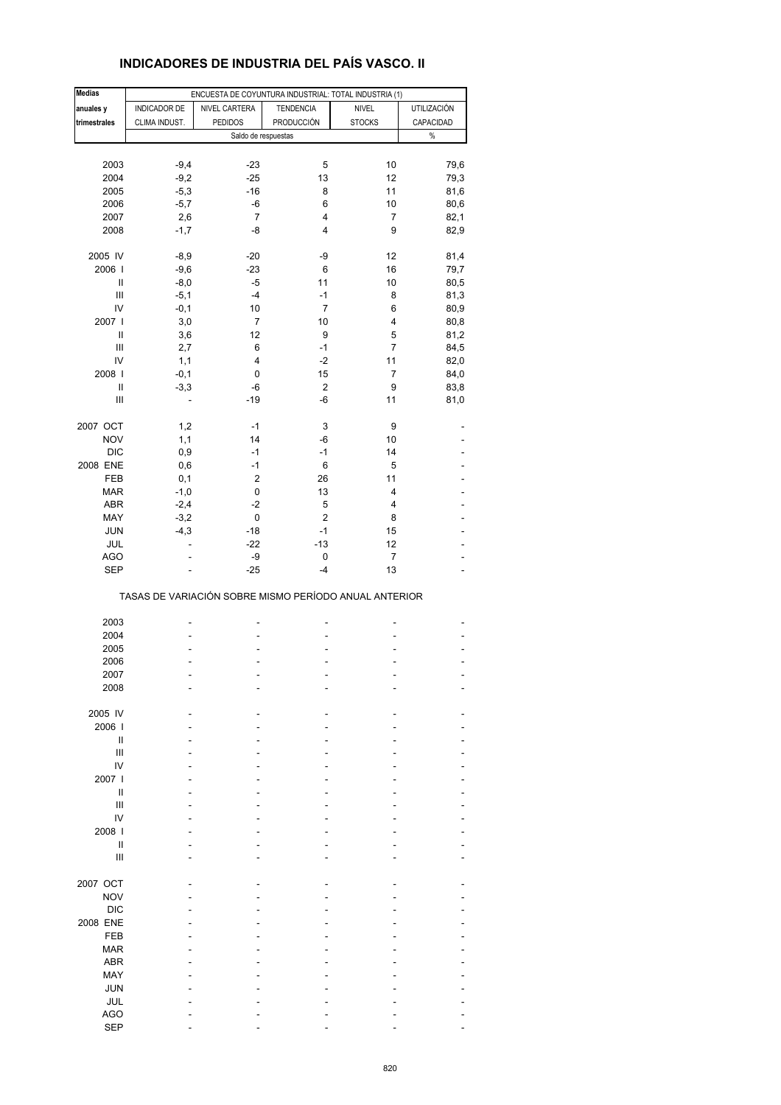## **INDICADORES DE INDUSTRIA DEL PAÍS VASCO. II**

| <b>Medias</b>  |                | ENCUESTA DE COYUNTURA INDUSTRIAL: TOTAL INDUSTRIA (1) |                           |                      |                |
|----------------|----------------|-------------------------------------------------------|---------------------------|----------------------|----------------|
| anuales y      | INDICADOR DE   | NIVEL CARTERA                                         | <b>TENDENCIA</b>          | <b>NIVEL</b>         | UTILIZACIÓN    |
| trimestrales   | CLIMA INDUST.  | <b>PEDIDOS</b>                                        | PRODUCCIÓN                | <b>STOCKS</b>        | CAPACIDAD      |
|                |                | Saldo de respuestas                                   |                           |                      | $\%$           |
|                |                |                                                       |                           |                      |                |
| 2003           | $-9,4$         | $-23$                                                 | 5                         | 10                   | 79,6           |
| 2004           | $-9,2$         | $-25$                                                 | 13                        | 12                   | 79,3           |
| 2005           | $-5,3$         | $-16$                                                 | 8                         | 11                   | 81,6           |
| 2006           | $-5,7$         | -6                                                    | 6                         | 10                   | 80,6           |
| 2007           | 2,6            | $\overline{7}$                                        | 4                         | $\overline{7}$       | 82,1           |
| 2008           | $-1,7$         | -8                                                    | 4                         | 9                    | 82,9           |
|                |                |                                                       |                           |                      |                |
| 2005 IV        | $-8,9$         | $-20$                                                 | -9                        | 12                   | 81,4           |
| 2006           | $-9,6$         | $-23$                                                 | 6                         | 16                   | 79,7           |
| Ш              | $-8,0$         | $-5$                                                  | 11                        | 10                   | 80,5           |
| $\mathbf{III}$ | $-5,1$         | -4                                                    | $-1$                      | 8                    | 81,3           |
| IV             | $-0,1$         | 10                                                    | $\overline{7}$            | 6                    | 80,9           |
| 2007           | 3,0            | 7                                                     | 10                        | 4                    |                |
|                |                |                                                       |                           |                      | 80,8           |
| Ш              | 3,6            | 12                                                    | 9                         | 5                    | 81,2           |
| Ш              | 2,7            | 6                                                     | $-1$                      | 7                    | 84,5           |
| IV             | 1,1            | 4                                                     | $-2$                      | 11                   | 82,0           |
| 2008           | $-0,1$         | 0                                                     | 15                        | $\overline{7}$       | 84,0           |
| Ш              | $-3,3$         | -6                                                    | $\boldsymbol{2}$          | 9                    | 83,8           |
| $\mathsf{III}$ | $\overline{a}$ | $-19$                                                 | -6                        | 11                   | 81,0           |
|                |                |                                                       |                           |                      |                |
| 2007 OCT       | 1,2            | $-1$                                                  | $\ensuremath{\mathsf{3}}$ | 9                    |                |
| <b>NOV</b>     | 1,1            | 14                                                    | -6                        | 10                   |                |
| <b>DIC</b>     | 0,9            | $-1$                                                  | $-1$                      | 14                   |                |
| 2008 ENE       | 0,6            | $-1$                                                  | 6                         | 5                    |                |
| FEB            | 0,1            | $\overline{c}$                                        | 26                        | 11                   |                |
| <b>MAR</b>     | $-1,0$         | 0                                                     | 13                        | 4                    |                |
| <b>ABR</b>     | $-2,4$         | $-2$                                                  | 5                         | 4                    |                |
| MAY            | $-3,2$         | 0                                                     | $\overline{2}$            | 8                    |                |
| JUN            | $-4,3$         | $-18$                                                 | $-1$                      | 15                   |                |
|                | ä,             | $-22$                                                 | $-13$                     |                      |                |
| JUL            |                |                                                       |                           | 12                   |                |
| <b>AGO</b>     |                | -9<br>$-25$                                           | 0<br>$-4$                 | $\overline{7}$<br>13 |                |
| <b>SEP</b>     |                |                                                       |                           |                      |                |
|                |                | TASAS DE VARIACIÓN SOBRE MISMO PERÍODO ANUAL ANTERIOR |                           |                      |                |
| 2003           |                |                                                       | Ĭ.                        | ۰                    |                |
| 2004           |                |                                                       |                           |                      |                |
|                |                |                                                       |                           |                      |                |
| 2005           |                |                                                       |                           |                      | $\overline{a}$ |
| 2006           |                |                                                       |                           |                      |                |
| 2007           |                |                                                       |                           |                      |                |
| 2008           |                |                                                       |                           |                      |                |
|                |                |                                                       |                           |                      |                |
| 2005 IV        |                |                                                       |                           |                      |                |
| 2006           |                |                                                       |                           |                      |                |
| Ш              |                |                                                       |                           |                      |                |
| Ш              |                |                                                       |                           |                      |                |
| IV             |                |                                                       |                           |                      |                |
| 2007 l         |                |                                                       |                           |                      |                |
| Ш              |                |                                                       |                           |                      |                |
| $\mathsf{III}$ |                |                                                       |                           |                      |                |
| IV             |                |                                                       |                           |                      |                |
| 2008           |                |                                                       |                           |                      |                |
| $\mathbf{I}$   |                |                                                       |                           |                      |                |
| III            |                |                                                       |                           |                      |                |
|                |                |                                                       |                           |                      |                |
| 2007 OCT       |                |                                                       |                           |                      |                |
|                |                |                                                       |                           |                      |                |
| <b>NOV</b>     |                |                                                       |                           |                      |                |
| <b>DIC</b>     |                |                                                       |                           |                      |                |
| 2008 ENE       |                |                                                       |                           |                      |                |
| FEB            |                |                                                       |                           |                      |                |
| <b>MAR</b>     |                |                                                       |                           |                      |                |
| ABR            |                |                                                       |                           |                      |                |
| MAY            |                |                                                       |                           |                      |                |
| <b>JUN</b>     |                |                                                       |                           |                      |                |
| JUL            |                |                                                       |                           |                      |                |
| AGO            |                |                                                       |                           |                      |                |
| <b>SEP</b>     |                |                                                       |                           |                      |                |
|                |                |                                                       |                           |                      |                |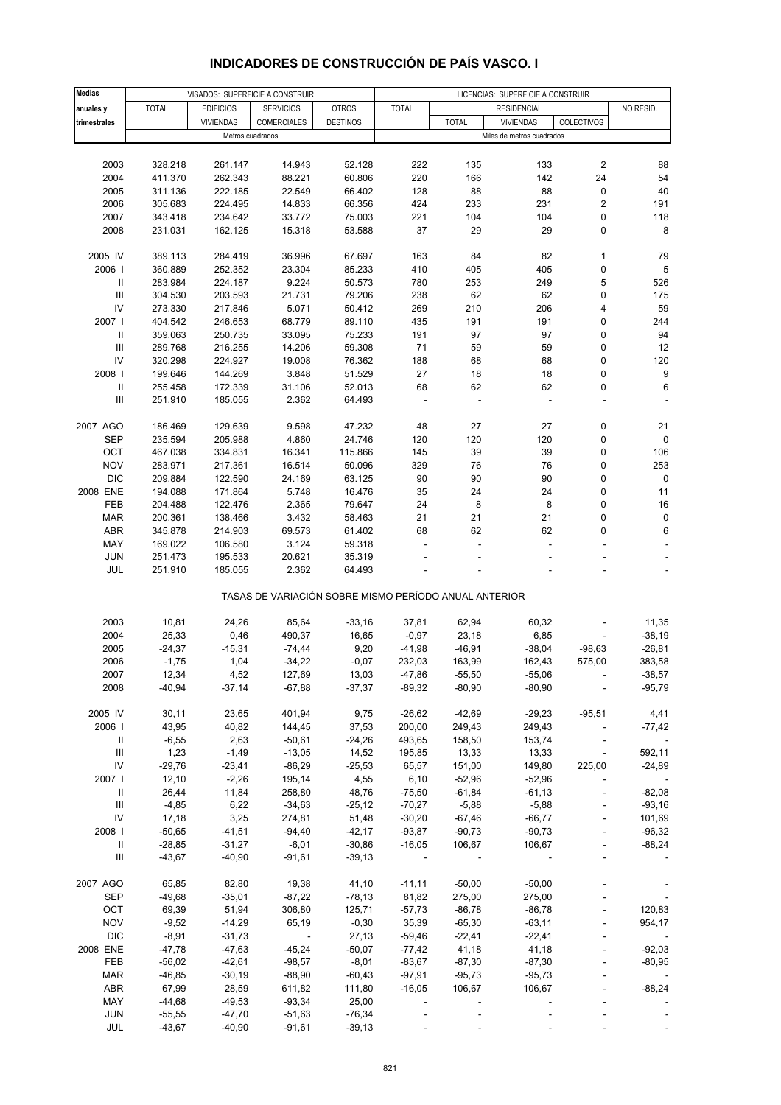| <b>Medias</b>                      |              |                  | VISADOS: SUPERFICIE A CONSTRUIR                       |                 |              |              | LICENCIAS: SUPERFICIE A CONSTRUIR |                          |           |
|------------------------------------|--------------|------------------|-------------------------------------------------------|-----------------|--------------|--------------|-----------------------------------|--------------------------|-----------|
| anuales y                          | <b>TOTAL</b> | <b>EDIFICIOS</b> | <b>SERVICIOS</b>                                      | <b>OTROS</b>    | <b>TOTAL</b> |              | <b>RESIDENCIAL</b>                |                          | NO RESID. |
| trimestrales                       |              | <b>VIVIENDAS</b> | <b>COMERCIALES</b>                                    | <b>DESTINOS</b> |              | <b>TOTAL</b> | <b>VIVIENDAS</b>                  | <b>COLECTIVOS</b>        |           |
|                                    |              | Metros cuadrados |                                                       |                 |              |              | Miles de metros cuadrados         |                          |           |
|                                    |              |                  |                                                       |                 |              |              |                                   |                          |           |
| 2003                               | 328.218      | 261.147          | 14.943                                                | 52.128          | 222          | 135          | 133                               | 2                        | 88        |
| 2004                               | 411.370      | 262.343          | 88.221                                                | 60.806          | 220          | 166          | 142                               | 24                       | 54        |
| 2005                               | 311.136      | 222.185          | 22.549                                                | 66.402          | 128          | 88           | 88                                | 0                        | 40        |
| 2006                               | 305.683      | 224.495          | 14.833                                                | 66.356          | 424          | 233          | 231                               | $\overline{\mathbf{c}}$  | 191       |
| 2007                               | 343.418      | 234.642          | 33.772                                                | 75.003          | 221          | 104          | 104                               | 0                        | 118       |
| 2008                               | 231.031      | 162.125          | 15.318                                                | 53.588          | 37           | 29           | 29                                | 0                        | 8         |
|                                    |              |                  |                                                       |                 |              |              |                                   |                          |           |
| 2005 IV                            | 389.113      | 284.419          | 36.996                                                | 67.697          | 163          | 84           | 82                                | $\mathbf{1}$             | 79        |
| 2006                               | 360.889      | 252.352          | 23.304                                                | 85.233          | 410          | 405          | 405                               | 0                        | 5         |
| Ш                                  | 283.984      | 224.187          | 9.224                                                 | 50.573          | 780          | 253          | 249                               | 5                        | 526       |
| $\ensuremath{\mathsf{III}}\xspace$ | 304.530      | 203.593          | 21.731                                                | 79.206          | 238          | 62           | 62                                | 0                        | 175       |
| IV                                 | 273.330      | 217.846          | 5.071                                                 | 50.412          | 269          | 210          | 206                               | 4                        | 59        |
| 2007                               | 404.542      | 246.653          | 68.779                                                | 89.110          | 435          | 191          | 191                               | 0                        | 244       |
| Ш                                  | 359.063      | 250.735          | 33.095                                                | 75.233          | 191          | 97           | 97                                | 0                        | 94        |
| Ш                                  | 289.768      | 216.255          | 14.206                                                | 59.308          | 71           | 59           | 59                                | 0                        | 12        |
| IV                                 | 320.298      | 224.927          | 19.008                                                | 76.362          | 188          | 68           | 68                                | 0                        | 120       |
| 2008                               | 199.646      | 144.269          | 3.848                                                 | 51.529          | 27           | 18           | 18                                | 0                        | 9         |
| Ш                                  | 255.458      | 172.339          | 31.106                                                | 52.013          | 68           | 62           | 62                                | 0                        | 6         |
| $\ensuremath{\mathsf{III}}\xspace$ | 251.910      | 185.055          | 2.362                                                 | 64.493          |              |              |                                   |                          |           |
|                                    |              |                  |                                                       |                 |              |              |                                   |                          |           |
| 2007 AGO                           | 186.469      | 129.639          | 9.598                                                 | 47.232          | 48           | 27           | 27                                | 0                        | 21        |
| <b>SEP</b>                         | 235.594      | 205.988          | 4.860                                                 | 24.746          | 120          | 120          | 120                               | 0                        | 0         |
| OCT                                | 467.038      | 334.831          | 16.341                                                | 115.866         | 145          | 39           | 39                                | 0                        | 106       |
| <b>NOV</b>                         | 283.971      | 217.361          | 16.514                                                | 50.096          | 329          | 76           | 76                                | 0                        | 253       |
| <b>DIC</b>                         | 209.884      | 122.590          | 24.169                                                | 63.125          | 90           | 90           | 90                                | 0                        | 0         |
| 2008 ENE                           | 194.088      | 171.864          | 5.748                                                 | 16.476          | 35           | 24           | 24                                | 0                        | 11        |
| FEB                                | 204.488      | 122.476          | 2.365                                                 | 79.647          | 24           | 8            | 8                                 | 0                        | 16        |
| <b>MAR</b>                         | 200.361      | 138.466          | 3.432                                                 | 58.463          | 21           | 21           | 21                                | 0                        | $\pmb{0}$ |
| <b>ABR</b>                         | 345.878      | 214.903          | 69.573                                                | 61.402          | 68           | 62           | 62                                | 0                        | 6         |
| MAY                                | 169.022      | 106.580          | 3.124                                                 | 59.318          | L,           |              | $\overline{\phantom{a}}$          |                          |           |
| <b>JUN</b>                         | 251.473      | 195.533          | 20.621                                                | 35.319          |              |              |                                   |                          |           |
| JUL                                | 251.910      | 185.055          | 2.362                                                 | 64.493          |              |              |                                   |                          |           |
|                                    |              |                  | TASAS DE VARIACIÓN SOBRE MISMO PERÍODO ANUAL ANTERIOR |                 |              |              |                                   |                          |           |
| 2003                               | 10,81        | 24,26            | 85,64                                                 | $-33,16$        | 37,81        | 62,94        | 60,32                             |                          | 11,35     |
| 2004                               | 25,33        | 0,46             | 490,37                                                | 16,65           | $-0,97$      | 23,18        | 6,85                              |                          | $-38,19$  |
| 2005                               | $-24,37$     | $-15,31$         | $-74,44$                                              | 9,20            | $-41,98$     | $-46,91$     | $-38,04$                          | $-98,63$                 | $-26,81$  |
| 2006                               | $-1,75$      | 1,04             | $-34,22$                                              | $-0,07$         | 232,03       | 163,99       | 162,43                            | 575,00                   | 383,58    |
| 2007                               | 12,34        | 4,52             | 127,69                                                | 13,03           | -47,86       | $-55,50$     | -55,06                            |                          | -38,57    |
| 2008                               | $-40,94$     | $-37,14$         | $-67,88$                                              | $-37,37$        | $-89,32$     | $-80,90$     | $-80,90$                          |                          | $-95,79$  |
|                                    |              |                  |                                                       |                 |              |              |                                   |                          |           |
| 2005 IV                            | 30,11        | 23,65            | 401,94                                                | 9,75            | $-26,62$     | $-42,69$     | $-29,23$                          | $-95,51$                 | 4,41      |
| 2006                               | 43,95        | 40,82            | 144,45                                                | 37,53           | 200,00       | 249,43       | 249,43                            |                          | $-77,42$  |
| Ш                                  | $-6,55$      | 2,63             | $-50,61$                                              | $-24,26$        | 493,65       | 158,50       | 153,74                            | $\overline{\phantom{a}}$ |           |
| $\ensuremath{\mathsf{III}}\xspace$ | 1,23         | $-1,49$          | $-13,05$                                              | 14,52           | 195,85       | 13,33        | 13,33                             | $\overline{\phantom{a}}$ | 592,11    |
| IV                                 | $-29,76$     | $-23,41$         | $-86,29$                                              | $-25,53$        | 65,57        | 151,00       | 149,80                            | 225,00                   | $-24,89$  |
| 2007 l                             | 12,10        | $-2,26$          | 195,14                                                | 4,55            | 6, 10        | $-52,96$     | $-52,96$                          |                          |           |
| Ш                                  | 26,44        | 11,84            | 258,80                                                | 48,76           | $-75,50$     | $-61,84$     | $-61,13$                          |                          | $-82,08$  |
| $\ensuremath{\mathsf{III}}\xspace$ | $-4,85$      | 6,22             | $-34,63$                                              | $-25,12$        | $-70,27$     | $-5,88$      | $-5,88$                           |                          | $-93,16$  |
| IV                                 | 17,18        | 3,25             | 274,81                                                | 51,48           | $-30,20$     | $-67,46$     | $-66,77$                          |                          | 101,69    |
| 2008                               | $-50,65$     | $-41,51$         | $-94,40$                                              | $-42,17$        | $-93,87$     | $-90,73$     | $-90,73$                          |                          | $-96,32$  |
| Ш                                  | $-28,85$     | $-31,27$         | $-6,01$                                               | $-30,86$        | $-16,05$     | 106,67       | 106,67                            |                          | $-88,24$  |
| Ш                                  | $-43,67$     | $-40,90$         | $-91,61$                                              | $-39,13$        |              |              |                                   |                          |           |
|                                    |              |                  |                                                       |                 |              |              |                                   |                          |           |
| 2007 AGO                           | 65,85        | 82,80            | 19,38                                                 | 41,10           | $-11,11$     | $-50,00$     | $-50,00$                          |                          |           |
| <b>SEP</b>                         | $-49,68$     | $-35,01$         | $-87,22$                                              | $-78,13$        | 81,82        | 275,00       | 275,00                            |                          |           |
| OCT                                | 69,39        | 51,94            | 306,80                                                | 125,71          | $-57,73$     | $-86,78$     | $-86,78$                          |                          | 120,83    |
| <b>NOV</b>                         | $-9,52$      | $-14,29$         | 65,19                                                 | $-0,30$         | 35,39        | $-65,30$     | $-63,11$                          | $\overline{a}$           | 954,17    |
| <b>DIC</b>                         | $-8,91$      | $-31,73$         |                                                       | 27,13           | $-59,46$     | $-22,41$     | $-22,41$                          |                          |           |
| 2008 ENE                           | $-47,78$     | $-47,63$         | $-45,24$                                              | $-50,07$        | $-77,42$     | 41,18        | 41,18                             |                          | $-92,03$  |
| FEB                                | $-56,02$     | $-42,61$         | $-98,57$                                              | $-8,01$         | $-83,67$     | $-87,30$     | $-87,30$                          |                          | $-80,95$  |
| <b>MAR</b>                         | $-46,85$     | $-30,19$         | $-88,90$                                              | $-60,43$        | $-97,91$     | $-95,73$     | $-95,73$                          |                          |           |
| ABR                                | 67,99        | 28,59            | 611,82                                                | 111,80          | $-16,05$     | 106,67       | 106,67                            |                          | $-88,24$  |
| MAY                                | $-44,68$     | $-49,53$         | $-93,34$                                              | 25,00           |              |              |                                   |                          |           |
| <b>JUN</b>                         | $-55,55$     | $-47,70$         | $-51,63$                                              | $-76,34$        |              |              |                                   |                          |           |
| JUL                                | $-43,67$     | $-40,90$         | $-91,61$                                              | $-39,13$        |              |              |                                   |                          |           |

## **INDICADORES DE CONSTRUCCIÓN DE PAÍS VASCO. I**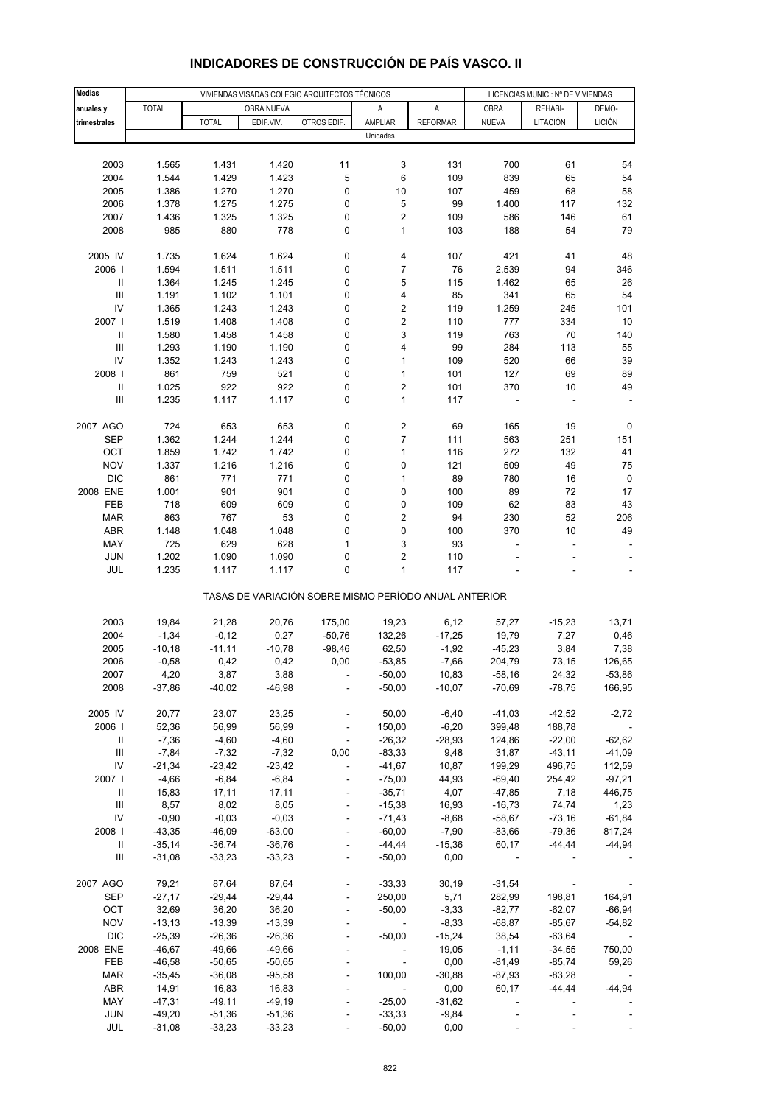| <b>Medias</b>                      |                      |                      |                      | VIVIENDAS VISADAS COLEGIO ARQUITECTOS TÉCNICOS        |                                             |                     |                      | LICENCIAS MUNIC.: Nº DE VIVIENDAS |                    |
|------------------------------------|----------------------|----------------------|----------------------|-------------------------------------------------------|---------------------------------------------|---------------------|----------------------|-----------------------------------|--------------------|
| anuales y                          | <b>TOTAL</b>         |                      | OBRA NUEVA           |                                                       | Α                                           | Α                   | <b>OBRA</b>          | REHABI-                           | DEMO-              |
| trimestrales                       |                      | <b>TOTAL</b>         | EDIF.VIV.            | OTROS EDIF.                                           | AMPLIAR                                     | <b>REFORMAR</b>     | <b>NUEVA</b>         | LITACIÓN                          | <b>LICIÓN</b>      |
|                                    |                      |                      |                      |                                                       | Unidades                                    |                     |                      |                                   |                    |
|                                    |                      |                      |                      |                                                       |                                             |                     |                      |                                   |                    |
| 2003                               | 1.565                | 1.431                | 1.420                | 11                                                    | 3                                           | 131                 | 700                  | 61                                | 54                 |
| 2004                               | 1.544                | 1.429                | 1.423                | 5                                                     | 6                                           | 109                 | 839                  | 65                                | 54                 |
| 2005                               | 1.386                | 1.270                | 1.270                | 0                                                     | 10                                          | 107                 | 459                  | 68                                | 58                 |
| 2006                               | 1.378                | 1.275                | 1.275                | 0                                                     | 5                                           | 99                  | 1.400                | 117                               | 132                |
| 2007                               | 1.436                | 1.325                | 1.325                | 0                                                     | $\overline{\mathbf{c}}$                     | 109                 | 586                  | 146                               | 61                 |
| 2008                               | 985                  | 880                  | 778                  | 0                                                     | 1                                           | 103                 | 188                  | 54                                | 79                 |
|                                    |                      |                      |                      |                                                       |                                             |                     |                      |                                   |                    |
| 2005 IV                            | 1.735                | 1.624                | 1.624                | 0                                                     | 4                                           | 107                 | 421                  | 41                                | 48                 |
| 2006                               | 1.594                | 1.511                | 1.511                | 0                                                     | $\overline{7}$                              | 76                  | 2.539                | 94                                | 346                |
| $\, \parallel$                     | 1.364                | 1.245                | 1.245                | 0                                                     | 5                                           | 115                 | 1.462                | 65                                | 26                 |
| Ш<br>IV                            | 1.191                | 1.102                | 1.101                | 0<br>0                                                | 4                                           | 85                  | 341<br>1.259         | 65                                | 54<br>101          |
| 2007 l                             | 1.365<br>1.519       | 1.243<br>1.408       | 1.243<br>1.408       | 0                                                     | $\boldsymbol{2}$<br>$\overline{\mathbf{c}}$ | 119<br>110          | 777                  | 245<br>334                        | 10                 |
| $\, \parallel$                     | 1.580                | 1.458                | 1.458                | 0                                                     | $\ensuremath{\mathsf{3}}$                   | 119                 | 763                  | 70                                | 140                |
| III                                | 1.293                | 1.190                | 1.190                | 0                                                     | 4                                           | 99                  | 284                  | 113                               | 55                 |
| IV                                 | 1.352                | 1.243                | 1.243                | 0                                                     | 1                                           | 109                 | 520                  | 66                                | 39                 |
| 2008                               | 861                  | 759                  | 521                  | 0                                                     | 1                                           | 101                 | 127                  | 69                                | 89                 |
| $\, \parallel$                     | 1.025                | 922                  | 922                  | 0                                                     | $\boldsymbol{2}$                            | 101                 | 370                  | 10                                | 49                 |
| Ш                                  | 1.235                | 1.117                | 1.117                | 0                                                     | 1                                           | 117                 |                      |                                   |                    |
|                                    |                      |                      |                      |                                                       |                                             |                     |                      |                                   |                    |
| 2007 AGO                           | 724                  | 653                  | 653                  | 0                                                     | $\boldsymbol{2}$                            | 69                  | 165                  | 19                                | 0                  |
| <b>SEP</b>                         | 1.362                | 1.244                | 1.244                | 0                                                     | $\overline{7}$                              | 111                 | 563                  | 251                               | 151                |
| OCT                                | 1.859                | 1.742                | 1.742                | 0                                                     | $\mathbf{1}$                                | 116                 | 272                  | 132                               | 41                 |
| <b>NOV</b>                         | 1.337                | 1.216                | 1.216                | 0                                                     | 0                                           | 121                 | 509                  | 49                                | 75                 |
| <b>DIC</b>                         | 861                  | 771                  | 771                  | 0                                                     | 1                                           | 89                  | 780                  | 16                                | 0                  |
| 2008 ENE                           | 1.001                | 901                  | 901                  | 0                                                     | 0                                           | 100                 | 89                   | 72                                | 17                 |
| FEB<br><b>MAR</b>                  | 718<br>863           | 609<br>767           | 609<br>53            | 0<br>0                                                | 0<br>$\overline{\mathbf{c}}$                | 109<br>94           | 62<br>230            | 83<br>52                          | 43<br>206          |
| ABR                                | 1.148                | 1.048                | 1.048                | 0                                                     | 0                                           | 100                 | 370                  | 10                                | 49                 |
| MAY                                | 725                  | 629                  | 628                  | $\mathbf{1}$                                          | 3                                           | 93                  | ÷,                   | ÷,                                |                    |
| <b>JUN</b>                         | 1.202                | 1.090                | 1.090                | 0                                                     | $\overline{\mathbf{c}}$                     | 110                 |                      |                                   |                    |
| JUL                                | 1.235                | 1.117                | 1.117                | 0                                                     | $\mathbf{1}$                                | 117                 |                      |                                   |                    |
|                                    |                      |                      |                      | TASAS DE VARIACIÓN SOBRE MISMO PERÍODO ANUAL ANTERIOR |                                             |                     |                      |                                   |                    |
| 2003                               | 19,84                | 21,28                | 20,76                | 175,00                                                | 19,23                                       | 6,12                | 57,27                | $-15,23$                          | 13,71              |
| 2004                               | $-1,34$              | $-0,12$              | 0,27                 | $-50,76$                                              | 132,26                                      | $-17,25$            | 19,79                | 7,27                              | 0,46               |
| 2005                               | $-10,18$             | $-11,11$             | $-10,78$             | $-98,46$                                              | 62,50                                       | $-1,92$             | $-45,23$             | 3,84                              | 7,38               |
| 2006                               | $-0,58$              | 0,42                 | 0,42                 | 0,00                                                  | $-53,85$                                    | $-7,66$             | 204,79               | 73,15                             | 126,65             |
| 2007                               | 4,20                 | 3,87                 | 3,88                 |                                                       | $-50,00$                                    | 10,83               | -58,16               | 24,32                             | $-53,86$           |
| 2008                               | $-37,86$             | $-40,02$             | $-46,98$             | ÷                                                     | $-50,00$                                    | $-10,07$            | $-70,69$             | $-78,75$                          | 166,95             |
|                                    |                      |                      |                      |                                                       |                                             |                     |                      |                                   |                    |
| 2005 IV                            | 20,77                | 23,07                | 23,25                |                                                       | 50,00                                       | $-6,40$             | $-41,03$             | $-42,52$                          | $-2,72$            |
| 2006                               | 52,36                | 56,99                | 56,99                |                                                       | 150,00                                      | $-6,20$             | 399,48               | 188,78                            |                    |
| Ш                                  | $-7,36$              | $-4,60$              | $-4,60$              | $\blacksquare$                                        | $-26,32$                                    | $-28,93$            | 124,86               | $-22,00$                          | $-62,62$           |
| $\ensuremath{\mathsf{III}}\xspace$ | $-7,84$              | $-7,32$              | $-7,32$              | 0,00                                                  | $-83,33$                                    | 9,48                | 31,87                | $-43,11$                          | $-41,09$           |
| IV                                 | $-21,34$             | $-23,42$             | $-23,42$             |                                                       | $-41,67$                                    | 10,87               | 199,29               | 496,75                            | 112,59             |
| 2007 l<br>Ш                        | $-4,66$<br>15,83     | $-6,84$<br>17,11     | $-6,84$<br>17,11     | $\blacksquare$                                        | $-75,00$<br>$-35,71$                        | 44,93<br>4,07       | $-69,40$<br>$-47,85$ | 254,42<br>7,18                    | $-97,21$<br>446,75 |
| Ш                                  | 8,57                 | 8,02                 | 8,05                 |                                                       | $-15,38$                                    | 16,93               | $-16,73$             | 74,74                             | 1,23               |
| IV                                 | $-0,90$              | $-0,03$              | $-0,03$              | $\blacksquare$                                        | $-71,43$                                    | $-8,68$             | $-58,67$             | $-73,16$                          | $-61,84$           |
| 2008                               | $-43,35$             | $-46,09$             | $-63,00$             |                                                       | $-60,00$                                    | $-7,90$             | $-83,66$             | -79,36                            | 817,24             |
| Ш                                  | $-35,14$             | $-36,74$             | $-36,76$             |                                                       | $-44,44$                                    | $-15,36$            | 60,17                | $-44, 44$                         | $-44,94$           |
| $\ensuremath{\mathsf{III}}\xspace$ | $-31,08$             | $-33,23$             | $-33,23$             | $\blacksquare$                                        | $-50,00$                                    | 0,00                |                      |                                   |                    |
|                                    |                      |                      |                      |                                                       |                                             |                     |                      |                                   |                    |
| 2007 AGO                           | 79,21                | 87,64                | 87,64                |                                                       | $-33,33$                                    | 30, 19              | $-31,54$             |                                   |                    |
| SEP                                | $-27,17$             | $-29,44$             | $-29,44$             | $\overline{a}$                                        | 250,00                                      | 5,71                | 282,99               | 198,81                            | 164,91             |
| OCT                                | 32,69                | 36,20                | 36,20                |                                                       | $-50,00$                                    | $-3,33$             | $-82,77$             | $-62,07$                          | $-66,94$           |
| <b>NOV</b>                         | $-13,13$             | $-13,39$             | $-13,39$             |                                                       | $\overline{\phantom{a}}$                    | $-8,33$             | $-68,87$             | $-85,67$                          | $-54,82$           |
| <b>DIC</b>                         | $-25,39$             | $-26,36$             | $-26,36$             |                                                       | $-50,00$                                    | $-15,24$            | 38,54                | $-63,64$                          |                    |
| 2008 ENE                           | $-46,67$             | $-49,66$             | $-49,66$             |                                                       | $\qquad \qquad \blacksquare$                | 19,05               | $-1,11$              | $-34,55$                          | 750,00             |
| FEB                                | $-46,58$             | $-50,65$             | $-50,65$             | L,                                                    | $\blacksquare$                              | 0,00                | $-81,49$             | $-85,74$                          | 59,26              |
| <b>MAR</b>                         | $-35,45$             | $-36,08$             | $-95,58$             | ÷                                                     | 100,00                                      | $-30,88$            | $-87,93$             | $-83,28$                          |                    |
| ABR                                | 14,91                | 16,83                | 16,83                |                                                       | $\overline{\phantom{a}}$                    | 0,00                | 60,17                | -44,44                            | $-44,94$           |
| MAY<br><b>JUN</b>                  | $-47,31$<br>$-49,20$ | $-49,11$<br>$-51,36$ | $-49,19$<br>$-51,36$ |                                                       | $-25,00$<br>$-33,33$                        | $-31,62$<br>$-9,84$ |                      |                                   |                    |
| JUL                                | $-31,08$             | $-33,23$             | $-33,23$             |                                                       | $-50,00$                                    | 0,00                |                      |                                   |                    |
|                                    |                      |                      |                      |                                                       |                                             |                     |                      |                                   |                    |

## **INDICADORES DE CONSTRUCCIÓN DE PAÍS VASCO. II**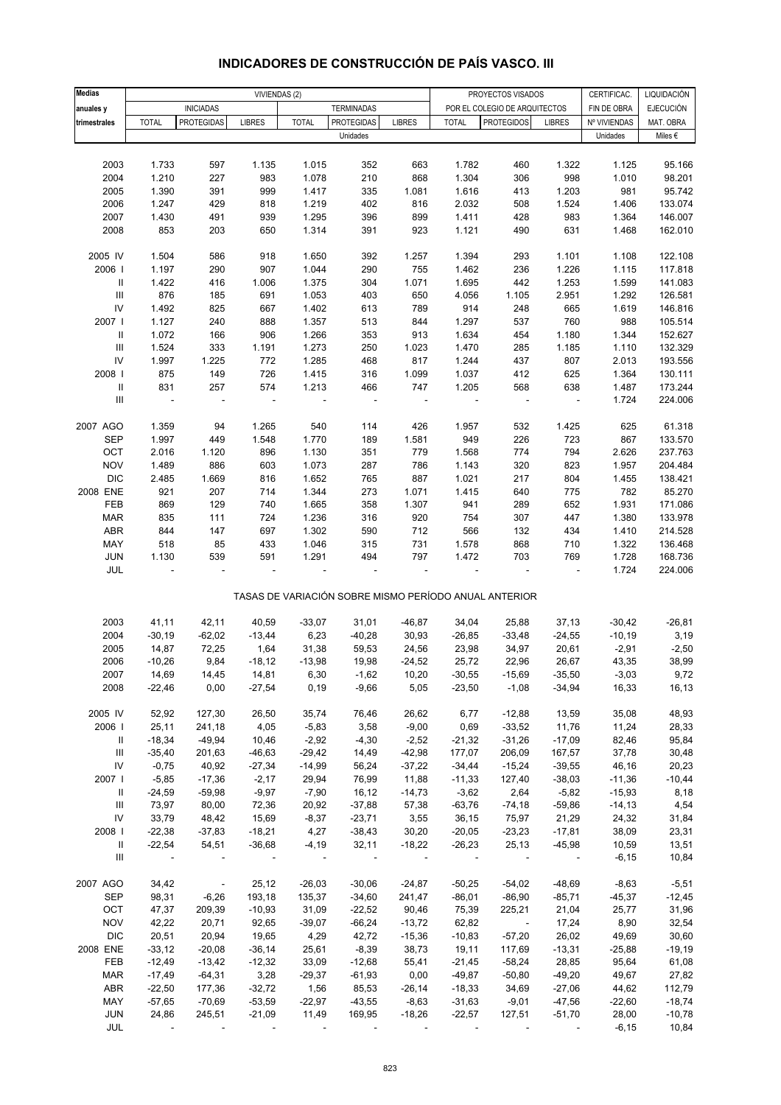| <b>Medias</b>                      |                |                          | VIVIENDAS (2) |              |                          |                          |              | PROYECTOS VISADOS                                     |                          | CERTIFICAC.  | LIQUIDACIÓN      |
|------------------------------------|----------------|--------------------------|---------------|--------------|--------------------------|--------------------------|--------------|-------------------------------------------------------|--------------------------|--------------|------------------|
| anuales y                          |                | <b>INICIADAS</b>         |               |              | <b>TERMINADAS</b>        |                          |              | POR EL COLEGIO DE ARQUITECTOS                         |                          | FIN DE OBRA  | <b>EJECUCIÓN</b> |
| trimestrales                       | <b>TOTAL</b>   | <b>PROTEGIDAS</b>        | <b>LIBRES</b> | <b>TOTAL</b> | <b>PROTEGIDAS</b>        | <b>LIBRES</b>            | <b>TOTAL</b> | <b>PROTEGIDOS</b>                                     | <b>LIBRES</b>            | Nº VIVIENDAS | MAT. OBRA        |
|                                    |                |                          |               |              | Unidades                 |                          |              |                                                       |                          | Unidades     | Miles $\epsilon$ |
|                                    |                |                          |               |              |                          |                          |              |                                                       |                          |              |                  |
| 2003                               | 1.733          | 597                      | 1.135         | 1.015        | 352                      | 663                      | 1.782        | 460                                                   | 1.322                    | 1.125        | 95.166           |
| 2004                               | 1.210          | 227                      | 983           | 1.078        | 210                      | 868                      | 1.304        | 306                                                   | 998                      | 1.010        | 98.201           |
| 2005                               | 1.390          | 391                      | 999           | 1.417        | 335                      | 1.081                    | 1.616        | 413                                                   | 1.203                    | 981          | 95.742           |
| 2006                               | 1.247          | 429                      | 818           | 1.219        | 402                      | 816                      | 2.032        | 508                                                   | 1.524                    | 1.406        | 133.074          |
| 2007                               | 1.430          | 491                      | 939           | 1.295        | 396                      | 899                      | 1.411        | 428                                                   | 983                      | 1.364        | 146.007          |
| 2008                               | 853            | 203                      | 650           | 1.314        | 391                      | 923                      | 1.121        | 490                                                   | 631                      | 1.468        | 162.010          |
|                                    |                |                          |               |              |                          |                          |              |                                                       |                          |              |                  |
| 2005 IV                            | 1.504          | 586                      | 918           | 1.650        | 392                      | 1.257                    | 1.394        | 293                                                   | 1.101                    | 1.108        | 122.108          |
| 2006                               | 1.197          | 290                      | 907           | 1.044        | 290                      | 755                      | 1.462        | 236                                                   | 1.226                    | 1.115        | 117.818          |
| $\, \parallel$                     | 1.422          | 416                      | 1.006         | 1.375        | 304                      | 1.071                    | 1.695        | 442                                                   | 1.253                    | 1.599        | 141.083          |
| $\ensuremath{\mathsf{III}}\xspace$ | 876            | 185                      | 691           | 1.053        | 403                      | 650                      | 4.056        | 1.105                                                 | 2.951                    | 1.292        | 126.581          |
| IV                                 | 1.492          | 825                      | 667           | 1.402        | 613                      | 789                      | 914          | 248                                                   | 665                      | 1.619        | 146.816          |
| 2007                               | 1.127          | 240                      | 888           | 1.357        | 513                      | 844                      | 1.297        | 537                                                   | 760                      | 988          | 105.514          |
| $\mathbf{II}$                      | 1.072          | 166                      | 906           | 1.266        | 353                      | 913                      | 1.634        | 454                                                   | 1.180                    | 1.344        | 152.627          |
| $\ensuremath{\mathsf{III}}\xspace$ | 1.524          | 333                      | 1.191         | 1.273        | 250                      | 1.023                    | 1.470        | 285                                                   | 1.185                    | 1.110        | 132.329          |
| ${\sf IV}$                         | 1.997          | 1.225                    | 772           | 1.285        | 468                      | 817                      | 1.244        | 437                                                   | 807                      | 2.013        | 193.556          |
| 2008                               | 875            | 149                      | 726           | 1.415        | 316                      | 1.099                    | 1.037        | 412                                                   | 625                      | 1.364        | 130.111          |
| $\ensuremath{\mathsf{II}}$         | 831            | 257                      | 574           | 1.213        | 466                      | 747                      | 1.205        | 568                                                   | 638                      | 1.487        | 173.244          |
| $\ensuremath{\mathsf{III}}\xspace$ | $\blacksquare$ | ÷,                       | ÷,            |              | $\overline{\phantom{a}}$ | $\overline{\phantom{a}}$ |              | $\blacksquare$                                        | $\overline{\phantom{a}}$ | 1.724        | 224.006          |
|                                    |                |                          |               |              |                          |                          |              |                                                       |                          |              |                  |
| 2007 AGO                           | 1.359          | 94                       | 1.265         | 540          | 114                      | 426                      | 1.957        | 532                                                   | 1.425                    | 625          | 61.318           |
| <b>SEP</b>                         | 1.997          | 449                      | 1.548         | 1.770        | 189                      | 1.581                    | 949          | 226                                                   | 723                      | 867          | 133.570          |
| OCT                                | 2.016          | 1.120                    | 896           | 1.130        | 351                      | 779                      | 1.568        | 774                                                   | 794                      | 2.626        | 237.763          |
| <b>NOV</b>                         | 1.489          | 886                      | 603           | 1.073        | 287                      | 786                      | 1.143        | 320                                                   | 823                      | 1.957        | 204.484          |
| <b>DIC</b>                         | 2.485          | 1.669                    | 816           | 1.652        | 765                      | 887                      | 1.021        | 217                                                   | 804                      | 1.455        | 138.421          |
| 2008 ENE                           | 921            | 207                      | 714           | 1.344        | 273                      | 1.071                    | 1.415        | 640                                                   | 775                      | 782          | 85.270           |
| FEB                                | 869            | 129                      | 740           | 1.665        | 358                      | 1.307                    | 941          | 289                                                   | 652                      | 1.931        | 171.086          |
| <b>MAR</b>                         | 835            | 111                      | 724           | 1.236        | 316                      | 920                      | 754          | 307                                                   | 447                      | 1.380        | 133.978          |
| ABR                                | 844            | 147                      | 697           | 1.302        | 590                      | 712                      | 566          | 132                                                   | 434                      | 1.410        | 214.528          |
| MAY                                | 518            | 85                       | 433           | 1.046        | 315                      | 731                      | 1.578        | 868                                                   | 710                      | 1.322        | 136.468          |
| JUN                                | 1.130          | 539                      | 591           | 1.291        | 494                      | 797                      | 1.472        | 703                                                   | 769                      | 1.728        | 168.736          |
| JUL                                | ÷,             |                          |               |              |                          |                          |              |                                                       | $\blacksquare$           | 1.724        | 224.006          |
|                                    |                |                          |               |              |                          |                          |              |                                                       |                          |              |                  |
|                                    |                |                          |               |              |                          |                          |              | TASAS DE VARIACIÓN SOBRE MISMO PERÍODO ANUAL ANTERIOR |                          |              |                  |
|                                    |                |                          |               |              |                          |                          |              |                                                       |                          |              |                  |
| 2003                               | 41,11          | 42,11                    | 40,59         | $-33,07$     | 31,01                    | $-46,87$                 | 34,04        | 25,88                                                 | 37,13                    | $-30,42$     | $-26,81$         |
| 2004                               | $-30,19$       | $-62,02$                 | $-13,44$      | 6,23         | $-40,28$                 | 30,93                    | $-26,85$     | $-33,48$                                              | $-24,55$                 | $-10,19$     | 3,19             |
| 2005                               | 14,87          | 72,25                    | 1,64          | 31,38        | 59,53                    | 24,56                    | 23,98        | 34,97                                                 | 20,61                    | $-2,91$      | $-2,50$          |
| 2006                               | $-10,26$       | 9,84                     | $-18,12$      | $-13,98$     | 19,98                    | $-24,52$                 | 25,72        | 22,96                                                 | 26,67                    | 43,35        | 38,99            |
| 2007                               | 14,69          | 14,45                    | 14,81         | 6,30         | $-1,62$                  | 10,20                    | $-30,55$     | $-15,69$                                              | $-35,50$                 | $-3,03$      | 9,72             |
| 2008                               | $-22,46$       | 0,00                     | $-27,54$      | 0, 19        | $-9,66$                  | 5,05                     | $-23,50$     | $-1,08$                                               | $-34,94$                 | 16,33        | 16,13            |
|                                    |                |                          |               |              |                          |                          |              |                                                       |                          |              |                  |
| 2005 IV                            | 52,92          | 127,30                   | 26,50         | 35,74        | 76,46                    | 26,62                    | 6,77         | $-12,88$                                              | 13,59                    | 35,08        | 48,93            |
| 2006                               | 25,11          | 241,18                   | 4,05          | $-5,83$      | 3,58                     | $-9,00$                  | 0,69         | $-33,52$                                              | 11,76                    | 11,24        | 28,33            |
| Ш                                  | $-18,34$       | $-49,94$                 | 10,46         | $-2,92$      | $-4,30$                  | $-2,52$                  | $-21,32$     | $-31,26$                                              | $-17,09$                 | 82,46        | 95,84            |
| $\ensuremath{\mathsf{III}}\xspace$ | $-35,40$       | 201,63                   | $-46,63$      | $-29,42$     | 14,49                    | $-42,98$                 | 177,07       | 206,09                                                | 167,57                   | 37,78        | 30,48            |
| ${\sf IV}$                         | $-0,75$        | 40,92                    | $-27,34$      | $-14,99$     | 56,24                    | $-37,22$                 | $-34,44$     | $-15,24$                                              | $-39,55$                 | 46,16        | 20,23            |
| 2007                               | $-5,85$        | $-17,36$                 | $-2,17$       | 29,94        | 76,99                    | 11,88                    | $-11,33$     | 127,40                                                | $-38,03$                 | $-11,36$     | $-10,44$         |
| Ш                                  | $-24,59$       | $-59,98$                 | $-9,97$       | $-7,90$      | 16,12                    | $-14,73$                 | $-3,62$      | 2,64                                                  | $-5,82$                  | $-15,93$     | 8,18             |
| Ш                                  | 73,97          | 80,00                    | 72,36         | 20,92        | $-37,88$                 | 57,38                    | $-63,76$     | $-74,18$                                              | $-59,86$                 | $-14, 13$    | 4,54             |
| ${\sf IV}$                         | 33,79          | 48,42                    | 15,69         | $-8,37$      | $-23,71$                 | 3,55                     | 36,15        | 75,97                                                 | 21,29                    | 24,32        | 31,84            |
| 2008                               | $-22,38$       | $-37,83$                 | $-18,21$      | 4,27         | $-38,43$                 | 30,20                    | $-20,05$     | $-23,23$                                              | $-17,81$                 | 38,09        | 23,31            |
| Ш                                  | $-22,54$       | 54,51                    | $-36,68$      | $-4,19$      | 32,11                    | $-18,22$                 | $-26,23$     | 25,13                                                 | $-45,98$                 | 10,59        | 13,51            |
| Ш                                  |                |                          |               |              |                          |                          |              |                                                       |                          | $-6, 15$     | 10,84            |
|                                    |                |                          |               |              |                          |                          |              |                                                       |                          |              |                  |
| 2007 AGO                           | 34,42          | $\overline{\phantom{a}}$ | 25,12         | $-26,03$     | $-30,06$                 | $-24,87$                 | $-50,25$     | $-54,02$                                              | $-48,69$                 | $-8,63$      | $-5,51$          |
| <b>SEP</b>                         | 98,31          | $-6,26$                  | 193,18        | 135,37       | $-34,60$                 | 241,47                   | $-86,01$     | $-86,90$                                              | $-85,71$                 | $-45,37$     | $-12,45$         |
| OCT                                | 47,37          | 209,39                   | $-10,93$      | 31,09        | $-22,52$                 | 90,46                    | 75,39        | 225,21                                                | 21,04                    | 25,77        | 31,96            |
| <b>NOV</b>                         | 42,22          | 20,71                    | 92,65         | $-39,07$     | $-66,24$                 | $-13,72$                 | 62,82        | $\overline{\phantom{a}}$                              | 17,24                    | 8,90         | 32,54            |
| <b>DIC</b>                         | 20,51          | 20,94                    | 19,65         | 4,29         | 42,72                    | $-15,36$                 | $-10,83$     | $-57,20$                                              | 26,02                    | 49,69        | 30,60            |
| 2008 ENE                           | $-33,12$       | $-20,08$                 | $-36,14$      | 25,61        | $-8,39$                  | 38,73                    | 19,11        | 117,69                                                | $-13,31$                 | $-25,88$     | $-19,19$         |
| FEB                                | $-12,49$       | $-13,42$                 | $-12,32$      | 33,09        | $-12,68$                 | 55,41                    | $-21,45$     | $-58,24$                                              | 28,85                    | 95,64        | 61,08            |
| <b>MAR</b>                         | $-17,49$       | $-64,31$                 | 3,28          | $-29,37$     | $-61,93$                 | 0,00                     | $-49,87$     | $-50,80$                                              | $-49,20$                 | 49,67        | 27,82            |
| ABR                                | $-22,50$       | 177,36                   | $-32,72$      | 1,56         | 85,53                    | $-26,14$                 | $-18,33$     | 34,69                                                 | $-27,06$                 | 44,62        | 112,79           |
| MAY                                | $-57,65$       | $-70,69$                 | $-53,59$      | $-22,97$     | $-43,55$                 | $-8,63$                  | $-31,63$     | $-9,01$                                               | $-47,56$                 | $-22,60$     | $-18,74$         |
| JUN                                | 24,86          | 245,51                   | $-21,09$      | 11,49        | 169,95                   | $-18,26$                 | $-22,57$     | 127,51                                                | $-51,70$                 | 28,00        | $-10,78$         |
| JUL                                |                |                          |               |              |                          |                          |              |                                                       |                          | $-6, 15$     | 10,84            |

## **INDICADORES DE CONSTRUCCIÓN DE PAÍS VASCO. III**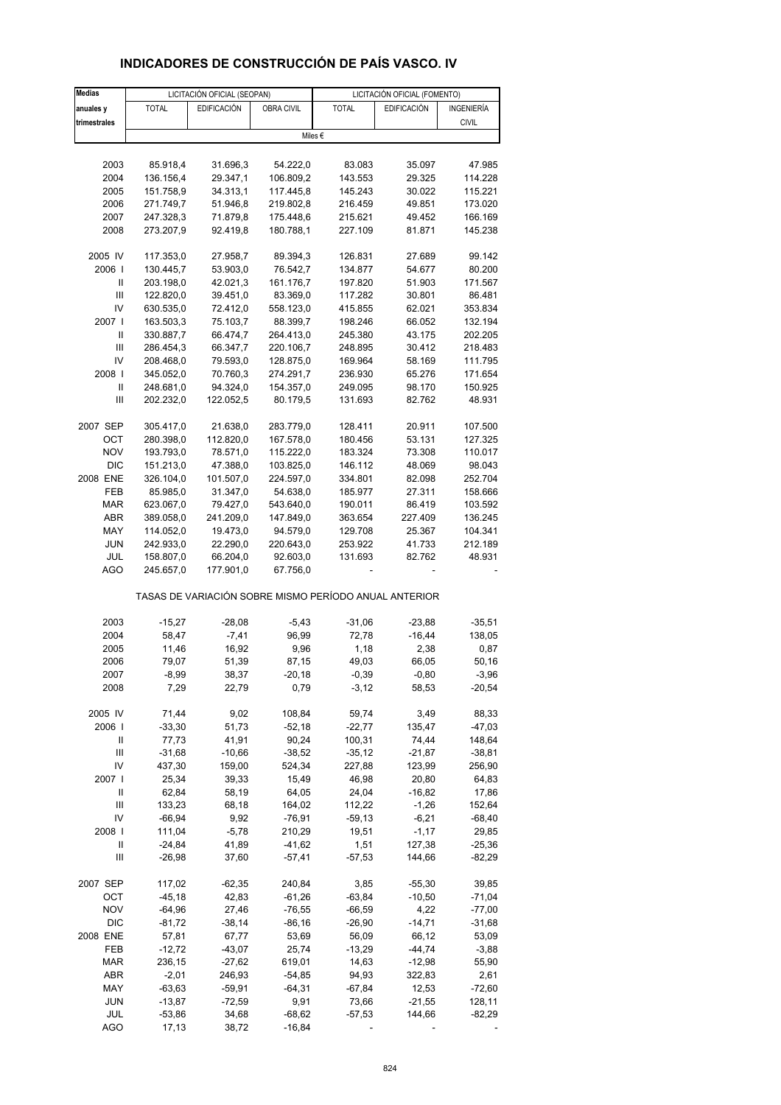| <b>Medias</b>  |              | LICITACIÓN OFICIAL (SEOPAN) |            |                                                       | LICITACIÓN OFICIAL (FOMENTO) |              |
|----------------|--------------|-----------------------------|------------|-------------------------------------------------------|------------------------------|--------------|
| anuales y      | <b>TOTAL</b> | <b>EDIFICACIÓN</b>          | OBRA CIVIL | <b>TOTAL</b>                                          | <b>EDIFICACIÓN</b>           | INGENIERÍA   |
| trimestrales   |              |                             |            |                                                       |                              | <b>CIVIL</b> |
|                |              |                             |            | Miles €                                               |                              |              |
|                |              |                             |            |                                                       |                              |              |
| 2003           | 85.918,4     | 31.696,3                    | 54.222,0   | 83.083                                                | 35.097                       | 47.985       |
| 2004           | 136.156,4    | 29.347,1                    | 106.809,2  | 143.553                                               | 29.325                       | 114.228      |
| 2005           | 151.758,9    | 34.313,1                    | 117.445,8  | 145.243                                               | 30.022                       | 115.221      |
| 2006           | 271.749,7    | 51.946,8                    | 219.802,8  | 216.459                                               | 49.851                       | 173.020      |
| 2007           | 247.328,3    | 71.879,8                    | 175.448,6  | 215.621                                               | 49.452                       | 166.169      |
|                |              |                             |            |                                                       |                              |              |
| 2008           | 273.207,9    | 92.419,8                    | 180.788,1  | 227.109                                               | 81.871                       | 145.238      |
| 2005 IV        | 117.353,0    | 27.958,7                    | 89.394,3   | 126.831                                               | 27.689                       | 99.142       |
| 2006           | 130.445,7    | 53.903,0                    | 76.542,7   | 134.877                                               | 54.677                       | 80.200       |
| Ш              | 203.198,0    | 42.021,3                    | 161.176,7  | 197.820                                               | 51.903                       | 171.567      |
| $\mathsf{III}$ | 122.820,0    | 39.451,0                    | 83.369,0   | 117.282                                               | 30.801                       | 86.481       |
| IV             | 630.535,0    | 72.412,0                    | 558.123,0  | 415.855                                               | 62.021                       | 353.834      |
| 2007           | 163.503,3    | 75.103,7                    | 88.399,7   | 198.246                                               | 66.052                       | 132.194      |
|                |              |                             |            |                                                       |                              |              |
| Ш              | 330.887,7    | 66.474,7                    | 264.413,0  | 245.380                                               | 43.175                       | 202.205      |
| Ш              | 286.454,3    | 66.347,7                    | 220.106,7  | 248.895                                               | 30.412                       | 218.483      |
| IV             | 208.468,0    | 79.593,0                    | 128.875,0  | 169.964                                               | 58.169                       | 111.795      |
| 2008           | 345.052,0    | 70.760,3                    | 274.291,7  | 236.930                                               | 65.276                       | 171.654      |
| Ш              | 248.681,0    | 94.324,0                    | 154.357,0  | 249.095                                               | 98.170                       | 150.925      |
| Ш              | 202.232,0    | 122.052,5                   | 80.179,5   | 131.693                                               | 82.762                       | 48.931       |
|                |              |                             |            | 128.411                                               | 20.911                       |              |
| 2007 SEP       | 305.417,0    | 21.638,0                    | 283.779,0  |                                                       |                              | 107.500      |
| OCT            | 280.398,0    | 112.820,0                   | 167.578,0  | 180.456                                               | 53.131                       | 127.325      |
| <b>NOV</b>     | 193.793,0    | 78.571,0                    | 115.222,0  | 183.324                                               | 73.308                       | 110.017      |
| DIC            | 151.213,0    | 47.388,0                    | 103.825,0  | 146.112                                               | 48.069                       | 98.043       |
| 2008 ENE       | 326.104,0    | 101.507,0                   | 224.597,0  | 334.801                                               | 82.098                       | 252.704      |
| FEB            | 85.985,0     | 31.347,0                    | 54.638,0   | 185.977                                               | 27.311                       | 158.666      |
| MAR            | 623.067,0    | 79.427,0                    | 543.640,0  | 190.011                                               | 86.419                       | 103.592      |
| ABR            | 389.058,0    | 241.209,0                   | 147.849,0  | 363.654                                               | 227.409                      | 136.245      |
| MAY            | 114.052,0    | 19.473,0                    | 94.579,0   | 129.708                                               | 25.367                       | 104.341      |
| <b>JUN</b>     | 242.933,0    | 22.290,0                    | 220.643,0  | 253.922                                               | 41.733                       | 212.189      |
| JUL            | 158.807,0    | 66.204,0                    | 92.603,0   | 131.693                                               | 82.762                       | 48.931       |
| AGO            | 245.657,0    | 177.901,0                   | 67.756,0   |                                                       |                              |              |
|                |              |                             |            | TASAS DE VARIACIÓN SOBRE MISMO PERÍODO ANUAL ANTERIOR |                              |              |
|                |              |                             |            |                                                       |                              |              |
| 2003           | $-15,27$     | $-28,08$                    | $-5,43$    | $-31,06$                                              | $-23,88$                     | $-35,51$     |
| 2004           | 58,47        | $-7,41$                     | 96,99      | 72,78                                                 | $-16,44$                     | 138,05       |
| 2005           | 11,46        | 16,92                       | 9,96       | 1,18                                                  | 2,38                         | 0,87         |
| 2006           | 79,07        | 51,39                       | 87,15      | 49,03                                                 | 66,05                        | 50,16        |
| 2007           | $-8,99$      | 38,37                       | $-20,18$   | $-0,39$                                               | $-0,80$                      | $-3,96$      |
| 2008           | 7,29         | 22,79                       | 0,79       | $-3,12$                                               | 58,53                        | $-20,54$     |
|                |              |                             |            |                                                       |                              |              |
| 2005 IV        | 71,44        | 9,02                        | 108,84     | 59,74                                                 | 3,49                         | 88,33        |
| 2006           | $-33,30$     | 51,73                       | $-52,18$   | $-22,77$                                              | 135,47                       | $-47,03$     |
| Ш              | 77,73        | 41,91                       | 90,24      | 100,31                                                | 74,44                        | 148,64       |
| Ш              | $-31,68$     | $-10,66$                    | $-38,52$   | $-35,12$                                              | $-21,87$                     | $-38,81$     |
| IV             | 437,30       | 159,00                      | 524,34     | 227,88                                                | 123,99                       | 256,90       |
| 2007           | 25,34        | 39,33                       | 15,49      | 46,98                                                 | 20,80                        | 64,83        |
| Ш              | 62,84        | 58,19                       | 64,05      | 24,04                                                 | $-16,82$                     | 17,86        |
| Ш              | 133,23       | 68,18                       | 164,02     | 112,22                                                | $-1,26$                      | 152,64       |
| IV             | $-66,94$     | 9,92                        | $-76,91$   | $-59,13$                                              | $-6,21$                      | $-68,40$     |
| 2008           | 111,04       | $-5,78$                     | 210,29     | 19,51                                                 | $-1,17$                      | 29,85        |
| Ш              | $-24,84$     | 41,89                       | $-41,62$   | 1,51                                                  | 127,38                       | $-25,36$     |
| Ш              | $-26,98$     | 37,60                       | $-57,41$   | $-57,53$                                              | 144,66                       | $-82,29$     |
|                |              |                             |            |                                                       |                              |              |
| 2007 SEP       | 117,02       | $-62,35$                    | 240,84     | 3,85                                                  | $-55,30$                     | 39,85        |
| OCT            | $-45,18$     | 42,83                       | $-61,26$   | $-63,84$                                              | $-10,50$                     | $-71,04$     |
| <b>NOV</b>     | $-64,96$     | 27,46                       | $-76,55$   | $-66,59$                                              | 4,22                         | $-77,00$     |
| DIC            | $-81,72$     | $-38,14$                    | $-86,16$   | $-26,90$                                              | $-14,71$                     | $-31,68$     |
| 2008 ENE       | 57,81        | 67,77                       | 53,69      | 56,09                                                 | 66,12                        | 53,09        |
| FEB            | $-12,72$     | $-43,07$                    | 25,74      | $-13,29$                                              | $-44,74$                     | $-3,88$      |
| <b>MAR</b>     | 236,15       | $-27,62$                    | 619,01     | 14,63                                                 | $-12,98$                     | 55,90        |
| ABR            | $-2,01$      | 246,93                      | $-54,85$   | 94,93                                                 | 322,83                       | 2,61         |
| MAY            | $-63,63$     | $-59,91$                    | $-64,31$   | $-67,84$                                              | 12,53                        | $-72,60$     |
| JUN            | $-13,87$     | $-72,59$                    | 9,91       | 73,66                                                 | $-21,55$                     | 128,11       |
| JUL            | $-53,86$     | 34,68                       | $-68,62$   | $-57,53$                                              | 144,66                       | $-82,29$     |
|                |              |                             |            |                                                       |                              |              |

## **INDICADORES DE CONSTRUCCIÓN DE PAÍS VASCO. IV**

AGO 17,13 38,72 -16,84 - - - - -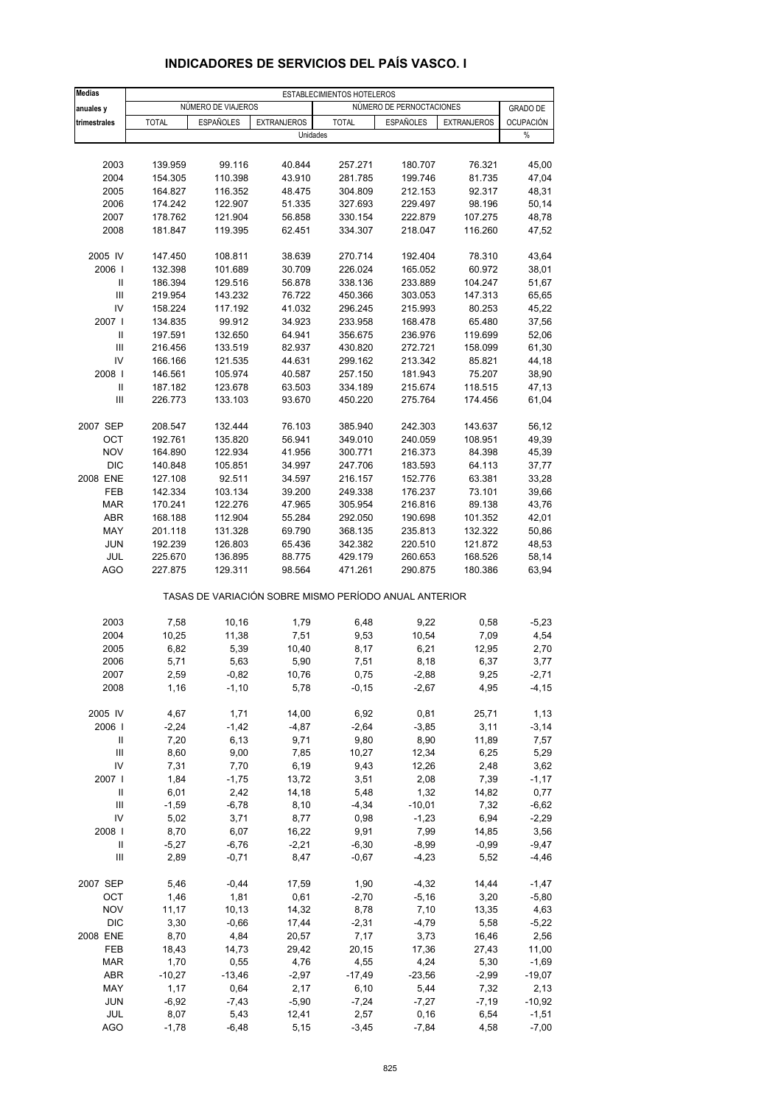| <b>Medias</b>                      |                    |                    |                                                       | ESTABLECIMIENTOS HOTELEROS |                          |                    |                   |
|------------------------------------|--------------------|--------------------|-------------------------------------------------------|----------------------------|--------------------------|--------------------|-------------------|
| anuales y                          |                    | NÚMERO DE VIAJEROS |                                                       |                            | NÚMERO DE PERNOCTACIONES |                    | <b>GRADO DE</b>   |
| trimestrales                       | <b>TOTAL</b>       | <b>ESPAÑOLES</b>   | <b>EXTRANJEROS</b>                                    | <b>TOTAL</b>               | <b>ESPAÑOLES</b>         | <b>EXTRANJEROS</b> | <b>OCUPACIÓN</b>  |
|                                    |                    |                    | Unidades                                              |                            |                          |                    | $\%$              |
|                                    |                    |                    |                                                       |                            |                          |                    |                   |
| 2003                               | 139.959            | 99.116             | 40.844                                                | 257.271                    | 180.707                  | 76.321             | 45,00             |
| 2004                               | 154.305            | 110.398            | 43.910                                                | 281.785                    | 199.746                  | 81.735             | 47,04             |
| 2005                               | 164.827            | 116.352            | 48.475                                                | 304.809                    | 212.153                  | 92.317             | 48,31             |
| 2006                               | 174.242            | 122.907            | 51.335                                                | 327.693                    | 229.497                  | 98.196             | 50,14             |
| 2007                               | 178.762            | 121.904            | 56.858                                                | 330.154                    | 222.879                  | 107.275            | 48,78             |
| 2008                               | 181.847            | 119.395            | 62.451                                                | 334.307                    | 218.047                  | 116.260            | 47,52             |
| 2005 IV                            | 147.450            | 108.811            | 38.639                                                | 270.714                    | 192.404                  | 78.310             | 43,64             |
| 2006                               | 132.398            | 101.689            | 30.709                                                | 226.024                    | 165.052                  | 60.972             | 38,01             |
| Ш                                  | 186.394            | 129.516            | 56.878                                                | 338.136                    | 233.889                  | 104.247            | 51,67             |
| $\mathbf{III}$                     | 219.954            | 143.232            | 76.722                                                | 450.366                    | 303.053                  | 147.313            | 65,65             |
| IV                                 | 158.224            | 117.192            | 41.032                                                | 296.245                    | 215.993                  | 80.253             | 45,22             |
| 2007 l                             | 134.835            | 99.912             | 34.923                                                | 233.958                    | 168.478                  | 65.480             | 37,56             |
| Ш<br>$\mathbf{III}$                | 197.591<br>216.456 | 132.650<br>133.519 | 64.941<br>82.937                                      | 356.675<br>430.820         | 236.976                  | 119.699<br>158.099 | 52,06<br>61,30    |
| IV                                 | 166.166            | 121.535            | 44.631                                                | 299.162                    | 272.721<br>213.342       | 85.821             | 44,18             |
| 2008                               | 146.561            | 105.974            | 40.587                                                | 257.150                    | 181.943                  | 75.207             | 38,90             |
| Ш                                  | 187.182            | 123.678            | 63.503                                                | 334.189                    | 215.674                  | 118.515            | 47,13             |
| Ш                                  | 226.773            | 133.103            | 93.670                                                | 450.220                    | 275.764                  | 174.456            | 61,04             |
|                                    |                    |                    |                                                       |                            |                          |                    |                   |
| 2007 SEP                           | 208.547            | 132.444            | 76.103                                                | 385.940                    | 242.303                  | 143.637            | 56,12             |
| OCT                                | 192.761            | 135.820            | 56.941                                                | 349.010                    | 240.059                  | 108.951            | 49,39             |
| <b>NOV</b>                         | 164.890            | 122.934            | 41.956                                                | 300.771                    | 216.373                  | 84.398             | 45,39             |
| <b>DIC</b>                         | 140.848            | 105.851            | 34.997                                                | 247.706                    | 183.593                  | 64.113             | 37,77             |
| 2008 ENE                           | 127.108            | 92.511             | 34.597                                                | 216.157                    | 152.776                  | 63.381             | 33,28             |
| <b>FEB</b>                         | 142.334            | 103.134            | 39.200                                                | 249.338                    | 176.237                  | 73.101             | 39,66             |
| <b>MAR</b>                         | 170.241            | 122.276            | 47.965                                                | 305.954                    | 216.816                  | 89.138             | 43,76             |
| ABR                                | 168.188            | 112.904            | 55.284                                                | 292.050                    | 190.698                  | 101.352            | 42,01             |
| MAY                                | 201.118            | 131.328            | 69.790                                                | 368.135                    | 235.813                  | 132.322            | 50,86             |
| <b>JUN</b>                         | 192.239            | 126.803            | 65.436                                                | 342.382                    | 220.510                  | 121.872            | 48,53             |
| JUL<br><b>AGO</b>                  | 225.670<br>227.875 | 136.895<br>129.311 | 88.775<br>98.564                                      | 429.179<br>471.261         | 260.653<br>290.875       | 168.526<br>180.386 | 58,14<br>63,94    |
|                                    |                    |                    | TASAS DE VARIACIÓN SOBRE MISMO PERÍODO ANUAL ANTERIOR |                            |                          |                    |                   |
|                                    |                    |                    |                                                       |                            |                          |                    |                   |
| 2003                               | 7,58               | 10,16              | 1,79                                                  | 6,48                       | 9,22                     | 0,58               | $-5,23$           |
| 2004                               | 10,25              | 11,38              | 7,51                                                  | 9,53                       | 10,54                    | 7,09               | 4,54              |
| 2005                               | 6,82               | 5,39               | 10,40                                                 | 8,17                       | 6,21                     | 12,95              | 2,70              |
| 2006                               | 5,71               | 5,63               | 5,90                                                  | 7,51                       | 8,18                     | 6,37               | 3,77              |
| 2007<br>2008                       | 2,59<br>1,16       | $-0,82$<br>$-1,10$ | 10,76<br>5,78                                         | 0,75<br>$-0,15$            | $-2,88$<br>$-2,67$       | 9,25<br>4,95       | -2,71<br>$-4, 15$ |
|                                    |                    |                    |                                                       |                            |                          |                    |                   |
| 2005 IV                            | 4,67               | 1,71               | 14,00                                                 | 6,92                       | 0,81                     | 25,71              | 1,13              |
| 2006                               | $-2,24$            | $-1,42$            | $-4,87$                                               | $-2,64$                    | $-3,85$                  | 3,11               | $-3,14$           |
| Ш                                  | 7,20               | 6,13               | 9,71                                                  | 9,80                       | 8,90                     | 11,89              | 7,57              |
| Ш<br>IV                            | 8,60               | 9,00               | 7,85                                                  | 10,27                      | 12,34                    | 6,25               | 5,29              |
| 2007 l                             | 7,31<br>1,84       | 7,70               | 6,19                                                  | 9,43<br>3,51               | 12,26                    | 2,48               | 3,62              |
| Ш                                  | 6,01               | $-1,75$<br>2,42    | 13,72<br>14,18                                        | 5,48                       | 2,08<br>1,32             | 7,39<br>14,82      | $-1,17$<br>0,77   |
| $\ensuremath{\mathsf{III}}\xspace$ | $-1,59$            | $-6,78$            | 8,10                                                  | $-4,34$                    | $-10,01$                 | 7,32               | $-6,62$           |
| IV                                 | 5,02               | 3,71               | 8,77                                                  | 0,98                       | $-1,23$                  | 6,94               | $-2,29$           |
| 2008                               | 8,70               | 6,07               | 16,22                                                 | 9,91                       | 7,99                     | 14,85              | 3,56              |
| Ш                                  | $-5,27$            | $-6,76$            | $-2,21$                                               | $-6,30$                    | $-8,99$                  | $-0,99$            | $-9,47$           |
| Ш                                  | 2,89               | $-0,71$            | 8,47                                                  | $-0,67$                    | $-4,23$                  | 5,52               | $-4,46$           |
|                                    |                    |                    |                                                       |                            |                          |                    |                   |
| 2007 SEP                           | 5,46               | $-0,44$            | 17,59                                                 | 1,90                       | $-4,32$                  | 14,44              | $-1,47$           |
| OCT                                | 1,46               | 1,81               | 0,61                                                  | $-2,70$                    | $-5,16$                  | 3,20               | $-5,80$           |
| <b>NOV</b>                         | 11,17              | 10,13              | 14,32                                                 | 8,78                       | 7,10                     | 13,35              | 4,63              |
| <b>DIC</b>                         | 3,30               | $-0,66$            | 17,44                                                 | $-2,31$                    | $-4,79$                  | 5,58               | $-5,22$           |
| 2008 ENE                           | 8,70               | 4,84               | 20,57                                                 | 7,17                       | 3,73                     | 16,46              | 2,56              |
| FEB                                | 18,43<br>1,70      | 14,73              | 29,42<br>4,76                                         | 20,15                      | 17,36                    | 27,43<br>5,30      | 11,00             |
| <b>MAR</b>                         |                    | 0,55               |                                                       | 4,55                       | 4,24                     |                    | $-1,69$           |
| ABR<br>MAY                         | $-10,27$           | $-13,46$           | $-2,97$                                               | $-17,49$                   | $-23,56$                 | $-2,99$            | $-19,07$          |
| JUN                                | 1,17<br>$-6,92$    | 0,64<br>$-7,43$    | 2,17<br>$-5,90$                                       | 6,10<br>$-7,24$            | 5,44<br>$-7,27$          | 7,32<br>$-7,19$    | 2,13<br>$-10,92$  |
| JUL                                | 8,07               | 5,43               | 12,41                                                 | 2,57                       | 0, 16                    | 6,54               | $-1,51$           |
| <b>AGO</b>                         | $-1,78$            | $-6,48$            | 5,15                                                  | $-3,45$                    | $-7,84$                  | 4,58               | $-7,00$           |
|                                    |                    |                    |                                                       |                            |                          |                    |                   |

## **INDICADORES DE SERVICIOS DEL PAÍS VASCO. I**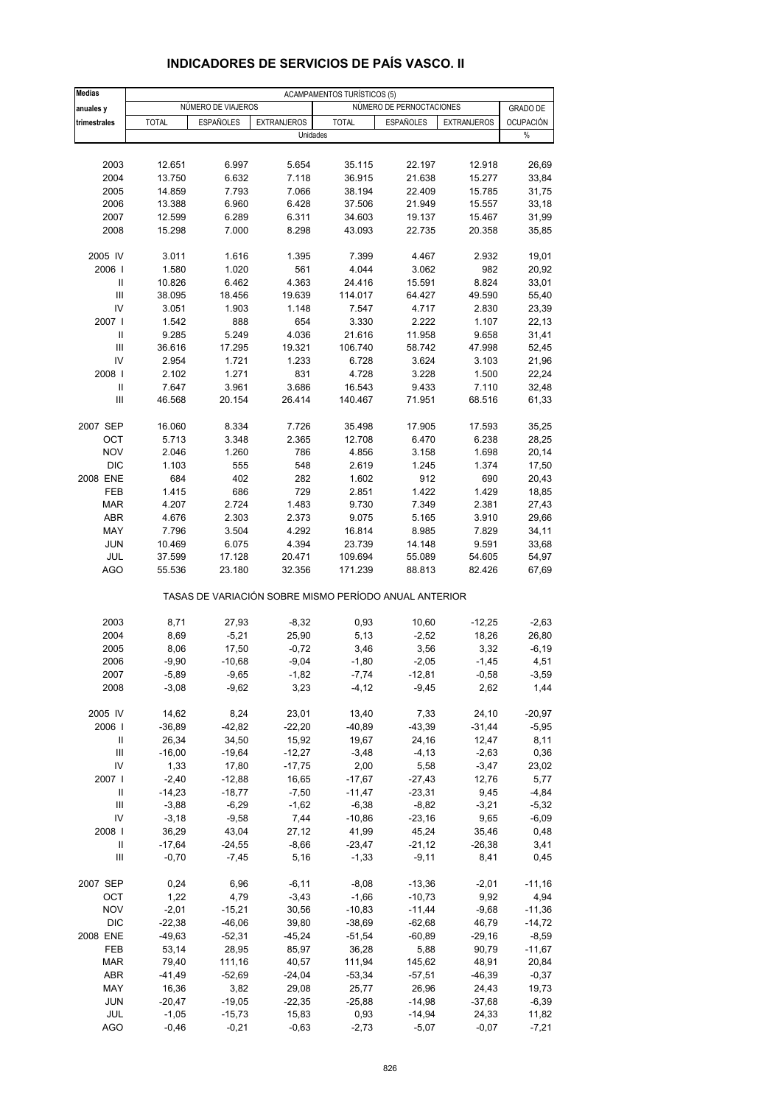| <b>Medias</b>                      |              |                    |                                                       | <b>ACAMPAMENTOS TURÍSTICOS (5)</b> |                          |                    |                  |
|------------------------------------|--------------|--------------------|-------------------------------------------------------|------------------------------------|--------------------------|--------------------|------------------|
| anuales y                          |              | NUMERO DE VIAJEROS |                                                       |                                    | NÚMERO DE PERNOCTACIONES |                    | <b>GRADO DE</b>  |
| trimestrales                       | <b>TOTAL</b> | <b>ESPAÑOLES</b>   | <b>EXTRANJEROS</b>                                    | <b>TOTAL</b>                       | ESPAÑOLES                | <b>EXTRANJEROS</b> | <b>OCUPACIÓN</b> |
|                                    |              |                    | Unidades                                              |                                    |                          |                    | $\%$             |
|                                    |              |                    |                                                       |                                    |                          |                    |                  |
| 2003                               | 12.651       | 6.997              | 5.654                                                 | 35.115                             | 22.197                   | 12.918             | 26,69            |
| 2004                               | 13.750       | 6.632              | 7.118                                                 | 36.915                             | 21.638                   | 15.277             | 33,84            |
| 2005                               | 14.859       | 7.793              | 7.066                                                 | 38.194                             | 22.409                   | 15.785             | 31,75            |
| 2006                               | 13.388       | 6.960              | 6.428                                                 | 37.506                             | 21.949                   | 15.557             | 33,18            |
| 2007                               | 12.599       | 6.289              | 6.311                                                 | 34.603                             | 19.137                   | 15.467             | 31,99            |
| 2008                               | 15.298       | 7.000              | 8.298                                                 | 43.093                             | 22.735                   | 20.358             | 35,85            |
| 2005 IV                            | 3.011        | 1.616              | 1.395                                                 | 7.399                              | 4.467                    | 2.932              | 19,01            |
| 2006                               | 1.580        | 1.020              | 561                                                   | 4.044                              | 3.062                    | 982                | 20,92            |
| Ш                                  | 10.826       | 6.462              | 4.363                                                 | 24.416                             | 15.591                   | 8.824              | 33,01            |
| $\mathbf{III}$                     | 38.095       | 18.456             | 19.639                                                | 114.017                            | 64.427                   | 49.590             | 55,40            |
| IV                                 | 3.051        | 1.903              | 1.148                                                 | 7.547                              | 4.717                    | 2.830              | 23,39            |
| 2007 l                             | 1.542        | 888                | 654                                                   | 3.330                              | 2.222                    | 1.107              | 22,13            |
| Ш                                  | 9.285        | 5.249              | 4.036                                                 | 21.616                             | 11.958                   | 9.658              | 31,41            |
| $\mathbf{III}$                     | 36.616       | 17.295             | 19.321                                                | 106.740                            | 58.742                   | 47.998             | 52,45            |
| IV                                 | 2.954        | 1.721              | 1.233                                                 | 6.728                              | 3.624                    | 3.103              | 21,96            |
| 2008                               | 2.102        | 1.271              | 831                                                   | 4.728                              | 3.228                    | 1.500              | 22,24            |
| $\mathbf{II}$                      | 7.647        | 3.961              | 3.686                                                 | 16.543                             | 9.433                    | 7.110              | 32,48            |
| Ш                                  | 46.568       | 20.154             | 26.414                                                | 140.467                            | 71.951                   | 68.516             | 61,33            |
| 2007 SEP                           | 16.060       | 8.334              | 7.726                                                 | 35.498                             | 17.905                   | 17.593             | 35,25            |
| ОСТ                                | 5.713        | 3.348              | 2.365                                                 | 12.708                             | 6.470                    | 6.238              | 28,25            |
| <b>NOV</b>                         | 2.046        | 1.260              | 786                                                   | 4.856                              | 3.158                    | 1.698              | 20,14            |
| <b>DIC</b>                         | 1.103        | 555                | 548                                                   | 2.619                              | 1.245                    | 1.374              | 17,50            |
| 2008 ENE                           | 684          | 402                | 282                                                   | 1.602                              | 912                      | 690                | 20,43            |
| FEB                                | 1.415        | 686                | 729                                                   | 2.851                              | 1.422                    | 1.429              | 18,85            |
| <b>MAR</b>                         | 4.207        | 2.724              | 1.483                                                 | 9.730                              | 7.349                    | 2.381              | 27,43            |
| <b>ABR</b>                         | 4.676        | 2.303              | 2.373                                                 | 9.075                              | 5.165                    | 3.910              | 29,66            |
| MAY                                | 7.796        | 3.504              | 4.292                                                 | 16.814                             | 8.985                    | 7.829              | 34,11            |
| <b>JUN</b>                         | 10.469       | 6.075              | 4.394                                                 | 23.739                             | 14.148                   | 9.591              | 33,68            |
| JUL                                | 37.599       | 17.128             | 20.471                                                | 109.694                            | 55.089                   | 54.605             | 54,97            |
| AGO                                | 55.536       | 23.180             | 32.356                                                | 171.239                            | 88.813                   | 82.426             | 67,69            |
|                                    |              |                    | TASAS DE VARIACIÓN SOBRE MISMO PERÍODO ANUAL ANTERIOR |                                    |                          |                    |                  |
| 2003                               | 8,71         | 27,93              | $-8,32$                                               | 0,93                               | 10,60                    | $-12,25$           | $-2,63$          |
| 2004                               | 8,69         | $-5,21$            | 25,90                                                 | 5,13                               | $-2,52$                  | 18,26              | 26,80            |
| 2005                               | 8,06         | 17,50              | $-0,72$                                               | 3,46                               | 3,56                     | 3,32               | $-6,19$          |
| 2006                               | $-9,90$      | $-10,68$           | $-9,04$                                               | $-1,80$                            | $-2,05$                  | $-1,45$            | 4,51             |
| 2007                               | $-5,89$      | -9,65              | -1,82                                                 | $-7,74$                            | -12,81                   | $-0,58$            | $-3,59$          |
| 2008                               | $-3,08$      | $-9,62$            | 3,23                                                  | $-4, 12$                           | $-9,45$                  | 2,62               | 1,44             |
| 2005 IV                            | 14,62        | 8,24               | 23,01                                                 | 13,40                              | 7,33                     | 24,10              | $-20,97$         |
| 2006                               | $-36,89$     | $-42,82$           | $-22,20$                                              | $-40,89$                           | $-43,39$                 | $-31,44$           | $-5,95$          |
| Ш                                  | 26,34        | 34,50              | 15,92                                                 | 19,67                              | 24,16                    | 12,47              | 8,11             |
| $\mathsf{III}$                     | $-16,00$     | $-19,64$           | $-12,27$                                              | $-3,48$                            | $-4, 13$                 | $-2,63$            | 0,36             |
| IV                                 | 1,33         | 17,80              | $-17,75$                                              | 2,00                               | 5,58                     | $-3,47$            | 23,02            |
| 2007 l                             | $-2,40$      | $-12,88$           | 16,65                                                 | $-17,67$                           | $-27,43$                 | 12,76              | 5,77             |
| Ш                                  | $-14,23$     | $-18,77$           | $-7,50$                                               | $-11,47$                           | $-23,31$                 | 9,45               | $-4,84$          |
| Ш                                  | $-3,88$      | $-6,29$            | $-1,62$                                               | $-6,38$                            | $-8,82$                  | $-3,21$            | $-5,32$          |
| IV                                 | $-3,18$      | $-9,58$            | 7,44                                                  | $-10,86$                           | $-23,16$                 | 9,65               | $-6,09$          |
| 2008                               | 36,29        | 43,04              | 27,12                                                 | 41,99                              | 45,24                    | 35,46              | 0,48             |
| Ш                                  | $-17,64$     | $-24,55$           | $-8,66$                                               | $-23,47$                           | $-21,12$                 | $-26,38$           | 3,41             |
| $\ensuremath{\mathsf{III}}\xspace$ | $-0,70$      | $-7,45$            | 5,16                                                  | $-1,33$                            | $-9,11$                  | 8,41               | 0,45             |
| 2007 SEP                           | 0,24         | 6,96               | $-6, 11$                                              | $-8,08$                            | $-13,36$                 | $-2,01$            | $-11,16$         |
| OCT                                | 1,22         | 4,79               | $-3,43$                                               | $-1,66$                            | $-10,73$                 | 9,92               | 4,94             |
| <b>NOV</b>                         | $-2,01$      | $-15,21$           | 30,56                                                 | $-10,83$                           | $-11,44$                 | $-9,68$            | $-11,36$         |
| DIC                                | $-22,38$     | $-46,06$           | 39,80                                                 | $-38,69$                           | $-62,68$                 | 46,79              | $-14,72$         |
| 2008 ENE                           | $-49,63$     | $-52,31$           | $-45,24$                                              | $-51,54$                           | $-60,89$                 | $-29,16$           | $-8,59$          |
| FEB                                | 53,14        | 28,95              | 85,97                                                 | 36,28                              | 5,88                     | 90,79              | $-11,67$         |
| <b>MAR</b>                         | 79,40        | 111,16             | 40,57                                                 | 111,94                             | 145,62                   | 48,91              | 20,84            |
| ABR                                | $-41,49$     | $-52,69$           | $-24,04$                                              | $-53,34$                           | $-57,51$                 | $-46,39$           | $-0,37$          |
| MAY                                | 16,36        | 3,82               | 29,08                                                 | 25,77                              | 26,96                    | 24,43              | 19,73            |
| JUN                                | $-20,47$     | $-19,05$           | $-22,35$                                              | $-25,88$                           | $-14,98$                 | $-37,68$           | $-6,39$          |
| JUL                                | $-1,05$      | $-15,73$           | 15,83                                                 | 0,93                               | $-14,94$                 | 24,33              | 11,82            |
| <b>AGO</b>                         | $-0,46$      | $-0,21$            | $-0,63$                                               | $-2,73$                            | $-5,07$                  | $-0,07$            | $-7,21$          |

## **INDICADORES DE SERVICIOS DE PAÍS VASCO. II**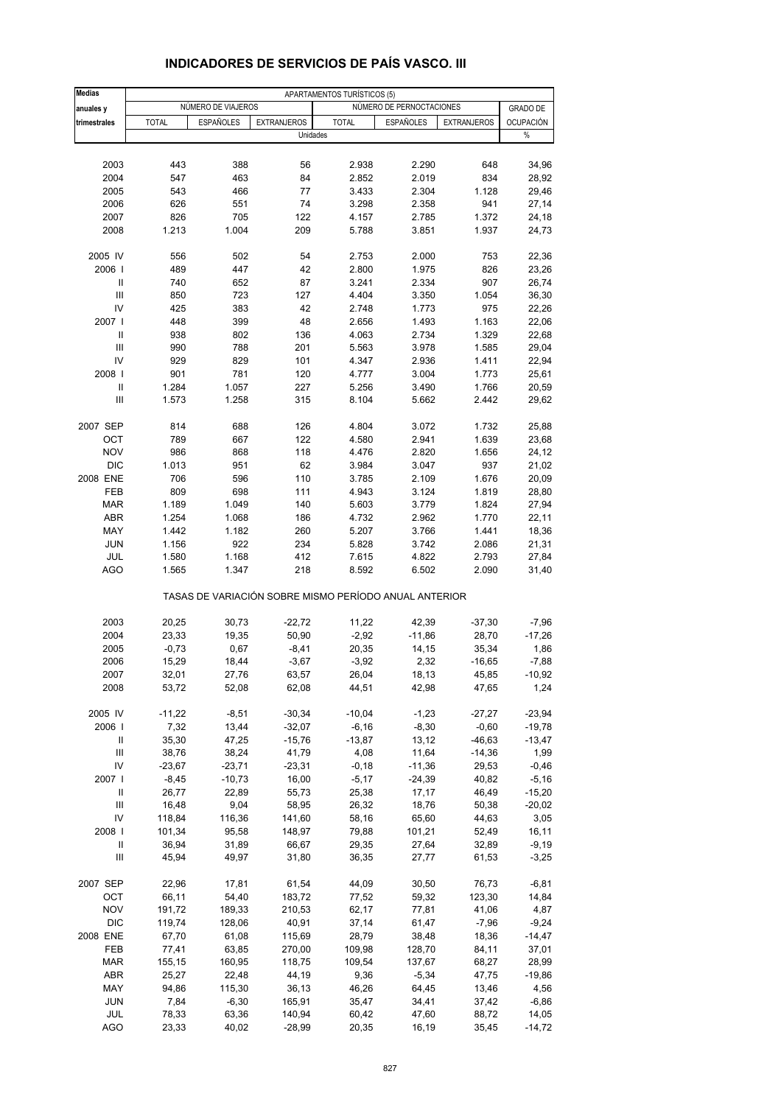| <b>Medias</b>          |                |                    |                                                       | APARTAMENTOS TURÍSTICOS (5) |                          |                    |                 |
|------------------------|----------------|--------------------|-------------------------------------------------------|-----------------------------|--------------------------|--------------------|-----------------|
| anuales y              |                | NÚMERO DE VIAJEROS |                                                       |                             | NÚMERO DE PERNOCTACIONES |                    | <b>GRADO DE</b> |
| trimestrales           | <b>TOTAL</b>   | <b>ESPAÑOLES</b>   | <b>EXTRANJEROS</b>                                    | <b>TOTAL</b>                | <b>ESPAÑOLES</b>         | <b>EXTRANJEROS</b> | OCUPACIÓN       |
|                        |                |                    | Unidades                                              |                             |                          |                    | $\%$            |
|                        |                |                    |                                                       |                             |                          |                    |                 |
| 2003                   | 443            | 388                | 56                                                    | 2.938                       | 2.290                    | 648                | 34,96           |
| 2004<br>2005           | 547<br>543     | 463<br>466         | 84<br>77                                              | 2.852<br>3.433              | 2.019<br>2.304           | 834<br>1.128       | 28,92<br>29,46  |
| 2006                   | 626            | 551                | 74                                                    | 3.298                       | 2.358                    | 941                | 27,14           |
| 2007                   | 826            | 705                | 122                                                   | 4.157                       | 2.785                    | 1.372              | 24,18           |
| 2008                   | 1.213          | 1.004              | 209                                                   | 5.788                       | 3.851                    | 1.937              | 24,73           |
|                        |                |                    |                                                       |                             |                          |                    |                 |
| 2005 IV                | 556            | 502                | 54                                                    | 2.753                       | 2.000                    | 753                | 22,36           |
| 2006                   | 489            | 447                | 42                                                    | 2.800                       | 1.975                    | 826                | 23,26           |
| Ш<br>$\mathbf{III}$    | 740            | 652                | 87                                                    | 3.241                       | 2.334                    | 907                | 26,74           |
| IV                     | 850<br>425     | 723<br>383         | 127<br>42                                             | 4.404<br>2.748              | 3.350<br>1.773           | 1.054<br>975       | 36,30<br>22,26  |
| 2007 l                 | 448            | 399                | 48                                                    | 2.656                       | 1.493                    | 1.163              | 22,06           |
| Ш                      | 938            | 802                | 136                                                   | 4.063                       | 2.734                    | 1.329              | 22,68           |
| Ш                      | 990            | 788                | 201                                                   | 5.563                       | 3.978                    | 1.585              | 29,04           |
| IV                     | 929            | 829                | 101                                                   | 4.347                       | 2.936                    | 1.411              | 22,94           |
| 2008                   | 901            | 781                | 120                                                   | 4.777                       | 3.004                    | 1.773              | 25,61           |
| Ш                      | 1.284          | 1.057              | 227                                                   | 5.256                       | 3.490                    | 1.766              | 20,59           |
| III                    | 1.573          | 1.258              | 315                                                   | 8.104                       | 5.662                    | 2.442              | 29,62           |
|                        |                |                    |                                                       |                             |                          |                    |                 |
| 2007 SEP               | 814            | 688                | 126                                                   | 4.804                       | 3.072                    | 1.732              | 25,88           |
| OCT                    | 789            | 667                | 122                                                   | 4.580                       | 2.941                    | 1.639              | 23,68           |
| <b>NOV</b>             | 986            | 868                | 118                                                   | 4.476                       | 2.820                    | 1.656              | 24,12           |
| <b>DIC</b><br>2008 ENE | 1.013<br>706   | 951<br>596         | 62<br>110                                             | 3.984<br>3.785              | 3.047<br>2.109           | 937<br>1.676       | 21,02<br>20,09  |
| FEB                    | 809            | 698                | 111                                                   | 4.943                       | 3.124                    | 1.819              | 28,80           |
| <b>MAR</b>             | 1.189          | 1.049              | 140                                                   | 5.603                       | 3.779                    | 1.824              | 27,94           |
| ABR                    | 1.254          | 1.068              | 186                                                   | 4.732                       | 2.962                    | 1.770              | 22,11           |
| MAY                    | 1.442          | 1.182              | 260                                                   | 5.207                       | 3.766                    | 1.441              | 18,36           |
| <b>JUN</b>             | 1.156          | 922                | 234                                                   | 5.828                       | 3.742                    | 2.086              | 21,31           |
| JUL                    | 1.580          | 1.168              | 412                                                   | 7.615                       | 4.822                    | 2.793              | 27,84           |
| <b>AGO</b>             | 1.565          | 1.347              | 218                                                   | 8.592                       | 6.502                    | 2.090              | 31,40           |
|                        |                |                    | TASAS DE VARIACIÓN SOBRE MISMO PERÍODO ANUAL ANTERIOR |                             |                          |                    |                 |
| 2003                   | 20,25          | 30,73              | $-22,72$                                              | 11,22                       | 42,39                    | $-37,30$           | $-7,96$         |
| 2004                   | 23,33          | 19,35              | 50,90                                                 | $-2,92$                     | $-11,86$                 | 28,70              | $-17,26$        |
| 2005                   | $-0,73$        | 0,67               | $-8,41$                                               | 20,35                       | 14,15                    | 35,34              | 1,86            |
| 2006                   | 15,29          | 18,44              | $-3,67$                                               | $-3,92$                     | 2,32                     | $-16,65$           | $-7,88$         |
| 2007                   | 32,01          | 27,76              | 63,57                                                 | 26,04                       | 18,13                    | 45,85              | $-10,92$        |
| 2008                   | 53,72          | 52,08              | 62,08                                                 | 44,51                       | 42,98                    | 47,65              | 1,24            |
| 2005 IV                |                | $-8,51$            | $-30,34$                                              | $-10,04$                    |                          | $-27,27$           | $-23,94$        |
| 2006                   | -11,22<br>7,32 | 13,44              | $-32,07$                                              | $-6,16$                     | $-1,23$<br>$-8,30$       | $-0,60$            | $-19,78$        |
| Ш                      | 35,30          | 47,25              | $-15,76$                                              | $-13,87$                    | 13,12                    | $-46,63$           | $-13,47$        |
| Ш                      | 38,76          | 38,24              | 41,79                                                 | 4,08                        | 11,64                    | $-14,36$           | 1,99            |
| IV                     | $-23,67$       | $-23,71$           | $-23,31$                                              | $-0,18$                     | $-11,36$                 | 29,53              | $-0,46$         |
| 2007 l                 | $-8,45$        | $-10,73$           | 16,00                                                 | $-5,17$                     | $-24,39$                 | 40,82              | $-5,16$         |
| Ш                      | 26,77          | 22,89              | 55,73                                                 | 25,38                       | 17,17                    | 46,49              | $-15,20$        |
| $\mathsf{III}$         | 16,48          | 9,04               | 58,95                                                 | 26,32                       | 18,76                    | 50,38              | $-20,02$        |
| IV                     | 118,84         | 116,36             | 141,60                                                | 58,16                       | 65,60                    | 44,63              | 3,05            |
| 2008                   | 101,34         | 95,58              | 148,97                                                | 79,88                       | 101,21                   | 52,49              | 16,11           |
| Ш                      | 36,94          | 31,89              | 66,67                                                 | 29,35                       | 27,64                    | 32,89              | $-9,19$         |
| Ш                      | 45,94          | 49,97              | 31,80                                                 | 36,35                       | 27,77                    | 61,53              | $-3,25$         |
| 2007 SEP               | 22,96          | 17,81              | 61,54                                                 | 44,09                       | 30,50                    | 76,73              | $-6,81$         |
| OCT                    | 66,11          | 54,40              | 183,72                                                | 77,52                       | 59,32                    | 123,30             | 14,84           |
| <b>NOV</b>             | 191,72         | 189,33             | 210,53                                                | 62,17                       | 77,81                    | 41,06              | 4,87            |
| <b>DIC</b>             | 119,74         | 128,06             | 40,91                                                 | 37,14                       | 61,47                    | $-7,96$            | $-9,24$         |
| 2008 ENE               | 67,70          | 61,08              | 115,69                                                | 28,79                       | 38,48                    | 18,36              | $-14,47$        |
| FEB                    | 77,41          | 63,85              | 270,00                                                | 109,98                      | 128,70                   | 84,11              | 37,01           |
| MAR                    | 155,15         | 160,95             | 118,75                                                | 109,54                      | 137,67                   | 68,27              | 28,99           |
| ABR                    | 25,27          | 22,48              | 44,19                                                 | 9,36                        | $-5,34$                  | 47,75              | -19,86          |
| MAY                    | 94,86          | 115,30             | 36,13                                                 | 46,26                       | 64,45                    | 13,46              | 4,56            |
| <b>JUN</b>             | 7,84           | $-6,30$            | 165,91                                                | 35,47                       | 34,41                    | 37,42              | $-6,86$         |
| JUL                    | 78,33          | 63,36              | 140,94                                                | 60,42                       | 47,60                    | 88,72              | 14,05           |
| <b>AGO</b>             | 23,33          | 40,02              | $-28,99$                                              | 20,35                       | 16,19                    | 35,45              | $-14,72$        |

### **INDICADORES DE SERVICIOS DE PAÍS VASCO. III**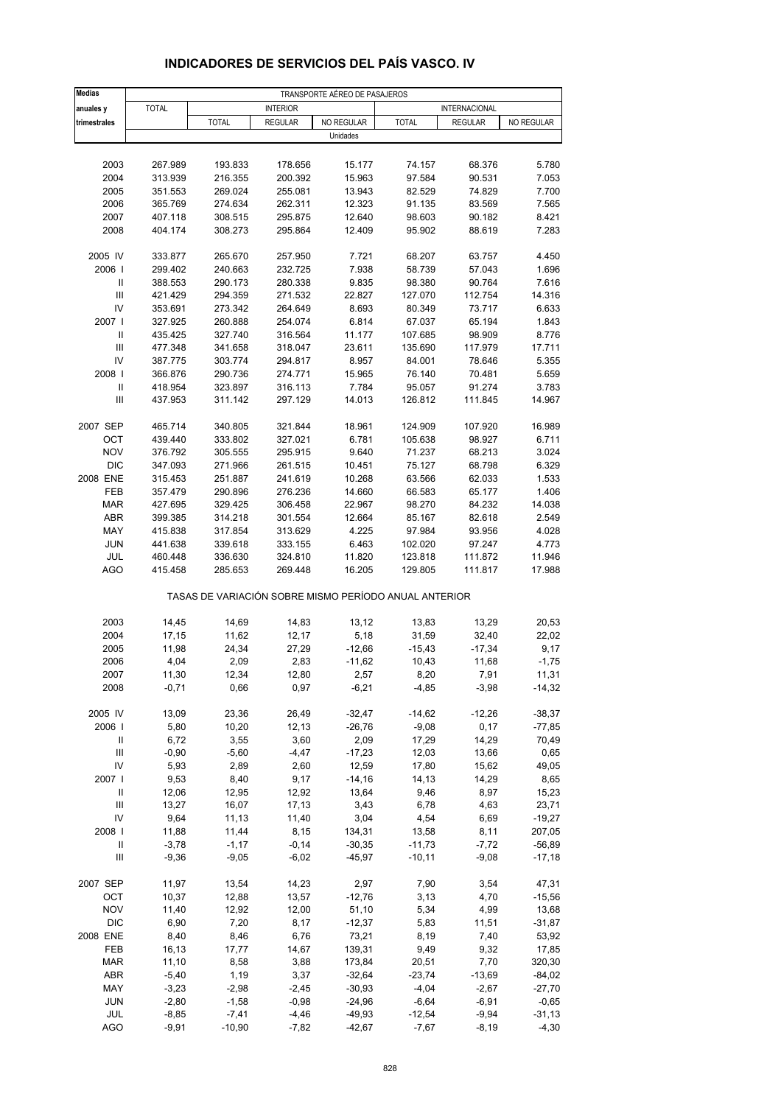| <b>Medias</b><br>TRANSPORTE AÉREO DE PASAJEROS<br><b>TOTAL</b><br>anuales y<br><b>INTERIOR</b><br><b>INTERNACIONAL</b><br>trimestrales<br><b>TOTAL</b><br><b>REGULAR</b><br>NO REGULAR<br><b>TOTAL</b><br><b>REGULAR</b><br>NO REGULAR<br>Unidades<br>2003<br>178.656<br>15.177<br>68.376<br>267.989<br>193.833<br>74.157<br>2004<br>313.939<br>216.355<br>200.392<br>15.963<br>97.584<br>90.531<br>2005<br>269.024<br>13.943<br>74.829<br>351.553<br>255.081<br>82.529<br>2006<br>365.769<br>274.634<br>262.311<br>12.323<br>91.135<br>83.569<br>2007<br>407.118<br>308.515<br>295.875<br>12.640<br>98.603<br>90.182<br>2008<br>404.174<br>308.273<br>295.864<br>12.409<br>88.619<br>95.902<br>2005 IV<br>333.877<br>265.670<br>257.950<br>7.721<br>68.207<br>63.757<br>2006  <br>299.402<br>240.663<br>232.725<br>7.938<br>58.739<br>57.043<br>Ш<br>388.553<br>290.173<br>280.338<br>9.835<br>98.380<br>90.764<br>$\ensuremath{\mathsf{III}}\xspace$<br>421.429<br>294.359<br>271.532<br>22.827<br>127.070<br>112.754<br>IV<br>273.342<br>8.693<br>353.691<br>264.649<br>80.349<br>73.717<br>2007 l<br>327.925<br>260.888<br>254.074<br>6.814<br>67.037<br>65.194<br>Ш<br>435.425<br>327.740<br>316.564<br>11.177<br>107.685<br>98.909<br>$\begin{array}{c} \hline \end{array}$<br>117.979<br>477.348<br>341.658<br>318.047<br>23.611<br>135.690<br>IV<br>387.775<br>303.774<br>294.817<br>8.957<br>84.001<br>78.646<br>2008  <br>366.876<br>290.736<br>274.771<br>15.965<br>76.140<br>70.481<br>$\ensuremath{\mathsf{II}}$<br>323.897<br>7.784<br>91.274<br>418.954<br>316.113<br>95.057<br>Ш<br>437.953<br>311.142<br>297.129<br>14.013<br>126.812<br>111.845<br>2007 SEP<br>465.714<br>340.805<br>321.844<br>18.961<br>124.909<br>107.920<br>OCT<br>439.440<br>333.802<br>327.021<br>6.781<br>105.638<br>98.927 |                     |
|----------------------------------------------------------------------------------------------------------------------------------------------------------------------------------------------------------------------------------------------------------------------------------------------------------------------------------------------------------------------------------------------------------------------------------------------------------------------------------------------------------------------------------------------------------------------------------------------------------------------------------------------------------------------------------------------------------------------------------------------------------------------------------------------------------------------------------------------------------------------------------------------------------------------------------------------------------------------------------------------------------------------------------------------------------------------------------------------------------------------------------------------------------------------------------------------------------------------------------------------------------------------------------------------------------------------------------------------------------------------------------------------------------------------------------------------------------------------------------------------------------------------------------------------------------------------------------------------------------------------------------------------------------------------------------------------------------------------------------------------------------------------------------------------------------------------|---------------------|
|                                                                                                                                                                                                                                                                                                                                                                                                                                                                                                                                                                                                                                                                                                                                                                                                                                                                                                                                                                                                                                                                                                                                                                                                                                                                                                                                                                                                                                                                                                                                                                                                                                                                                                                                                                                                                      |                     |
|                                                                                                                                                                                                                                                                                                                                                                                                                                                                                                                                                                                                                                                                                                                                                                                                                                                                                                                                                                                                                                                                                                                                                                                                                                                                                                                                                                                                                                                                                                                                                                                                                                                                                                                                                                                                                      |                     |
|                                                                                                                                                                                                                                                                                                                                                                                                                                                                                                                                                                                                                                                                                                                                                                                                                                                                                                                                                                                                                                                                                                                                                                                                                                                                                                                                                                                                                                                                                                                                                                                                                                                                                                                                                                                                                      |                     |
|                                                                                                                                                                                                                                                                                                                                                                                                                                                                                                                                                                                                                                                                                                                                                                                                                                                                                                                                                                                                                                                                                                                                                                                                                                                                                                                                                                                                                                                                                                                                                                                                                                                                                                                                                                                                                      |                     |
|                                                                                                                                                                                                                                                                                                                                                                                                                                                                                                                                                                                                                                                                                                                                                                                                                                                                                                                                                                                                                                                                                                                                                                                                                                                                                                                                                                                                                                                                                                                                                                                                                                                                                                                                                                                                                      | 5.780               |
|                                                                                                                                                                                                                                                                                                                                                                                                                                                                                                                                                                                                                                                                                                                                                                                                                                                                                                                                                                                                                                                                                                                                                                                                                                                                                                                                                                                                                                                                                                                                                                                                                                                                                                                                                                                                                      | 7.053               |
|                                                                                                                                                                                                                                                                                                                                                                                                                                                                                                                                                                                                                                                                                                                                                                                                                                                                                                                                                                                                                                                                                                                                                                                                                                                                                                                                                                                                                                                                                                                                                                                                                                                                                                                                                                                                                      | 7.700               |
|                                                                                                                                                                                                                                                                                                                                                                                                                                                                                                                                                                                                                                                                                                                                                                                                                                                                                                                                                                                                                                                                                                                                                                                                                                                                                                                                                                                                                                                                                                                                                                                                                                                                                                                                                                                                                      | 7.565               |
|                                                                                                                                                                                                                                                                                                                                                                                                                                                                                                                                                                                                                                                                                                                                                                                                                                                                                                                                                                                                                                                                                                                                                                                                                                                                                                                                                                                                                                                                                                                                                                                                                                                                                                                                                                                                                      | 8.421               |
|                                                                                                                                                                                                                                                                                                                                                                                                                                                                                                                                                                                                                                                                                                                                                                                                                                                                                                                                                                                                                                                                                                                                                                                                                                                                                                                                                                                                                                                                                                                                                                                                                                                                                                                                                                                                                      | 7.283               |
|                                                                                                                                                                                                                                                                                                                                                                                                                                                                                                                                                                                                                                                                                                                                                                                                                                                                                                                                                                                                                                                                                                                                                                                                                                                                                                                                                                                                                                                                                                                                                                                                                                                                                                                                                                                                                      |                     |
|                                                                                                                                                                                                                                                                                                                                                                                                                                                                                                                                                                                                                                                                                                                                                                                                                                                                                                                                                                                                                                                                                                                                                                                                                                                                                                                                                                                                                                                                                                                                                                                                                                                                                                                                                                                                                      | 4.450<br>1.696      |
|                                                                                                                                                                                                                                                                                                                                                                                                                                                                                                                                                                                                                                                                                                                                                                                                                                                                                                                                                                                                                                                                                                                                                                                                                                                                                                                                                                                                                                                                                                                                                                                                                                                                                                                                                                                                                      | 7.616               |
|                                                                                                                                                                                                                                                                                                                                                                                                                                                                                                                                                                                                                                                                                                                                                                                                                                                                                                                                                                                                                                                                                                                                                                                                                                                                                                                                                                                                                                                                                                                                                                                                                                                                                                                                                                                                                      | 14.316              |
|                                                                                                                                                                                                                                                                                                                                                                                                                                                                                                                                                                                                                                                                                                                                                                                                                                                                                                                                                                                                                                                                                                                                                                                                                                                                                                                                                                                                                                                                                                                                                                                                                                                                                                                                                                                                                      | 6.633               |
|                                                                                                                                                                                                                                                                                                                                                                                                                                                                                                                                                                                                                                                                                                                                                                                                                                                                                                                                                                                                                                                                                                                                                                                                                                                                                                                                                                                                                                                                                                                                                                                                                                                                                                                                                                                                                      | 1.843               |
|                                                                                                                                                                                                                                                                                                                                                                                                                                                                                                                                                                                                                                                                                                                                                                                                                                                                                                                                                                                                                                                                                                                                                                                                                                                                                                                                                                                                                                                                                                                                                                                                                                                                                                                                                                                                                      | 8.776               |
|                                                                                                                                                                                                                                                                                                                                                                                                                                                                                                                                                                                                                                                                                                                                                                                                                                                                                                                                                                                                                                                                                                                                                                                                                                                                                                                                                                                                                                                                                                                                                                                                                                                                                                                                                                                                                      | 17.711              |
|                                                                                                                                                                                                                                                                                                                                                                                                                                                                                                                                                                                                                                                                                                                                                                                                                                                                                                                                                                                                                                                                                                                                                                                                                                                                                                                                                                                                                                                                                                                                                                                                                                                                                                                                                                                                                      | 5.355               |
|                                                                                                                                                                                                                                                                                                                                                                                                                                                                                                                                                                                                                                                                                                                                                                                                                                                                                                                                                                                                                                                                                                                                                                                                                                                                                                                                                                                                                                                                                                                                                                                                                                                                                                                                                                                                                      | 5.659               |
|                                                                                                                                                                                                                                                                                                                                                                                                                                                                                                                                                                                                                                                                                                                                                                                                                                                                                                                                                                                                                                                                                                                                                                                                                                                                                                                                                                                                                                                                                                                                                                                                                                                                                                                                                                                                                      | 3.783               |
|                                                                                                                                                                                                                                                                                                                                                                                                                                                                                                                                                                                                                                                                                                                                                                                                                                                                                                                                                                                                                                                                                                                                                                                                                                                                                                                                                                                                                                                                                                                                                                                                                                                                                                                                                                                                                      | 14.967              |
|                                                                                                                                                                                                                                                                                                                                                                                                                                                                                                                                                                                                                                                                                                                                                                                                                                                                                                                                                                                                                                                                                                                                                                                                                                                                                                                                                                                                                                                                                                                                                                                                                                                                                                                                                                                                                      |                     |
|                                                                                                                                                                                                                                                                                                                                                                                                                                                                                                                                                                                                                                                                                                                                                                                                                                                                                                                                                                                                                                                                                                                                                                                                                                                                                                                                                                                                                                                                                                                                                                                                                                                                                                                                                                                                                      | 16.989              |
| <b>NOV</b>                                                                                                                                                                                                                                                                                                                                                                                                                                                                                                                                                                                                                                                                                                                                                                                                                                                                                                                                                                                                                                                                                                                                                                                                                                                                                                                                                                                                                                                                                                                                                                                                                                                                                                                                                                                                           | 6.711<br>3.024      |
| 376.792<br>305.555<br>295.915<br>9.640<br>71.237<br>68.213<br><b>DIC</b><br>347.093<br>271.966<br>10.451<br>75.127<br>68.798<br>261.515                                                                                                                                                                                                                                                                                                                                                                                                                                                                                                                                                                                                                                                                                                                                                                                                                                                                                                                                                                                                                                                                                                                                                                                                                                                                                                                                                                                                                                                                                                                                                                                                                                                                              | 6.329               |
| 2008 ENE<br>315.453<br>251.887<br>241.619<br>10.268<br>63.566<br>62.033                                                                                                                                                                                                                                                                                                                                                                                                                                                                                                                                                                                                                                                                                                                                                                                                                                                                                                                                                                                                                                                                                                                                                                                                                                                                                                                                                                                                                                                                                                                                                                                                                                                                                                                                              | 1.533               |
| FEB<br>14.660<br>357.479<br>290.896<br>276.236<br>66.583<br>65.177                                                                                                                                                                                                                                                                                                                                                                                                                                                                                                                                                                                                                                                                                                                                                                                                                                                                                                                                                                                                                                                                                                                                                                                                                                                                                                                                                                                                                                                                                                                                                                                                                                                                                                                                                   | 1.406               |
| <b>MAR</b><br>427.695<br>329.425<br>306.458<br>22.967<br>98.270<br>84.232                                                                                                                                                                                                                                                                                                                                                                                                                                                                                                                                                                                                                                                                                                                                                                                                                                                                                                                                                                                                                                                                                                                                                                                                                                                                                                                                                                                                                                                                                                                                                                                                                                                                                                                                            | 14.038              |
| <b>ABR</b><br>399.385<br>314.218<br>301.554<br>12.664<br>85.167<br>82.618                                                                                                                                                                                                                                                                                                                                                                                                                                                                                                                                                                                                                                                                                                                                                                                                                                                                                                                                                                                                                                                                                                                                                                                                                                                                                                                                                                                                                                                                                                                                                                                                                                                                                                                                            | 2.549               |
| MAY<br>317.854<br>313.629<br>4.225<br>97.984<br>93.956<br>415.838                                                                                                                                                                                                                                                                                                                                                                                                                                                                                                                                                                                                                                                                                                                                                                                                                                                                                                                                                                                                                                                                                                                                                                                                                                                                                                                                                                                                                                                                                                                                                                                                                                                                                                                                                    | 4.028               |
| <b>JUN</b><br>6.463<br>441.638<br>339.618<br>333.155<br>102.020<br>97.247                                                                                                                                                                                                                                                                                                                                                                                                                                                                                                                                                                                                                                                                                                                                                                                                                                                                                                                                                                                                                                                                                                                                                                                                                                                                                                                                                                                                                                                                                                                                                                                                                                                                                                                                            | 4.773               |
| JUL<br>11.820<br>111.872<br>460.448<br>336.630<br>324.810<br>123.818                                                                                                                                                                                                                                                                                                                                                                                                                                                                                                                                                                                                                                                                                                                                                                                                                                                                                                                                                                                                                                                                                                                                                                                                                                                                                                                                                                                                                                                                                                                                                                                                                                                                                                                                                 | 11.946              |
| <b>AGO</b><br>16.205<br>111.817<br>415.458<br>285.653<br>269.448<br>129.805                                                                                                                                                                                                                                                                                                                                                                                                                                                                                                                                                                                                                                                                                                                                                                                                                                                                                                                                                                                                                                                                                                                                                                                                                                                                                                                                                                                                                                                                                                                                                                                                                                                                                                                                          | 17.988              |
| TASAS DE VARIACIÓN SOBRE MISMO PERÍODO ANUAL ANTERIOR                                                                                                                                                                                                                                                                                                                                                                                                                                                                                                                                                                                                                                                                                                                                                                                                                                                                                                                                                                                                                                                                                                                                                                                                                                                                                                                                                                                                                                                                                                                                                                                                                                                                                                                                                                |                     |
| 2003<br>14,45<br>14,69<br>14,83<br>13,12<br>13,83<br>13,29                                                                                                                                                                                                                                                                                                                                                                                                                                                                                                                                                                                                                                                                                                                                                                                                                                                                                                                                                                                                                                                                                                                                                                                                                                                                                                                                                                                                                                                                                                                                                                                                                                                                                                                                                           | 20,53               |
| 2004<br>17,15<br>11,62<br>12,17<br>5,18<br>31,59<br>32,40                                                                                                                                                                                                                                                                                                                                                                                                                                                                                                                                                                                                                                                                                                                                                                                                                                                                                                                                                                                                                                                                                                                                                                                                                                                                                                                                                                                                                                                                                                                                                                                                                                                                                                                                                            | 22,02               |
| 2005<br>11,98<br>$-12,66$<br>24,34<br>27,29<br>-15,43<br>-17,34                                                                                                                                                                                                                                                                                                                                                                                                                                                                                                                                                                                                                                                                                                                                                                                                                                                                                                                                                                                                                                                                                                                                                                                                                                                                                                                                                                                                                                                                                                                                                                                                                                                                                                                                                      | 9,17                |
| 2006<br>4,04<br>2,09<br>2,83<br>$-11,62$<br>10,43<br>11,68                                                                                                                                                                                                                                                                                                                                                                                                                                                                                                                                                                                                                                                                                                                                                                                                                                                                                                                                                                                                                                                                                                                                                                                                                                                                                                                                                                                                                                                                                                                                                                                                                                                                                                                                                           | $-1,75$             |
| 2007<br>11,30<br>12,34<br>12,80<br>2,57<br>8,20<br>7,91                                                                                                                                                                                                                                                                                                                                                                                                                                                                                                                                                                                                                                                                                                                                                                                                                                                                                                                                                                                                                                                                                                                                                                                                                                                                                                                                                                                                                                                                                                                                                                                                                                                                                                                                                              | 11,31               |
| 2008<br>$-0,71$<br>0,97<br>$-6,21$<br>$-4,85$<br>$-3,98$<br>0,66                                                                                                                                                                                                                                                                                                                                                                                                                                                                                                                                                                                                                                                                                                                                                                                                                                                                                                                                                                                                                                                                                                                                                                                                                                                                                                                                                                                                                                                                                                                                                                                                                                                                                                                                                     | $-14,32$            |
|                                                                                                                                                                                                                                                                                                                                                                                                                                                                                                                                                                                                                                                                                                                                                                                                                                                                                                                                                                                                                                                                                                                                                                                                                                                                                                                                                                                                                                                                                                                                                                                                                                                                                                                                                                                                                      |                     |
| 2005 IV<br>13,09<br>23,36<br>26,49<br>$-32,47$<br>$-14,62$<br>$-12,26$                                                                                                                                                                                                                                                                                                                                                                                                                                                                                                                                                                                                                                                                                                                                                                                                                                                                                                                                                                                                                                                                                                                                                                                                                                                                                                                                                                                                                                                                                                                                                                                                                                                                                                                                               | $-38,37$            |
| 2006  <br>10,20<br>$-26,76$<br>5,80<br>12,13<br>$-9,08$<br>0,17                                                                                                                                                                                                                                                                                                                                                                                                                                                                                                                                                                                                                                                                                                                                                                                                                                                                                                                                                                                                                                                                                                                                                                                                                                                                                                                                                                                                                                                                                                                                                                                                                                                                                                                                                      | $-77,85$            |
| 2,09<br>Ш<br>6,72<br>3,55<br>3,60<br>17,29<br>14,29<br>$\ensuremath{\mathsf{III}}\xspace$<br>$-0,90$<br>$-5,60$<br>$-4,47$<br>$-17,23$<br>12,03<br>13,66                                                                                                                                                                                                                                                                                                                                                                                                                                                                                                                                                                                                                                                                                                                                                                                                                                                                                                                                                                                                                                                                                                                                                                                                                                                                                                                                                                                                                                                                                                                                                                                                                                                             | 70,49<br>0,65       |
| IV<br>12,59<br>5,93<br>2,89<br>2,60<br>17,80<br>15,62                                                                                                                                                                                                                                                                                                                                                                                                                                                                                                                                                                                                                                                                                                                                                                                                                                                                                                                                                                                                                                                                                                                                                                                                                                                                                                                                                                                                                                                                                                                                                                                                                                                                                                                                                                | 49,05               |
| 2007  <br>9,53<br>8,40<br>9,17<br>$-14,16$<br>14,13<br>14,29                                                                                                                                                                                                                                                                                                                                                                                                                                                                                                                                                                                                                                                                                                                                                                                                                                                                                                                                                                                                                                                                                                                                                                                                                                                                                                                                                                                                                                                                                                                                                                                                                                                                                                                                                         | 8,65                |
| Ш<br>12,95<br>13,64<br>9,46<br>8,97<br>12,06<br>12,92                                                                                                                                                                                                                                                                                                                                                                                                                                                                                                                                                                                                                                                                                                                                                                                                                                                                                                                                                                                                                                                                                                                                                                                                                                                                                                                                                                                                                                                                                                                                                                                                                                                                                                                                                                | 15,23               |
| Ш<br>13,27<br>16,07<br>17,13<br>3,43<br>6,78<br>4,63                                                                                                                                                                                                                                                                                                                                                                                                                                                                                                                                                                                                                                                                                                                                                                                                                                                                                                                                                                                                                                                                                                                                                                                                                                                                                                                                                                                                                                                                                                                                                                                                                                                                                                                                                                 | 23,71               |
| IV<br>9,64<br>3,04<br>4,54<br>6,69<br>11,13<br>11,40                                                                                                                                                                                                                                                                                                                                                                                                                                                                                                                                                                                                                                                                                                                                                                                                                                                                                                                                                                                                                                                                                                                                                                                                                                                                                                                                                                                                                                                                                                                                                                                                                                                                                                                                                                 | $-19,27$            |
| 2008  <br>11,44<br>8,15<br>134,31<br>13,58<br>8,11<br>11,88                                                                                                                                                                                                                                                                                                                                                                                                                                                                                                                                                                                                                                                                                                                                                                                                                                                                                                                                                                                                                                                                                                                                                                                                                                                                                                                                                                                                                                                                                                                                                                                                                                                                                                                                                          | 207,05              |
| Ш<br>$-3,78$<br>$-1,17$<br>$-0,14$<br>$-30,35$<br>$-11,73$<br>$-7,72$                                                                                                                                                                                                                                                                                                                                                                                                                                                                                                                                                                                                                                                                                                                                                                                                                                                                                                                                                                                                                                                                                                                                                                                                                                                                                                                                                                                                                                                                                                                                                                                                                                                                                                                                                | $-56,89$            |
| $\ensuremath{\mathsf{III}}\xspace$<br>$-9,36$<br>$-9,05$<br>$-6,02$<br>$-45,97$<br>$-10,11$<br>$-9,08$                                                                                                                                                                                                                                                                                                                                                                                                                                                                                                                                                                                                                                                                                                                                                                                                                                                                                                                                                                                                                                                                                                                                                                                                                                                                                                                                                                                                                                                                                                                                                                                                                                                                                                               | $-17,18$            |
| 2007 SEP<br>11,97<br>13,54<br>14,23<br>2,97<br>7,90<br>3,54                                                                                                                                                                                                                                                                                                                                                                                                                                                                                                                                                                                                                                                                                                                                                                                                                                                                                                                                                                                                                                                                                                                                                                                                                                                                                                                                                                                                                                                                                                                                                                                                                                                                                                                                                          | 47,31               |
| $-12,76$<br>OCT<br>10,37<br>12,88<br>13,57<br>3,13<br>4,70                                                                                                                                                                                                                                                                                                                                                                                                                                                                                                                                                                                                                                                                                                                                                                                                                                                                                                                                                                                                                                                                                                                                                                                                                                                                                                                                                                                                                                                                                                                                                                                                                                                                                                                                                           | $-15,56$            |
| <b>NOV</b><br>11,40<br>12,92<br>12,00<br>51,10<br>5,34<br>4,99                                                                                                                                                                                                                                                                                                                                                                                                                                                                                                                                                                                                                                                                                                                                                                                                                                                                                                                                                                                                                                                                                                                                                                                                                                                                                                                                                                                                                                                                                                                                                                                                                                                                                                                                                       | 13,68               |
| <b>DIC</b><br>6,90<br>7,20<br>8,17<br>$-12,37$<br>5,83<br>11,51                                                                                                                                                                                                                                                                                                                                                                                                                                                                                                                                                                                                                                                                                                                                                                                                                                                                                                                                                                                                                                                                                                                                                                                                                                                                                                                                                                                                                                                                                                                                                                                                                                                                                                                                                      | $-31,87$            |
| 2008 ENE<br>73,21<br>8,40<br>8,46<br>6,76<br>8,19<br>7,40                                                                                                                                                                                                                                                                                                                                                                                                                                                                                                                                                                                                                                                                                                                                                                                                                                                                                                                                                                                                                                                                                                                                                                                                                                                                                                                                                                                                                                                                                                                                                                                                                                                                                                                                                            | 53,92               |
| FEB<br>16,13<br>17,77<br>14,67<br>139,31<br>9,49<br>9,32                                                                                                                                                                                                                                                                                                                                                                                                                                                                                                                                                                                                                                                                                                                                                                                                                                                                                                                                                                                                                                                                                                                                                                                                                                                                                                                                                                                                                                                                                                                                                                                                                                                                                                                                                             | 17,85               |
| <b>MAR</b><br>11,10<br>8,58<br>3,88<br>173,84<br>20,51<br>7,70                                                                                                                                                                                                                                                                                                                                                                                                                                                                                                                                                                                                                                                                                                                                                                                                                                                                                                                                                                                                                                                                                                                                                                                                                                                                                                                                                                                                                                                                                                                                                                                                                                                                                                                                                       | 320,30              |
| <b>ABR</b><br>$-5,40$<br>1,19<br>3,37<br>$-32,64$<br>$-23,74$<br>$-13,69$                                                                                                                                                                                                                                                                                                                                                                                                                                                                                                                                                                                                                                                                                                                                                                                                                                                                                                                                                                                                                                                                                                                                                                                                                                                                                                                                                                                                                                                                                                                                                                                                                                                                                                                                            | $-84,02$            |
| MAY<br>$-3,23$<br>$-2,98$<br>$-2,45$<br>$-30,93$<br>$-4,04$<br>$-2,67$<br>JUN<br>$-2,80$<br>$-1,58$<br>$-0,98$<br>$-24,96$<br>$-6,64$<br>$-6,91$                                                                                                                                                                                                                                                                                                                                                                                                                                                                                                                                                                                                                                                                                                                                                                                                                                                                                                                                                                                                                                                                                                                                                                                                                                                                                                                                                                                                                                                                                                                                                                                                                                                                     | $-27,70$<br>$-0,65$ |
| JUL<br>$-8,85$<br>$-7,41$<br>$-4,46$<br>$-49,93$<br>$-12,54$<br>$-9,94$                                                                                                                                                                                                                                                                                                                                                                                                                                                                                                                                                                                                                                                                                                                                                                                                                                                                                                                                                                                                                                                                                                                                                                                                                                                                                                                                                                                                                                                                                                                                                                                                                                                                                                                                              | $-31,13$            |
| <b>AGO</b><br>$-9,91$<br>$-10,90$<br>$-7,82$<br>$-42,67$<br>$-7,67$<br>$-8,19$                                                                                                                                                                                                                                                                                                                                                                                                                                                                                                                                                                                                                                                                                                                                                                                                                                                                                                                                                                                                                                                                                                                                                                                                                                                                                                                                                                                                                                                                                                                                                                                                                                                                                                                                       | $-4,30$             |

## **INDICADORES DE SERVICIOS DEL PAÍS VASCO. IV**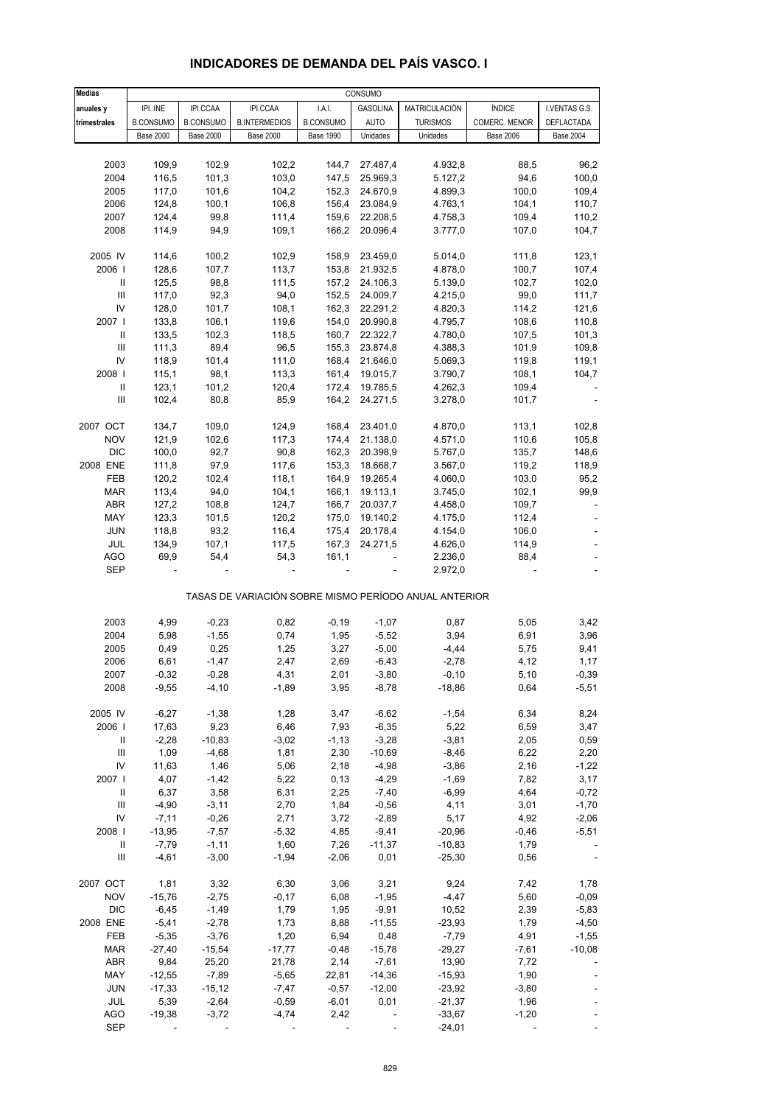| <b>Medias</b>                      |                    |                    |                      |                  | CONSUMO              |                                                       |                  |                          |
|------------------------------------|--------------------|--------------------|----------------------|------------------|----------------------|-------------------------------------------------------|------------------|--------------------------|
| anuales y                          | IPI. INE           | IPI.CCAA           | IPI.CCAA             | I.A.I.           | <b>GASOLINA</b>      | MATRICULACIÓN                                         | <b>ÍNDICE</b>    | I.VENTAS G.S.            |
| trimestrales                       | <b>B.CONSUMO</b>   | <b>B.CONSUMO</b>   | <b>B.INTERMEDIOS</b> | <b>B.CONSUMO</b> | <b>AUTO</b>          | <b>TURISMOS</b>                                       | COMERC. MENOR    | DEFLACTADA               |
|                                    | <b>Base 2000</b>   | <b>Base 2000</b>   | <b>Base 2000</b>     | <b>Base 1990</b> | Unidades             | Unidades                                              | <b>Base 2006</b> | <b>Base 2004</b>         |
|                                    |                    |                    |                      |                  |                      |                                                       |                  |                          |
| 2003                               | 109,9              | 102,9              | 102,2                | 144,7            | 27.487,4             | 4.932,8                                               | 88,5             | 96,2                     |
| 2004                               | 116,5              | 101,3              | 103,0                | 147,5            | 25.969,3             | 5.127,2                                               | 94,6             | 100,0                    |
| 2005                               | 117,0              | 101,6              | 104,2                | 152,3            | 24.670,9             | 4.899,3                                               | 100,0            | 109,4                    |
| 2006                               | 124,8              | 100,1              | 106,8                | 156,4            | 23.084,9             | 4.763,1                                               | 104,1            | 110,7                    |
| 2007                               | 124,4              | 99,8               | 111,4                | 159,6            | 22.208,5             | 4.758,3                                               | 109,4            | 110,2                    |
| 2008                               | 114,9              | 94,9               | 109,1                | 166,2            | 20.096,4             | 3.777,0                                               | 107,0            | 104,7                    |
| 2005 IV                            |                    |                    |                      |                  | 23.459,0             |                                                       |                  |                          |
| 2006                               | 114,6<br>128,6     | 100,2<br>107,7     | 102,9<br>113,7       | 158,9<br>153,8   |                      | 5.014,0<br>4.878,0                                    | 111,8<br>100,7   | 123,1<br>107,4           |
| Ш                                  | 125,5              | 98,8               | 111,5                | 157,2            | 21.932,5<br>24.106,3 | 5.139,0                                               | 102,7            | 102,0                    |
| $\ensuremath{\mathsf{III}}\xspace$ | 117,0              | 92,3               | 94,0                 | 152,5            | 24.009,7             | 4.215,0                                               | 99,0             | 111,7                    |
| IV                                 | 128,0              | 101,7              | 108,1                | 162,3            | 22.291,2             | 4.820,3                                               | 114,2            | 121,6                    |
| 2007 l                             | 133,8              | 106,1              | 119,6                | 154,0            | 20.990,8             | 4.795,7                                               | 108,6            | 110,8                    |
| $\ensuremath{\mathsf{II}}$         | 133,5              | 102,3              | 118,5                | 160,7            | 22.322,7             | 4.780,0                                               | 107,5            | 101,3                    |
| $\ensuremath{\mathsf{III}}\xspace$ | 111,3              | 89,4               | 96,5                 | 155,3            | 23.874,8             | 4.388,3                                               | 101,9            | 109,8                    |
| IV                                 | 118,9              | 101,4              | 111,0                | 168,4            | 21.646,0             | 5.069,3                                               | 119,8            | 119,1                    |
| 2008                               | 115,1              | 98,1               | 113,3                | 161,4            | 19.015,7             | 3.790,7                                               | 108,1            | 104,7                    |
| $\ensuremath{\mathsf{II}}$         | 123,1              | 101,2              | 120,4                | 172,4            | 19.785,5             | 4.262,3                                               | 109,4            |                          |
| Ш                                  | 102,4              | 80,8               | 85,9                 | 164,2            | 24.271,5             | 3.278,0                                               | 101,7            |                          |
|                                    |                    |                    |                      |                  |                      |                                                       |                  |                          |
| 2007 OCT                           | 134,7              | 109,0              | 124,9                | 168,4            | 23.401,0             | 4.870,0                                               | 113,1            | 102,8                    |
| <b>NOV</b>                         | 121,9              | 102,6              | 117,3                | 174,4            | 21.138,0             | 4.571,0                                               | 110,6            | 105,8                    |
| <b>DIC</b>                         | 100,0              | 92,7               | 90,8                 | 162,3            | 20.398,9             | 5.767,0                                               | 135,7            | 148,6                    |
| 2008 ENE                           | 111,8              | 97,9               | 117,6                | 153,3            | 18.668,7             | 3.567,0                                               | 119,2            | 118,9                    |
| FEB<br><b>MAR</b>                  | 120,2<br>113,4     | 102,4<br>94,0      | 118,1<br>104,1       | 164,9<br>166,1   | 19.265,4<br>19.113,1 | 4.060,0<br>3.745,0                                    | 103,0<br>102,1   | 95,2<br>99,9             |
| ABR                                | 127,2              | 108,8              | 124,7                | 166,7            | 20.037,7             | 4.458,0                                               | 109,7            | $\overline{\phantom{a}}$ |
| MAY                                | 123,3              | 101,5              | 120,2                | 175,0            | 19.140,2             | 4.175,0                                               | 112,4            |                          |
| <b>JUN</b>                         | 118,8              | 93,2               | 116,4                | 175,4            | 20.178,4             | 4.154,0                                               | 106,0            |                          |
| JUL                                | 134,9              | 107,1              | 117,5                | 167,3            | 24.271,5             | 4.626,0                                               | 114,9            |                          |
| <b>AGO</b>                         | 69,9               | 54,4               | 54,3                 | 161,1            |                      | 2.236,0                                               | 88,4             |                          |
| <b>SEP</b>                         |                    |                    |                      |                  |                      | 2.972,0                                               |                  |                          |
|                                    |                    |                    |                      |                  |                      | TASAS DE VARIACIÓN SOBRE MISMO PERÍODO ANUAL ANTERIOR |                  |                          |
| 2003                               | 4,99               | $-0,23$            | 0,82                 | $-0,19$          | $-1,07$              | 0,87                                                  | 5,05             | 3,42                     |
| 2004                               | 5,98               | $-1,55$            | 0,74                 | 1,95             | $-5,52$              | 3,94                                                  | 6,91             | 3,96                     |
| 2005                               | 0,49               | 0,25               | 1,25                 | 3,27             | $-5,00$              | $-4,44$                                               | 5,75             | 9,41                     |
| 2006                               | 6,61               | $-1,47$            | 2,47                 | 2,69             | $-6,43$              | $-2,78$                                               | 4,12             | 1,17                     |
| 2007                               | -0,32              | $-0,28$            | 4,31                 | 2,01             | $-3,80$              | $-0,10$                                               | 5,10             | -0,39                    |
| 2008                               | $-9,55$            | $-4,10$            | $-1,89$              | 3,95             | $-8,78$              | $-18,86$                                              | 0,64             | $-5,51$                  |
|                                    |                    |                    |                      |                  |                      |                                                       |                  |                          |
| 2005 IV                            | $-6,27$            | $-1,38$            | 1,28                 | 3,47             | $-6,62$              | $-1,54$                                               | 6,34             | 8,24                     |
| 2006                               | 17,63              | 9,23               | 6,46                 | 7,93             | $-6,35$              | 5,22                                                  | 6,59             | 3,47                     |
| Ш                                  | $-2,28$            | $-10,83$           | $-3,02$              | $-1, 13$         | $-3,28$              | $-3,81$                                               | 2,05             | 0,59                     |
| $\ensuremath{\mathsf{III}}\xspace$ | 1,09               | $-4,68$            | 1,81                 | 2,30             | $-10,69$             | $-8,46$                                               | 6,22             | 2,20                     |
| IV                                 | 11,63              | 1,46               | 5,06                 | 2,18             | $-4,98$              | $-3,86$                                               | 2,16             | $-1,22$                  |
| 2007                               | 4,07               | $-1,42$            | 5,22                 | 0, 13            | $-4,29$              | $-1,69$                                               | 7,82             | 3,17                     |
| Ш                                  | 6,37               | 3,58               | 6,31                 | 2,25             | $-7,40$              | $-6,99$                                               | 4,64             | $-0,72$                  |
| Ш<br>IV                            | $-4,90$<br>$-7,11$ | $-3,11$<br>$-0,26$ | 2,70<br>2,71         | 1,84<br>3,72     | $-0,56$<br>$-2,89$   | 4,11<br>5,17                                          | 3,01             | $-1,70$                  |
| 2008                               | $-13,95$           | $-7,57$            | $-5,32$              | 4,85             | $-9,41$              | $-20,96$                                              | 4,92<br>$-0,46$  | $-2,06$<br>$-5,51$       |
| Ш                                  | $-7,79$            | $-1,11$            | 1,60                 | 7,26             | $-11,37$             | $-10,83$                                              | 1,79             |                          |
| Ш                                  | $-4,61$            | $-3,00$            | $-1,94$              | $-2,06$          | 0,01                 | $-25,30$                                              | 0,56             |                          |
|                                    |                    |                    |                      |                  |                      |                                                       |                  |                          |
| 2007 OCT                           | 1,81               | 3,32               | 6,30                 | 3,06             | 3,21                 | 9,24                                                  | 7,42             | 1,78                     |
| <b>NOV</b>                         | $-15,76$           | $-2,75$            | $-0,17$              | 6,08             | $-1,95$              | $-4,47$                                               | 5,60             | $-0,09$                  |
| <b>DIC</b>                         | $-6,45$            | $-1,49$            | 1,79                 | 1,95             | $-9,91$              | 10,52                                                 | 2,39             | $-5,83$                  |
| 2008 ENE                           | $-5,41$            | $-2,78$            | 1,73                 | 8,88             | $-11,55$             | $-23,93$                                              | 1,79             | $-4,50$                  |
| FEB                                | $-5,35$            | $-3,76$            | 1,20                 | 6,94             | 0,48                 | $-7,79$                                               | 4,91             | $-1,55$                  |
| <b>MAR</b>                         | $-27,40$           | $-15,54$           | $-17,77$             | $-0,48$          | $-15,78$             | $-29,27$                                              | $-7,61$          | $-10,08$                 |
| <b>ABR</b>                         | 9,84               | 25,20              | 21,78                | 2,14             | $-7,61$              | 13,90                                                 | 7,72             |                          |
| MAY                                | $-12,55$           | $-7,89$            | $-5,65$              | 22,81            | $-14,36$             | $-15,93$                                              | 1,90             |                          |
| <b>JUN</b>                         | $-17,33$           | $-15,12$           | $-7,47$              | $-0,57$          | $-12,00$             | $-23,92$                                              | $-3,80$          |                          |
| JUL                                | 5,39               | $-2,64$            | $-0,59$              | $-6,01$          | 0,01                 | $-21,37$                                              | 1,96             |                          |
| <b>AGO</b>                         | $-19,38$           | $-3,72$            | $-4,74$              | 2,42             |                      | $-33,67$                                              | $-1,20$          |                          |
| <b>SEP</b>                         |                    |                    |                      |                  |                      | $-24,01$                                              |                  |                          |

### **INDICADORES DE DEMANDA DEL PAÍS VASCO. I**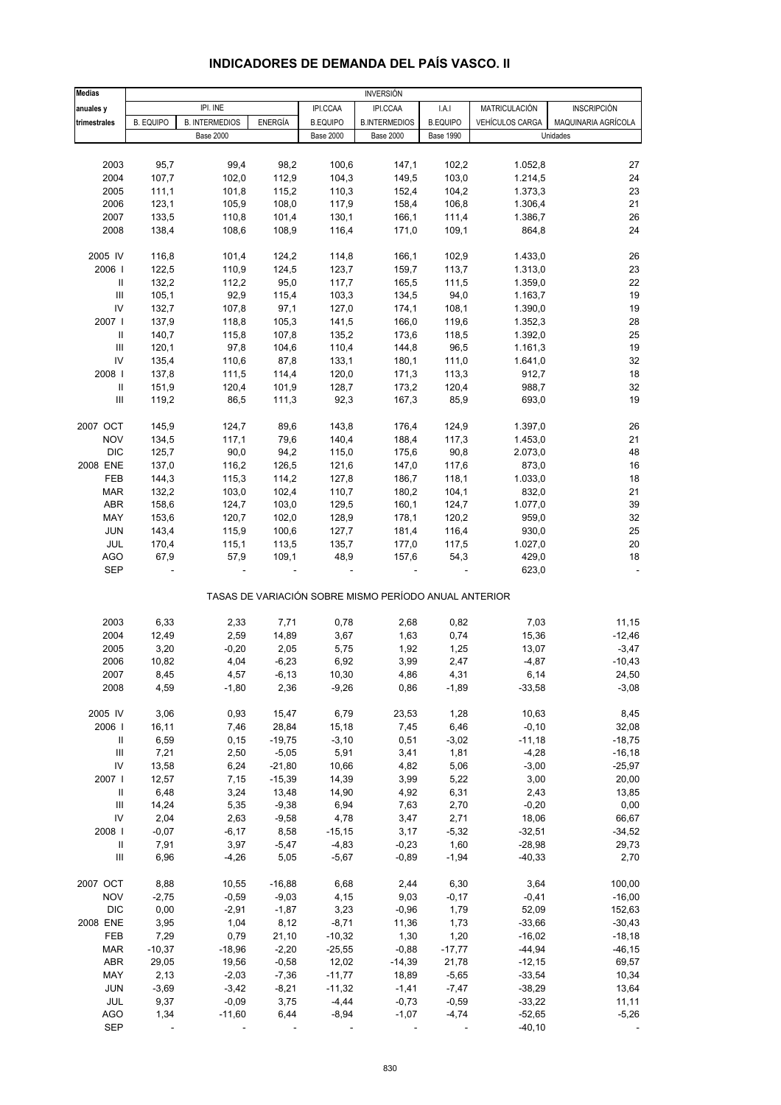| <b>INDICADORES DE DEMANDA DEL PAIS VASCO. II</b> |  |
|--------------------------------------------------|--|
|--------------------------------------------------|--|

| <b>Medias</b>                      | <b>INVERSIÓN</b> |                       |                |                  |                                                       |                  |                 |                     |
|------------------------------------|------------------|-----------------------|----------------|------------------|-------------------------------------------------------|------------------|-----------------|---------------------|
| anuales y                          |                  | IPI. INE              |                | IPI.CCAA         | IPI.CCAA                                              | I.A.I            | MATRICULACIÓN   | <b>INSCRIPCIÓN</b>  |
| trimestrales                       | <b>B. EQUIPO</b> | <b>B. INTERMEDIOS</b> | <b>ENERGÍA</b> | <b>B.EQUIPO</b>  | <b>B.INTERMEDIOS</b>                                  | <b>B.EQUIPO</b>  | VEHÍCULOS CARGA | MAQUINARIA AGRÍCOLA |
|                                    |                  | <b>Base 2000</b>      |                | <b>Base 2000</b> | <b>Base 2000</b>                                      | <b>Base 1990</b> |                 | Unidades            |
|                                    |                  |                       |                |                  |                                                       |                  |                 |                     |
| 2003                               | 95,7             | 99,4                  | 98,2           | 100,6            | 147,1                                                 | 102,2            | 1.052,8         | 27                  |
| 2004                               | 107,7            | 102,0                 | 112,9          | 104,3            | 149,5                                                 | 103,0            | 1.214,5         | 24                  |
| 2005                               | 111,1            | 101,8                 | 115,2          | 110,3            | 152,4                                                 | 104,2            | 1.373,3         | 23                  |
| 2006                               | 123,1            | 105,9                 | 108,0          | 117,9            | 158,4                                                 | 106,8            | 1.306,4         | 21                  |
| 2007                               | 133,5            | 110,8                 | 101,4          | 130,1            | 166,1                                                 | 111,4            | 1.386,7         | 26                  |
| 2008                               | 138,4            | 108,6                 | 108,9          | 116,4            | 171,0                                                 | 109,1            | 864,8           | 24                  |
|                                    |                  |                       |                |                  |                                                       |                  |                 |                     |
| 2005 IV                            | 116,8            | 101,4                 | 124,2          | 114,8            | 166,1                                                 | 102,9            | 1.433,0         | 26                  |
| 2006                               | 122,5            | 110,9                 | 124,5          | 123,7            | 159,7                                                 | 113,7            | 1.313,0         | 23                  |
| Ш                                  | 132,2            | 112,2                 | 95,0           | 117,7            | 165,5                                                 | 111,5            | 1.359,0         | 22                  |
| Ш                                  | 105,1            | 92,9                  | 115,4          | 103,3            | 134,5                                                 | 94,0             | 1.163,7         | 19                  |
| IV                                 | 132,7            | 107,8                 | 97,1           | 127,0            | 174,1                                                 | 108,1            | 1.390,0         | 19                  |
| 2007                               | 137,9            | 118,8                 | 105,3          | 141,5            | 166,0                                                 | 119,6            | 1.352,3         | 28                  |
| Ш                                  | 140,7            | 115,8                 | 107,8          | 135,2            | 173,6                                                 | 118,5            | 1.392,0         | 25                  |
| $\mathbf{III}$                     | 120,1            | 97,8                  | 104,6          | 110,4            | 144,8                                                 | 96,5             | 1.161,3         | 19                  |
| IV                                 | 135,4            | 110,6                 | 87,8           | 133,1            | 180,1                                                 | 111,0            | 1.641,0         | 32                  |
| 2008                               | 137,8            | 111,5                 | 114,4          | 120,0            | 171,3                                                 | 113,3            | 912,7           | 18                  |
| $\, \parallel$                     | 151,9            | 120,4                 | 101,9          | 128,7            | 173,2                                                 | 120,4            | 988,7           | 32                  |
| Ш                                  | 119,2            | 86,5                  | 111,3          | 92,3             | 167,3                                                 | 85,9             | 693,0           | 19                  |
|                                    |                  |                       |                |                  |                                                       |                  |                 |                     |
| 2007 OCT                           | 145,9            | 124,7                 | 89,6           | 143,8            | 176,4                                                 | 124,9            | 1.397,0         | 26                  |
| <b>NOV</b>                         | 134,5            | 117,1                 | 79,6           | 140,4            | 188,4                                                 | 117,3            | 1.453,0         | 21                  |
| <b>DIC</b>                         | 125,7            | 90,0                  | 94,2           | 115,0            | 175,6                                                 | 90,8             | 2.073,0         | 48                  |
| 2008 ENE                           |                  |                       |                |                  |                                                       |                  |                 |                     |
|                                    | 137,0            | 116,2                 | 126,5          | 121,6            | 147,0                                                 | 117,6            | 873,0           | 16                  |
| FEB                                | 144,3            | 115,3                 | 114,2          | 127,8            | 186,7                                                 | 118,1            | 1.033,0         | 18                  |
| <b>MAR</b>                         | 132,2            | 103,0                 | 102,4          | 110,7            | 180,2                                                 | 104,1            | 832,0           | 21                  |
| ABR                                | 158,6            | 124,7                 | 103,0          | 129,5            | 160,1                                                 | 124,7            | 1.077,0         | 39                  |
| MAY                                | 153,6            | 120,7                 | 102,0          | 128,9            | 178,1                                                 | 120,2            | 959,0           | 32                  |
| <b>JUN</b>                         | 143,4            | 115,9                 | 100,6          | 127,7            | 181,4                                                 | 116,4            | 930,0           | 25                  |
| JUL                                | 170,4            | 115,1                 | 113,5          | 135,7            | 177,0                                                 | 117,5            | 1.027,0         | 20                  |
| <b>AGO</b>                         | 67,9             | 57,9                  | 109,1          | 48,9             | 157,6                                                 | 54,3             | 429,0           | 18                  |
| <b>SEP</b>                         |                  |                       |                |                  |                                                       |                  | 623,0           |                     |
|                                    |                  |                       |                |                  | TASAS DE VARIACIÓN SOBRE MISMO PERÍODO ANUAL ANTERIOR |                  |                 |                     |
| 2003                               | 6,33             | 2,33                  | 7,71           | 0,78             | 2,68                                                  | 0,82             | 7,03            | 11,15               |
| 2004                               | 12,49            | 2,59                  | 14,89          | 3,67             | 1,63                                                  | 0,74             | 15,36           | $-12,46$            |
| 2005                               | 3,20             | $-0,20$               | 2,05           | 5,75             | 1,92                                                  | 1,25             | 13,07           | $-3,47$             |
| 2006                               | 10,82            | 4,04                  | $-6,23$        | 6,92             | 3,99                                                  | 2,47             | $-4,87$         | $-10,43$            |
| 2007                               | 8,45             | 4,57                  | $-6,13$        | 10,30            | 4,86                                                  | 4,31             | 6,14            | 24,50               |
| 2008                               | 4,59             |                       |                | $-9,26$          | 0,86                                                  | $-1,89$          | $-33,58$        | $-3,08$             |
|                                    |                  | $-1,80$               | 2,36           |                  |                                                       |                  |                 |                     |
| 2005 IV                            | 3,06             | 0,93                  | 15,47          | 6,79             | 23,53                                                 | 1,28             | 10,63           | 8,45                |
| 2006                               | 16,11            | 7,46                  | 28,84          | 15,18            | 7,45                                                  | 6,46             | $-0, 10$        | 32,08               |
| Ш                                  | 6,59             | 0, 15                 | $-19,75$       | $-3,10$          | 0,51                                                  | $-3,02$          | $-11,18$        | $-18,75$            |
| $\ensuremath{\mathsf{III}}\xspace$ | 7,21             | 2,50                  | $-5,05$        | 5,91             | 3,41                                                  | 1,81             | $-4,28$         | $-16, 18$           |
| IV                                 | 13,58            | 6,24                  | $-21,80$       | 10,66            | 4,82                                                  | 5,06             | $-3,00$         | $-25,97$            |
|                                    |                  |                       |                |                  |                                                       |                  |                 |                     |
| 2007                               | 12,57            | 7,15                  | $-15,39$       | 14,39            | 3,99                                                  | 5,22             | 3,00            | 20,00               |
| Ш                                  | 6,48             | 3,24                  | 13,48          | 14,90            | 4,92                                                  | 6,31             | 2,43            | 13,85               |
| Ш                                  | 14,24            | 5,35                  | $-9,38$        | 6,94             | 7,63                                                  | 2,70             | $-0,20$         | 0,00                |
| IV                                 | 2,04             | 2,63                  | $-9,58$        | 4,78             | 3,47                                                  | 2,71             | 18,06           | 66,67               |
| 2008                               | $-0,07$          | $-6,17$               | 8,58           | $-15,15$         | 3,17                                                  | $-5,32$          | $-32,51$        | $-34,52$            |
| $\, \parallel$                     | 7,91             | 3,97                  | $-5,47$        | $-4,83$          | $-0,23$                                               | 1,60             | $-28,98$        | 29,73               |
| $\mathbf{III}$                     | 6,96             | $-4,26$               | 5,05           | $-5,67$          | $-0,89$                                               | $-1,94$          | $-40,33$        | 2,70                |
| 2007 OCT                           | 8,88             | 10,55                 | $-16,88$       | 6,68             | 2,44                                                  | 6,30             | 3,64            | 100,00              |
| <b>NOV</b>                         | $-2,75$          | $-0,59$               | $-9,03$        | 4,15             | 9,03                                                  | $-0,17$          | $-0,41$         | $-16,00$            |
| <b>DIC</b>                         | 0,00             | $-2,91$               | $-1,87$        | 3,23             | $-0,96$                                               | 1,79             | 52,09           | 152,63              |
| 2008 ENE                           | 3,95             | 1,04                  | 8,12           | $-8,71$          | 11,36                                                 | 1,73             | $-33,66$        | $-30,43$            |
| FEB                                | 7,29             | 0,79                  | 21,10          | $-10,32$         | 1,30                                                  | 1,20             | $-16,02$        | $-18,18$            |
| <b>MAR</b>                         | $-10,37$         | $-18,96$              | $-2,20$        | $-25,55$         | $-0,88$                                               | $-17,77$         | $-44,94$        | $-46, 15$           |
| ABR                                | 29,05            | 19,56                 | $-0,58$        | 12,02            | $-14,39$                                              | 21,78            | $-12,15$        | 69,57               |
| MAY                                | 2,13             | $-2,03$               | $-7,36$        | $-11,77$         | 18,89                                                 | $-5,65$          | $-33,54$        | 10,34               |
| <b>JUN</b>                         | $-3,69$          | $-3,42$               | $-8,21$        | $-11,32$         | $-1,41$                                               | $-7,47$          | $-38,29$        | 13,64               |
| JUL                                | 9,37             | $-0,09$               | 3,75           | $-4,44$          | $-0,73$                                               | $-0,59$          | $-33,22$        | 11,11               |
| <b>AGO</b>                         | 1,34             | $-11,60$              | 6,44           | $-8,94$          | $-1,07$                                               | $-4,74$          | $-52,65$        | $-5,26$             |
| <b>SEP</b>                         |                  |                       |                |                  |                                                       |                  | $-40,10$        |                     |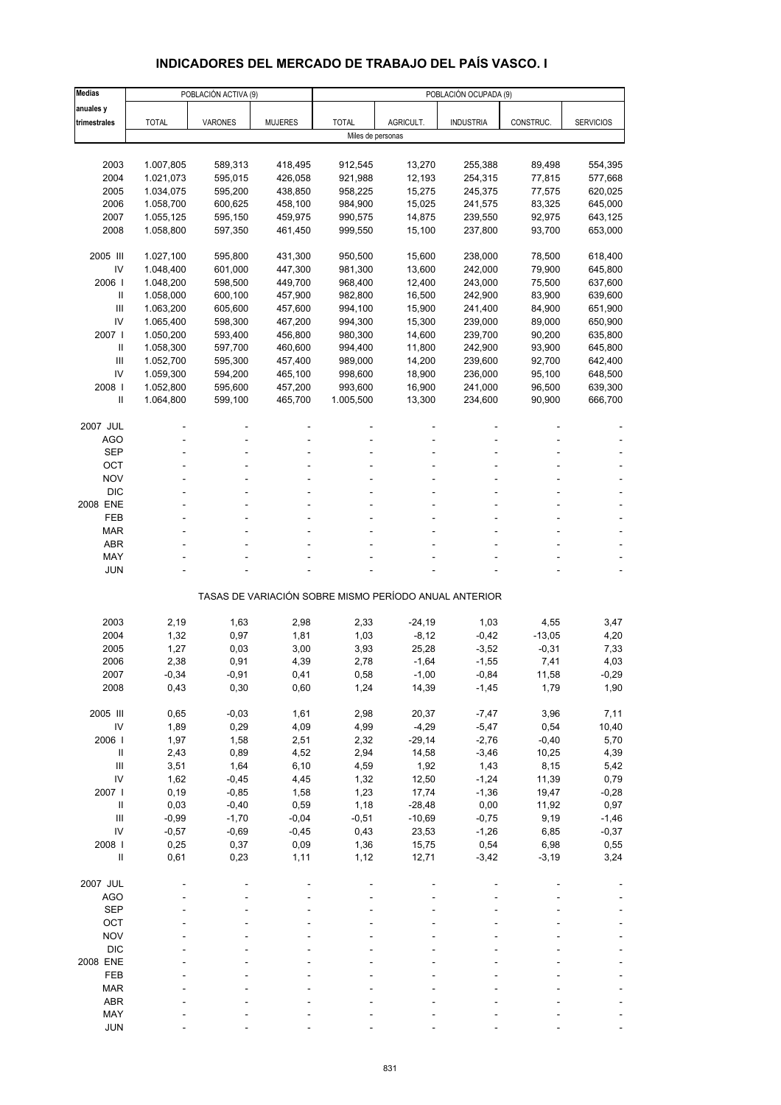# **INDICADORES DEL MERCADO DE TRABAJO DEL PAÍS VASCO. I**

| <b>Medias</b>              |                        | POBLACIÓN ACTIVA (9) |                    |                    |                   | POBLACIÓN OCUPADA (9)                                 |                  |                    |
|----------------------------|------------------------|----------------------|--------------------|--------------------|-------------------|-------------------------------------------------------|------------------|--------------------|
| anuales y                  |                        |                      |                    |                    |                   |                                                       |                  |                    |
| trimestrales               | <b>TOTAL</b>           | <b>VARONES</b>       | <b>MUJERES</b>     | <b>TOTAL</b>       | AGRICULT.         | <b>INDUSTRIA</b>                                      | CONSTRUC.        | <b>SERVICIOS</b>   |
|                            |                        |                      |                    | Miles de personas  |                   |                                                       |                  |                    |
|                            |                        |                      |                    |                    |                   |                                                       |                  |                    |
| 2003                       | 1.007,805              | 589,313<br>595,015   | 418,495            | 912,545            | 13,270            | 255,388                                               | 89,498           | 554,395            |
| 2004<br>2005               | 1.021,073<br>1.034,075 | 595,200              | 426,058<br>438,850 | 921,988<br>958,225 | 12,193<br>15,275  | 254,315<br>245,375                                    | 77,815<br>77,575 | 577,668<br>620,025 |
| 2006                       | 1.058,700              | 600,625              | 458,100            | 984,900            | 15,025            | 241,575                                               | 83,325           | 645,000            |
| 2007                       | 1.055,125              | 595,150              | 459,975            | 990,575            | 14,875            | 239,550                                               | 92,975           | 643,125            |
| 2008                       | 1.058,800              | 597,350              | 461,450            | 999,550            | 15,100            | 237,800                                               | 93,700           | 653,000            |
|                            |                        |                      |                    |                    |                   |                                                       |                  |                    |
| 2005 III                   | 1.027,100              | 595,800              | 431,300            | 950,500            | 15,600            | 238,000                                               | 78,500           | 618,400            |
| IV                         | 1.048,400              | 601,000              | 447,300            | 981,300            | 13,600            | 242,000                                               | 79,900           | 645,800            |
| 2006                       | 1.048,200              | 598,500              | 449,700            | 968,400            | 12,400            | 243,000                                               | 75,500           | 637,600            |
| Ш                          | 1.058,000              | 600,100              | 457,900            | 982,800            | 16,500            | 242,900                                               | 83,900           | 639,600            |
| Ш                          | 1.063,200              | 605,600              | 457,600            | 994,100            | 15,900            | 241,400                                               | 84,900           | 651,900            |
| IV<br>2007 l               | 1.065,400<br>1.050,200 | 598,300              | 467,200<br>456,800 | 994,300<br>980,300 | 15,300            | 239,000                                               | 89,000<br>90,200 | 650,900            |
| Ш                          | 1.058,300              | 593,400<br>597,700   | 460,600            | 994,400            | 14,600<br>11,800  | 239,700<br>242,900                                    | 93,900           | 635,800<br>645,800 |
| Ш                          | 1.052,700              | 595,300              | 457,400            | 989,000            | 14,200            | 239,600                                               | 92,700           | 642,400            |
| IV                         | 1.059,300              | 594,200              | 465,100            | 998,600            | 18,900            | 236,000                                               | 95,100           | 648,500            |
| 2008                       | 1.052,800              | 595,600              | 457,200            | 993,600            | 16,900            | 241,000                                               | 96,500           | 639,300            |
| $\mathsf{I}$               | 1.064,800              | 599,100              | 465,700            | 1.005,500          | 13,300            | 234,600                                               | 90,900           | 666,700            |
|                            |                        |                      |                    |                    |                   |                                                       |                  |                    |
| 2007 JUL                   |                        |                      |                    |                    |                   |                                                       |                  |                    |
| <b>AGO</b>                 |                        |                      |                    |                    |                   |                                                       |                  |                    |
| <b>SEP</b>                 |                        |                      |                    |                    |                   |                                                       |                  |                    |
| OCT                        |                        |                      |                    |                    |                   |                                                       |                  |                    |
| <b>NOV</b>                 |                        |                      |                    |                    |                   |                                                       |                  |                    |
| <b>DIC</b><br>2008 ENE     |                        |                      |                    |                    |                   |                                                       |                  |                    |
| FEB                        |                        |                      |                    |                    |                   |                                                       |                  |                    |
| <b>MAR</b>                 |                        |                      |                    |                    |                   |                                                       |                  |                    |
| ABR                        |                        |                      |                    |                    |                   |                                                       |                  |                    |
| MAY                        |                        |                      |                    |                    |                   |                                                       |                  |                    |
| JUN                        |                        |                      |                    |                    |                   |                                                       |                  |                    |
|                            |                        |                      |                    |                    |                   | TASAS DE VARIACIÓN SOBRE MISMO PERÍODO ANUAL ANTERIOR |                  |                    |
|                            |                        |                      |                    |                    |                   |                                                       |                  |                    |
| 2003                       | 2,19                   | 1,63                 | 2,98               | 2,33               | $-24,19$          | 1,03                                                  | 4,55             | 3,47               |
| 2004                       | 1,32                   | 0,97                 | 1,81               | 1,03               | $-8,12$           | $-0,42$                                               | $-13,05$         | 4,20               |
| 2005                       | 1,27                   | 0,03                 | 3,00               | 3,93               | 25,28             | $-3,52$                                               | $-0,31$          | 7,33               |
| 2006                       | 2,38                   | 0,91                 | 4,39               | 2,78               | $-1,64$           | $-1,55$                                               | 7,41             | 4,03               |
| 2007<br>2008               | $-0,34$<br>0,43        | $-0,91$<br>0,30      | 0,41<br>0,60       | 0,58<br>1,24       | $-1,00$<br>14,39  | $-0,84$<br>$-1,45$                                    | 11,58<br>1,79    | $-0,29$<br>1,90    |
|                            |                        |                      |                    |                    |                   |                                                       |                  |                    |
| 2005 III                   | 0,65                   | $-0,03$              | 1,61               | 2,98               | 20,37             | $-7,47$                                               | 3,96             | 7,11               |
| IV                         | 1,89                   | 0,29                 | 4,09               | 4,99               | $-4,29$           | $-5,47$                                               | 0,54             | 10,40              |
| 2006                       | 1,97                   | 1,58                 | 2,51               | 2,32               | $-29,14$          | $-2,76$                                               | $-0,40$          | 5,70               |
| $\, \parallel$             | 2,43                   | 0,89                 | 4,52               | 2,94               | 14,58             | $-3,46$                                               | 10,25            | 4,39               |
| $\mathbf{III}$             | 3,51                   | 1,64                 | 6, 10              | 4,59               | 1,92              | 1,43                                                  | 8,15             | 5,42               |
| IV                         | 1,62                   | $-0,45$              | 4,45               | 1,32               | 12,50             | $-1,24$                                               | 11,39            | 0,79               |
| 2007 l                     | 0, 19                  | $-0,85$              | 1,58               | 1,23               | 17,74             | $-1,36$                                               | 19,47            | -0,28              |
| $\, \parallel$             | 0,03                   | $-0,40$              | 0,59               | 1,18               | $-28,48$          | 0,00                                                  | 11,92            | 0,97               |
| $\mathbf{III}$<br>IV       | $-0,99$<br>$-0,57$     | $-1,70$<br>$-0,69$   | $-0,04$<br>$-0,45$ | $-0,51$<br>0,43    | $-10,69$<br>23,53 | $-0,75$<br>$-1,26$                                    | 9,19<br>6,85     | $-1,46$<br>$-0,37$ |
| 2008 l                     | 0,25                   | 0,37                 | 0,09               | 1,36               | 15,75             | 0,54                                                  | 6,98             | 0,55               |
| $\ensuremath{\mathsf{II}}$ | 0,61                   | 0,23                 | 1,11               | 1,12               | 12,71             | $-3,42$                                               | $-3,19$          | 3,24               |
|                            |                        |                      |                    |                    |                   |                                                       |                  |                    |
| 2007 JUL                   |                        |                      |                    |                    |                   |                                                       |                  |                    |
| <b>AGO</b>                 |                        |                      |                    |                    |                   |                                                       |                  |                    |
| <b>SEP</b>                 |                        |                      |                    |                    |                   |                                                       |                  |                    |
| OCT                        |                        |                      |                    |                    |                   |                                                       |                  |                    |
| <b>NOV</b>                 |                        |                      |                    |                    |                   |                                                       |                  |                    |
| <b>DIC</b>                 |                        |                      |                    |                    |                   |                                                       |                  |                    |
| 2008 ENE                   |                        |                      |                    |                    |                   |                                                       |                  |                    |
| FEB                        |                        |                      |                    |                    |                   |                                                       |                  |                    |
| <b>MAR</b>                 |                        |                      |                    |                    |                   |                                                       |                  |                    |
| ABR<br>MAY                 |                        |                      |                    |                    |                   |                                                       |                  |                    |
| <b>JUN</b>                 |                        |                      |                    |                    |                   |                                                       |                  |                    |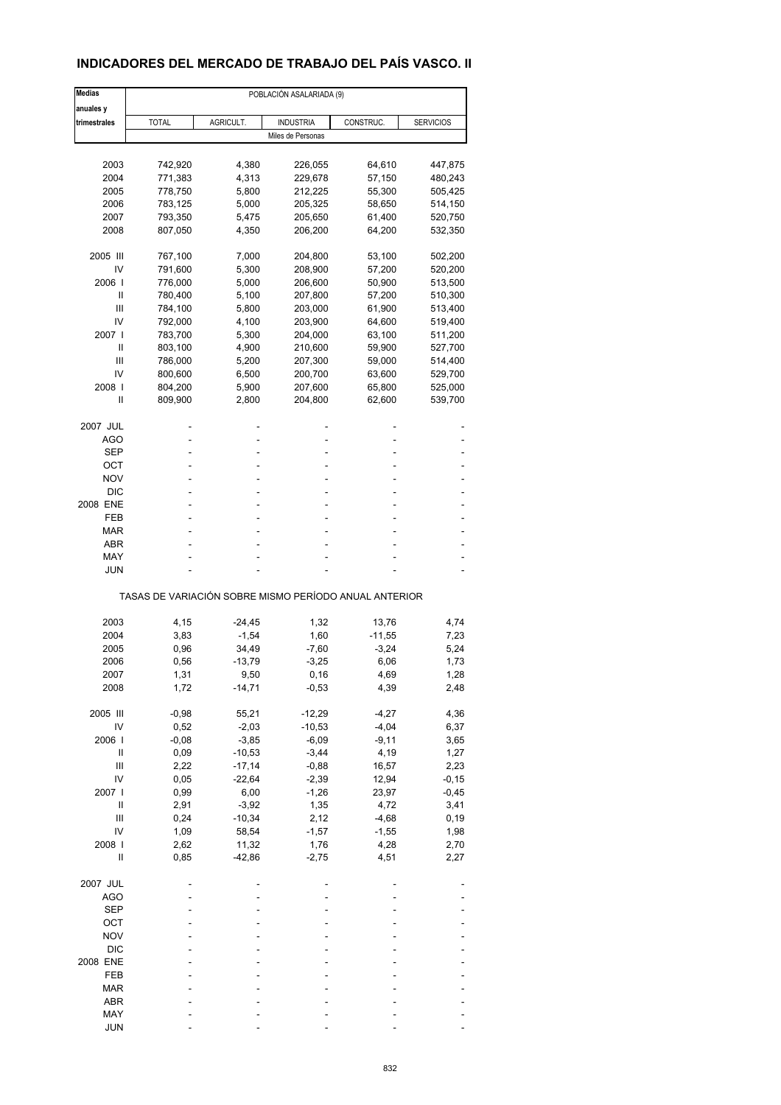## **INDICADORES DEL MERCADO DE TRABAJO DEL PAÍS VASCO. II**

| <b>Medias</b>  |                                                       |           |                   | POBLACIÓN ASALARIADA (9) |                  |  |  |  |  |  |  |
|----------------|-------------------------------------------------------|-----------|-------------------|--------------------------|------------------|--|--|--|--|--|--|
| anuales y      |                                                       |           |                   |                          |                  |  |  |  |  |  |  |
| trimestrales   | <b>TOTAL</b>                                          | AGRICULT. | <b>INDUSTRIA</b>  | CONSTRUC.                | <b>SERVICIOS</b> |  |  |  |  |  |  |
|                |                                                       |           | Miles de Personas |                          |                  |  |  |  |  |  |  |
|                |                                                       |           |                   |                          |                  |  |  |  |  |  |  |
| 2003           | 742,920                                               | 4,380     | 226,055           | 64,610                   | 447,875          |  |  |  |  |  |  |
| 2004           | 771,383                                               | 4,313     | 229,678           | 57,150                   | 480,243          |  |  |  |  |  |  |
| 2005           | 778,750                                               | 5,800     | 212,225           | 55,300                   | 505,425          |  |  |  |  |  |  |
| 2006           | 783,125                                               | 5,000     | 205,325           | 58,650                   | 514,150          |  |  |  |  |  |  |
| 2007           | 793,350                                               | 5,475     | 205,650           | 61,400                   | 520,750          |  |  |  |  |  |  |
| 2008           | 807,050                                               | 4,350     | 206,200           | 64,200                   | 532,350          |  |  |  |  |  |  |
| 2005 III       | 767,100                                               | 7,000     | 204,800           | 53,100                   | 502,200          |  |  |  |  |  |  |
| IV             | 791,600                                               | 5,300     | 208,900           | 57,200                   | 520,200          |  |  |  |  |  |  |
| 2006           | 776,000                                               | 5,000     | 206,600           | 50,900                   | 513,500          |  |  |  |  |  |  |
| Ш              | 780,400                                               | 5,100     | 207,800           | 57,200                   | 510,300          |  |  |  |  |  |  |
| Ш              | 784,100                                               | 5,800     | 203,000           | 61,900                   | 513,400          |  |  |  |  |  |  |
| IV             | 792,000                                               | 4,100     | 203,900           | 64,600                   | 519,400          |  |  |  |  |  |  |
| 2007 l         | 783,700                                               | 5,300     | 204,000           | 63,100                   | 511,200          |  |  |  |  |  |  |
| Ш              | 803,100                                               | 4,900     | 210,600           | 59,900                   | 527,700          |  |  |  |  |  |  |
|                |                                                       |           |                   |                          |                  |  |  |  |  |  |  |
| Ш              | 786,000                                               | 5,200     | 207,300           | 59,000                   | 514,400          |  |  |  |  |  |  |
| IV             | 800,600                                               | 6,500     | 200,700           | 63,600                   | 529,700          |  |  |  |  |  |  |
| 2008           | 804,200                                               | 5,900     | 207,600           | 65,800                   | 525,000          |  |  |  |  |  |  |
| Ш              | 809,900                                               | 2,800     | 204,800           | 62,600                   | 539,700          |  |  |  |  |  |  |
| 2007 JUL       |                                                       |           |                   |                          |                  |  |  |  |  |  |  |
| AGO            |                                                       |           | ٠                 |                          |                  |  |  |  |  |  |  |
| SEP            |                                                       |           |                   |                          |                  |  |  |  |  |  |  |
| ОСТ            |                                                       |           | ٠                 |                          |                  |  |  |  |  |  |  |
| NOV            |                                                       |           |                   |                          |                  |  |  |  |  |  |  |
| DIC            |                                                       |           |                   |                          |                  |  |  |  |  |  |  |
| 2008 ENE       | ٠                                                     |           | ٠                 |                          |                  |  |  |  |  |  |  |
|                |                                                       |           |                   |                          |                  |  |  |  |  |  |  |
| FEB            |                                                       |           | ۰                 |                          |                  |  |  |  |  |  |  |
| <b>MAR</b>     |                                                       |           |                   |                          |                  |  |  |  |  |  |  |
| ABR            |                                                       |           | ٠                 |                          |                  |  |  |  |  |  |  |
| MAY            |                                                       |           |                   |                          |                  |  |  |  |  |  |  |
| <b>JUN</b>     |                                                       |           |                   |                          |                  |  |  |  |  |  |  |
|                | TASAS DE VARIACIÓN SOBRE MISMO PERÍODO ANUAL ANTERIOR |           |                   |                          |                  |  |  |  |  |  |  |
|                |                                                       |           |                   |                          |                  |  |  |  |  |  |  |
| 2003           | 4,15                                                  | $-24,45$  | 1,32              | 13,76                    | 4,74             |  |  |  |  |  |  |
| 2004           | 3,83                                                  | $-1,54$   | 1,60              | $-11,55$                 | 7,23             |  |  |  |  |  |  |
| 2005           | 0,96                                                  | 34,49     | $-7,60$           | $-3,24$                  | 5,24             |  |  |  |  |  |  |
| 2006           | 0,56                                                  | -13,79    | $-3,25$           | 6,06                     | 1,73             |  |  |  |  |  |  |
| 2007           | 1,31                                                  | 9,50      | 0,16              | 4,69                     | 1,28             |  |  |  |  |  |  |
| 2008           | 1,72                                                  | $-14,71$  | $-0,53$           | 4,39                     | 2,48             |  |  |  |  |  |  |
| 2005 III       | $-0,98$                                               | 55,21     | $-12,29$          | $-4,27$                  | 4,36             |  |  |  |  |  |  |
| IV             | 0,52                                                  | $-2,03$   | $-10,53$          | $-4,04$                  | 6,37             |  |  |  |  |  |  |
| 2006           | $-0,08$                                               | $-3,85$   | $-6,09$           | $-9,11$                  | 3,65             |  |  |  |  |  |  |
| Ш              | 0,09                                                  | $-10,53$  | $-3,44$           | 4,19                     | 1,27             |  |  |  |  |  |  |
| $\mathsf{III}$ | 2,22                                                  | $-17,14$  | $-0,88$           | 16,57                    | 2,23             |  |  |  |  |  |  |
| IV             | 0,05                                                  | $-22,64$  | $-2,39$           | 12,94                    | $-0,15$          |  |  |  |  |  |  |
|                |                                                       |           |                   |                          |                  |  |  |  |  |  |  |
| 2007 l         | 0,99                                                  | 6,00      | $-1,26$           | 23,97                    | $-0,45$          |  |  |  |  |  |  |
| $\sf II$       | 2,91                                                  | $-3,92$   | 1,35              | 4,72                     | 3,41             |  |  |  |  |  |  |
| $\mathsf{III}$ | 0,24                                                  | $-10,34$  | 2,12              | $-4,68$                  | 0, 19            |  |  |  |  |  |  |
| IV             | 1,09                                                  | 58,54     | $-1,57$           | $-1,55$                  | 1,98             |  |  |  |  |  |  |
| 2008           | 2,62                                                  | 11,32     | 1,76              | 4,28                     | 2,70             |  |  |  |  |  |  |
| Ш              | 0,85                                                  | $-42,86$  | $-2,75$           | 4,51                     | 2,27             |  |  |  |  |  |  |
| 2007 JUL       |                                                       |           |                   |                          |                  |  |  |  |  |  |  |
| <b>AGO</b>     |                                                       |           |                   |                          |                  |  |  |  |  |  |  |
| <b>SEP</b>     |                                                       |           |                   |                          |                  |  |  |  |  |  |  |
| OCT            |                                                       |           |                   |                          |                  |  |  |  |  |  |  |
|                |                                                       |           |                   |                          |                  |  |  |  |  |  |  |
| <b>NOV</b>     |                                                       |           |                   |                          |                  |  |  |  |  |  |  |
| <b>DIC</b>     |                                                       |           |                   |                          |                  |  |  |  |  |  |  |
| 2008 ENE       |                                                       |           |                   |                          |                  |  |  |  |  |  |  |
| FEB            |                                                       |           |                   |                          |                  |  |  |  |  |  |  |
| <b>MAR</b>     |                                                       |           |                   |                          |                  |  |  |  |  |  |  |
| ABR            |                                                       |           |                   |                          |                  |  |  |  |  |  |  |
| MAY            |                                                       |           |                   |                          |                  |  |  |  |  |  |  |
| <b>JUN</b>     |                                                       |           |                   |                          |                  |  |  |  |  |  |  |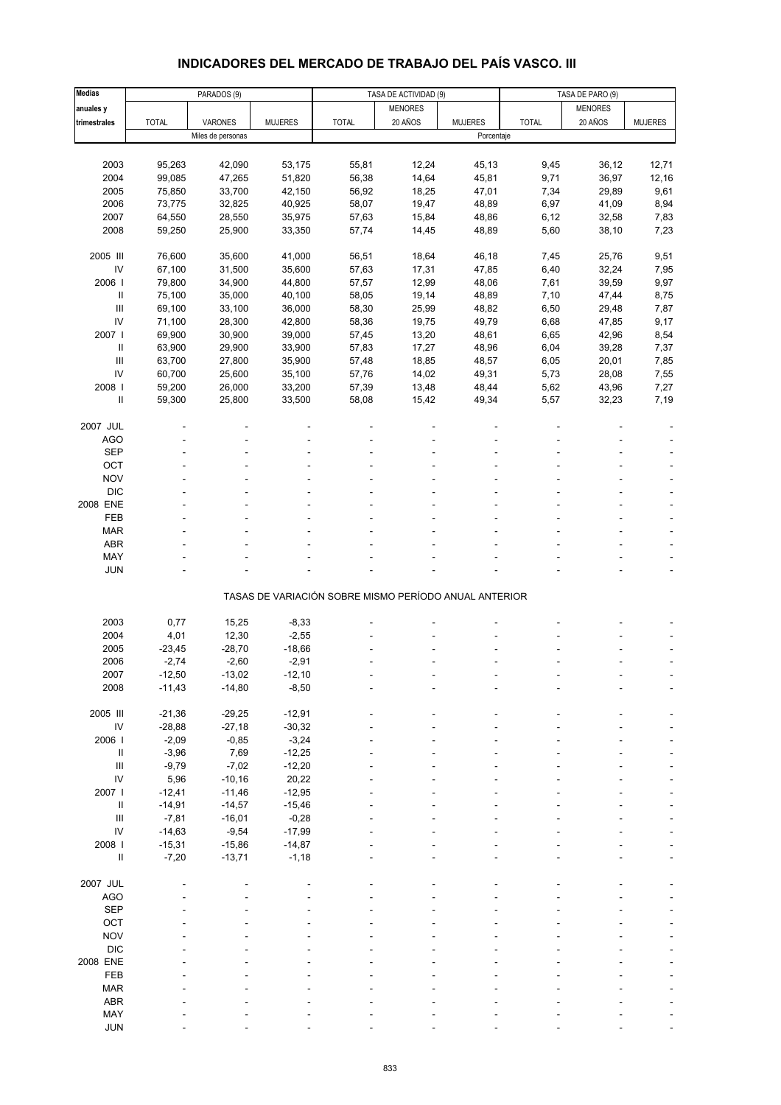# **INDICADORES DEL MERCADO DE TRABAJO DEL PAÍS VASCO. III**

| <b>Medias</b>              |              | PARADOS (9)       |                |                                                       | TASA DE ACTIVIDAD (9) |                |              | TASA DE PARO (9) |                |  |
|----------------------------|--------------|-------------------|----------------|-------------------------------------------------------|-----------------------|----------------|--------------|------------------|----------------|--|
| anuales y                  |              |                   |                |                                                       | <b>MENORES</b>        |                |              | <b>MENORES</b>   |                |  |
| trimestrales               | <b>TOTAL</b> | VARONES           | <b>MUJERES</b> | <b>TOTAL</b>                                          | 20 AÑOS               | <b>MUJERES</b> | <b>TOTAL</b> | 20 AÑOS          | <b>MUJERES</b> |  |
|                            |              | Miles de personas |                |                                                       |                       | Porcentaje     |              |                  |                |  |
|                            |              |                   |                |                                                       |                       |                |              |                  |                |  |
| 2003                       | 95,263       | 42,090            | 53,175         | 55,81                                                 | 12,24                 | 45,13          | 9,45         | 36,12            | 12,71          |  |
| 2004                       | 99,085       | 47,265            | 51,820         | 56,38                                                 | 14,64                 | 45,81          | 9,71         | 36,97            | 12,16          |  |
| 2005                       | 75,850       | 33,700            | 42,150         | 56,92                                                 | 18,25                 | 47,01          | 7,34         | 29,89            | 9,61           |  |
| 2006                       | 73,775       | 32,825            | 40,925         | 58,07                                                 | 19,47                 | 48,89          | 6,97         | 41,09            | 8,94           |  |
| 2007                       | 64,550       | 28,550            | 35,975         | 57,63                                                 | 15,84                 | 48,86          | 6,12         | 32,58            | 7,83           |  |
| 2008                       | 59,250       | 25,900            | 33,350         | 57,74                                                 | 14,45                 | 48,89          | 5,60         | 38,10            | 7,23           |  |
|                            |              |                   |                |                                                       |                       |                |              |                  |                |  |
| 2005 III                   | 76,600       | 35,600            | 41,000         | 56,51                                                 | 18,64                 | 46,18          | 7,45         | 25,76            | 9,51           |  |
| IV                         | 67,100       | 31,500            | 35,600         | 57,63                                                 | 17,31                 | 47,85          | 6,40         | 32,24            | 7,95           |  |
| 2006                       | 79,800       | 34,900            | 44,800         | 57,57                                                 | 12,99                 | 48,06          | 7,61         | 39,59            | 9,97           |  |
| $\sf II$                   | 75,100       | 35,000            | 40,100         | 58,05                                                 | 19,14                 | 48,89          | 7,10         | 47,44            | 8,75           |  |
| $\mathbf{III}$             | 69,100       | 33,100            | 36,000         | 58,30                                                 | 25,99                 | 48,82          | 6,50         | 29,48            | 7,87           |  |
| IV                         | 71,100       | 28,300            | 42,800         | 58,36                                                 | 19,75                 | 49,79          | 6,68         | 47,85            | 9,17           |  |
| 2007 l                     | 69,900       | 30,900            | 39,000         | 57,45                                                 | 13,20                 | 48,61          | 6,65         | 42,96            | 8,54           |  |
| Ш                          | 63,900       | 29,900            | 33,900         | 57,83                                                 | 17,27                 | 48,96          | 6,04         | 39,28            | 7,37           |  |
| $\mathbf{III}$             | 63,700       | 27,800            | 35,900         | 57,48                                                 | 18,85                 | 48,57          | 6,05         | 20,01            | 7,85           |  |
| IV                         | 60,700       | 25,600            | 35,100         | 57,76                                                 | 14,02                 | 49,31          | 5,73         | 28,08            | 7,55           |  |
| 2008                       | 59,200       | 26,000            |                | 57,39                                                 |                       | 48,44          | 5,62         |                  |                |  |
|                            |              |                   | 33,200         |                                                       | 13,48                 |                |              | 43,96            | 7,27           |  |
| $\sf II$                   | 59,300       | 25,800            | 33,500         | 58,08                                                 | 15,42                 | 49,34          | 5,57         | 32,23            | 7,19           |  |
|                            |              |                   |                |                                                       |                       |                |              |                  |                |  |
| 2007 JUL                   |              |                   |                |                                                       |                       |                |              |                  |                |  |
| <b>AGO</b>                 |              |                   |                |                                                       |                       |                |              |                  |                |  |
| <b>SEP</b>                 |              |                   |                |                                                       |                       |                |              |                  |                |  |
| OCT                        |              |                   |                |                                                       |                       |                |              |                  |                |  |
| <b>NOV</b>                 |              |                   |                |                                                       |                       |                |              |                  |                |  |
| <b>DIC</b>                 |              |                   |                |                                                       |                       |                |              |                  |                |  |
| 2008 ENE                   |              |                   |                |                                                       |                       |                |              |                  |                |  |
| FEB                        |              |                   |                |                                                       |                       |                |              |                  |                |  |
| <b>MAR</b>                 |              |                   |                |                                                       |                       |                |              |                  |                |  |
| <b>ABR</b>                 |              |                   |                |                                                       |                       |                |              |                  |                |  |
| MAY                        |              |                   |                |                                                       |                       |                |              |                  |                |  |
| <b>JUN</b>                 |              |                   |                |                                                       |                       |                |              |                  |                |  |
|                            |              |                   |                | TASAS DE VARIACIÓN SOBRE MISMO PERÍODO ANUAL ANTERIOR |                       |                |              |                  |                |  |
|                            |              |                   |                |                                                       |                       |                |              |                  |                |  |
| 2003                       | 0,77         | 15,25             | $-8,33$        |                                                       |                       |                |              |                  |                |  |
| 2004                       | 4,01         | 12,30             | $-2,55$        |                                                       |                       |                |              |                  |                |  |
| 2005                       | $-23,45$     | $-28,70$          | $-18,66$       |                                                       |                       |                |              |                  |                |  |
| 2006                       | $-2,74$      | $-2,60$           | $-2,91$        |                                                       |                       |                |              |                  |                |  |
| 2007                       | -12,50       | -13,02            | -12,10         |                                                       |                       |                |              |                  |                |  |
| 2008                       | $-11,43$     | $-14,80$          | $-8,50$        |                                                       |                       |                |              |                  |                |  |
|                            |              |                   |                |                                                       |                       |                |              |                  |                |  |
| 2005 III                   | $-21,36$     | $-29,25$          | $-12,91$       |                                                       |                       |                |              |                  |                |  |
| ${\sf IV}$                 | $-28,88$     | $-27,18$          | $-30,32$       |                                                       |                       |                |              |                  |                |  |
| 2006                       | $-2,09$      | $-0,85$           | $-3,24$        |                                                       |                       |                |              |                  |                |  |
| $\, \parallel$             | $-3,96$      | 7,69              | $-12,25$       |                                                       |                       |                |              |                  |                |  |
| $\mathbf{III}$             | $-9,79$      | $-7,02$           | $-12,20$       |                                                       |                       |                |              |                  |                |  |
| IV                         | 5,96         | $-10,16$          | 20,22          |                                                       |                       |                |              |                  |                |  |
| 2007 l                     | $-12,41$     | $-11,46$          | $-12,95$       |                                                       |                       |                |              |                  |                |  |
| $\ensuremath{\mathsf{II}}$ | $-14,91$     | $-14,57$          | $-15,46$       |                                                       |                       |                |              |                  |                |  |
| $\mathbf{III}$             | $-7,81$      | $-16,01$          | $-0,28$        |                                                       |                       |                |              |                  |                |  |
| IV                         | $-14,63$     | $-9,54$           | $-17,99$       |                                                       |                       |                |              |                  |                |  |
| 2008 l                     | $-15,31$     | $-15,86$          | $-14,87$       |                                                       |                       |                |              |                  |                |  |
| $\ensuremath{\mathsf{II}}$ | $-7,20$      | $-13,71$          | $-1,18$        |                                                       |                       |                |              |                  |                |  |
|                            |              |                   |                |                                                       |                       |                |              |                  |                |  |
| 2007 JUL                   |              |                   |                |                                                       |                       |                |              |                  |                |  |
| <b>AGO</b>                 |              |                   |                |                                                       |                       |                |              |                  |                |  |
| <b>SEP</b>                 |              |                   |                |                                                       |                       |                |              |                  |                |  |
| OCT                        |              |                   |                |                                                       |                       |                |              |                  |                |  |
| <b>NOV</b>                 |              |                   |                |                                                       |                       |                |              |                  |                |  |
| <b>DIC</b>                 |              |                   |                |                                                       |                       |                |              |                  |                |  |
| 2008 ENE                   |              |                   |                |                                                       |                       |                |              |                  |                |  |
| FEB                        |              |                   |                |                                                       |                       |                |              |                  |                |  |
| <b>MAR</b>                 |              |                   |                |                                                       |                       |                |              |                  |                |  |
| <b>ABR</b>                 |              |                   |                |                                                       |                       |                |              |                  |                |  |
| MAY                        |              |                   |                |                                                       |                       |                |              |                  |                |  |
| <b>JUN</b>                 |              |                   |                |                                                       |                       |                |              |                  |                |  |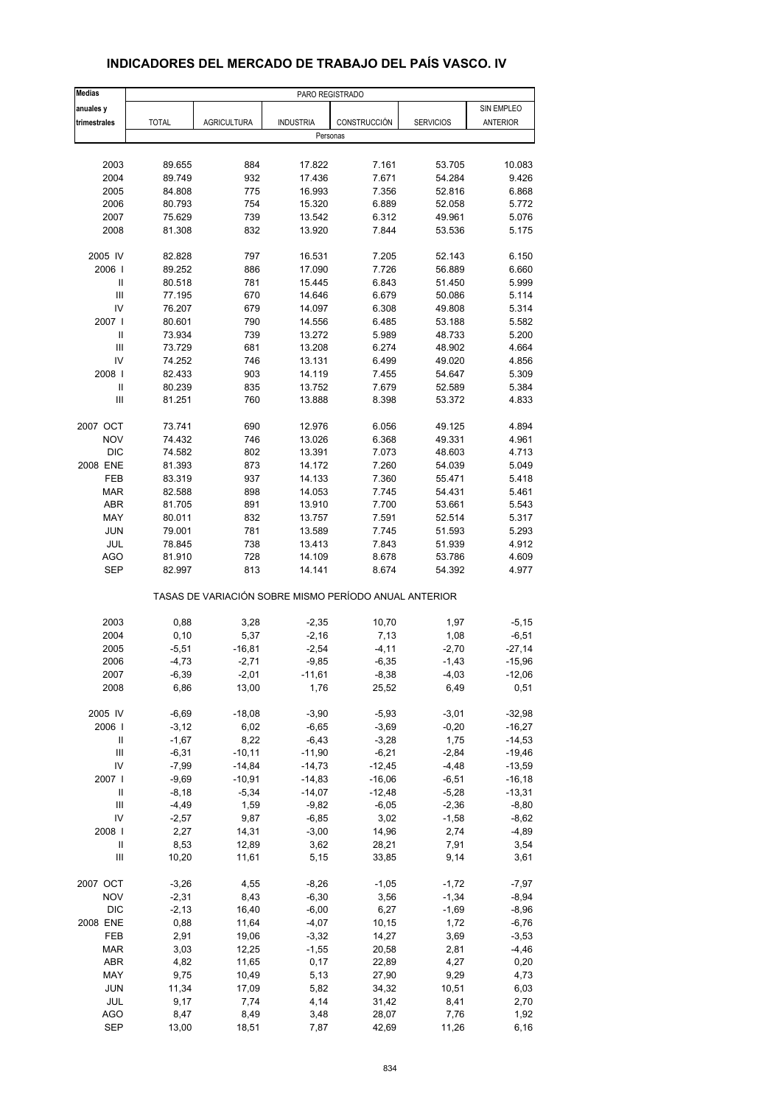| <b>Medias</b>              |              |                    | PARO REGISTRADO  |                                                       |                  |                 |
|----------------------------|--------------|--------------------|------------------|-------------------------------------------------------|------------------|-----------------|
| anuales y                  |              |                    |                  |                                                       |                  | SIN EMPLEO      |
| trimestrales               | <b>TOTAL</b> | <b>AGRICULTURA</b> | <b>INDUSTRIA</b> | CONSTRUCCIÓN                                          | <b>SERVICIOS</b> | <b>ANTERIOR</b> |
|                            |              |                    | Personas         |                                                       |                  |                 |
|                            |              |                    |                  |                                                       |                  |                 |
| 2003                       | 89.655       | 884                | 17.822           | 7.161                                                 | 53.705           | 10.083          |
| 2004                       | 89.749       | 932                | 17.436           | 7.671                                                 | 54.284           | 9.426           |
| 2005                       | 84.808       | 775                | 16.993           | 7.356                                                 | 52.816           | 6.868           |
| 2006                       | 80.793       | 754                | 15.320           | 6.889                                                 | 52.058           | 5.772           |
| 2007                       | 75.629       | 739                | 13.542           | 6.312                                                 | 49.961           | 5.076           |
| 2008                       | 81.308       | 832                | 13.920           | 7.844                                                 | 53.536           | 5.175           |
|                            |              |                    |                  |                                                       |                  |                 |
| 2005 IV                    | 82.828       | 797                | 16.531           | 7.205                                                 | 52.143           | 6.150           |
| 2006                       | 89.252       | 886                | 17.090           | 7.726                                                 | 56.889           | 6.660           |
| Ш                          | 80.518       | 781                | 15.445           | 6.843                                                 | 51.450           | 5.999           |
| $\mathsf{III}$             | 77.195       | 670                | 14.646           | 6.679                                                 | 50.086           | 5.114           |
| IV                         | 76.207       | 679                | 14.097           | 6.308                                                 | 49.808           | 5.314           |
| 2007                       | 80.601       | 790                | 14.556           | 6.485                                                 | 53.188           | 5.582           |
| $\sf II$                   | 73.934       | 739                | 13.272           | 5.989                                                 | 48.733           | 5.200           |
| $\mathsf{III}$             | 73.729       | 681                | 13.208           | 6.274                                                 | 48.902           | 4.664           |
| IV                         | 74.252       | 746                | 13.131           | 6.499                                                 | 49.020           | 4.856           |
| 2008                       | 82.433       | 903                | 14.119           | 7.455                                                 | 54.647           | 5.309           |
| $\ensuremath{\mathsf{II}}$ | 80.239       | 835                | 13.752           | 7.679                                                 | 52.589           | 5.384           |
| $\mathsf{III}$             | 81.251       | 760                | 13.888           | 8.398                                                 | 53.372           | 4.833           |
|                            |              |                    |                  |                                                       |                  |                 |
| 2007 OCT                   | 73.741       | 690                | 12.976           | 6.056                                                 | 49.125           | 4.894           |
| <b>NOV</b>                 | 74.432       | 746                | 13.026           | 6.368                                                 | 49.331           | 4.961           |
| <b>DIC</b>                 | 74.582       | 802                | 13.391           | 7.073                                                 | 48.603           | 4.713           |
| 2008 ENE                   | 81.393       | 873                | 14.172           | 7.260                                                 | 54.039           | 5.049           |
| FEB                        | 83.319       | 937                | 14.133           | 7.360                                                 | 55.471           | 5.418           |
| <b>MAR</b>                 | 82.588       | 898                | 14.053           | 7.745                                                 | 54.431           | 5.461           |
| ABR                        | 81.705       | 891                | 13.910           | 7.700                                                 | 53.661           | 5.543           |
| MAY                        | 80.011       | 832                | 13.757           | 7.591                                                 | 52.514           | 5.317           |
| <b>JUN</b>                 | 79.001       | 781                | 13.589           | 7.745                                                 | 51.593           | 5.293           |
| JUL                        | 78.845       | 738                | 13.413           | 7.843                                                 | 51.939           | 4.912           |
| <b>AGO</b>                 | 81.910       | 728                | 14.109           | 8.678                                                 | 53.786           | 4.609           |
| <b>SEP</b>                 | 82.997       | 813                | 14.141           | 8.674                                                 | 54.392           | 4.977           |
|                            |              |                    |                  | TASAS DE VARIACIÓN SOBRE MISMO PERÍODO ANUAL ANTERIOR |                  |                 |
| 2003                       | 0,88         |                    |                  | 10,70                                                 | 1,97             | $-5,15$         |
|                            |              | 3,28               | $-2,35$          |                                                       |                  |                 |
| 2004                       | 0, 10        | 5,37               | $-2,16$          | 7,13                                                  | 1,08             | $-6,51$         |
| 2005                       | $-5,51$      | $-16,81$           | $-2,54$          | $-4, 11$                                              | $-2,70$          | $-27,14$        |
| 2006                       | $-4,73$      | $-2,71$            | $-9,85$          | $-6,35$                                               | $-1,43$          | $-15,96$        |
| 2007                       | -6,39        | $-2,01$            | $-11,61$         | $-8,38$                                               | $-4,03$          | $-12,06$        |
| 2008                       | 6,86         | 13,00              | 1,76             | 25,52                                                 | 6,49             | 0,51            |
| 2005 IV                    | $-6,69$      | $-18,08$           | $-3,90$          | $-5,93$                                               | $-3,01$          | $-32,98$        |
| 2006                       | $-3,12$      | 6,02               | $-6,65$          | $-3,69$                                               | $-0,20$          | $-16,27$        |
| Ш                          | $-1,67$      | 8,22               | $-6,43$          | $-3,28$                                               | 1,75             | $-14,53$        |
| $\mathsf{III}$             | $-6,31$      | $-10,11$           | $-11,90$         | $-6,21$                                               | $-2,84$          | $-19,46$        |
| IV                         | $-7,99$      | $-14,84$           | $-14,73$         | $-12,45$                                              | $-4,48$          | $-13,59$        |
| 2007 l                     | $-9,69$      | $-10,91$           | $-14,83$         | $-16,06$                                              | $-6,51$          | $-16, 18$       |
| $\ensuremath{\mathsf{II}}$ | $-8,18$      | $-5,34$            | $-14,07$         | $-12,48$                                              | $-5,28$          | $-13,31$        |
|                            |              |                    |                  |                                                       |                  |                 |
| $\mathsf{III}$             | $-4,49$      | 1,59               | $-9,82$          | $-6,05$                                               | $-2,36$          | $-8,80$         |
| IV                         | $-2,57$      | 9,87               | $-6,85$          | 3,02                                                  | $-1,58$          | $-8,62$         |
| 2008                       | 2,27         | 14,31              | $-3,00$          | 14,96                                                 | 2,74             | $-4,89$         |
| Ш                          | 8,53         | 12,89              | 3,62             | 28,21                                                 | 7,91             | 3,54            |
| Ш                          | 10,20        | 11,61              | 5,15             | 33,85                                                 | 9,14             | 3,61            |
| 2007 OCT                   | $-3,26$      | 4,55               | $-8,26$          | $-1,05$                                               | $-1,72$          | $-7,97$         |
| <b>NOV</b>                 | $-2,31$      | 8,43               | $-6,30$          | 3,56                                                  | $-1,34$          | $-8,94$         |
| <b>DIC</b>                 | $-2,13$      | 16,40              | $-6,00$          | 6,27                                                  | $-1,69$          | $-8,96$         |
| 2008 ENE                   | 0,88         | 11,64              | $-4,07$          | 10, 15                                                | 1,72             | $-6,76$         |
| FEB                        | 2,91         | 19,06              | $-3,32$          | 14,27                                                 | 3,69             | $-3,53$         |
| <b>MAR</b>                 | 3,03         | 12,25              | $-1,55$          | 20,58                                                 | 2,81             |                 |
|                            |              |                    |                  |                                                       |                  | -4,46           |
| ABR                        | 4,82         | 11,65              | 0,17             | 22,89                                                 | 4,27             | 0,20            |
| MAY                        | 9,75         | 10,49              | 5,13             | 27,90                                                 | 9,29             | 4,73            |
| JUN                        | 11,34        | 17,09              | 5,82             | 34,32                                                 | 10,51            | 6,03            |
| JUL                        | 9,17         | 7,74               | 4,14             | 31,42                                                 | 8,41             | 2,70            |
| <b>AGO</b>                 | 8,47         | 8,49               | 3,48             | 28,07                                                 | 7,76             | 1,92            |
| <b>SEP</b>                 | 13,00        | 18,51              | 7,87             | 42,69                                                 | 11,26            | 6, 16           |

### **INDICADORES DEL MERCADO DE TRABAJO DEL PAÍS VASCO. IV**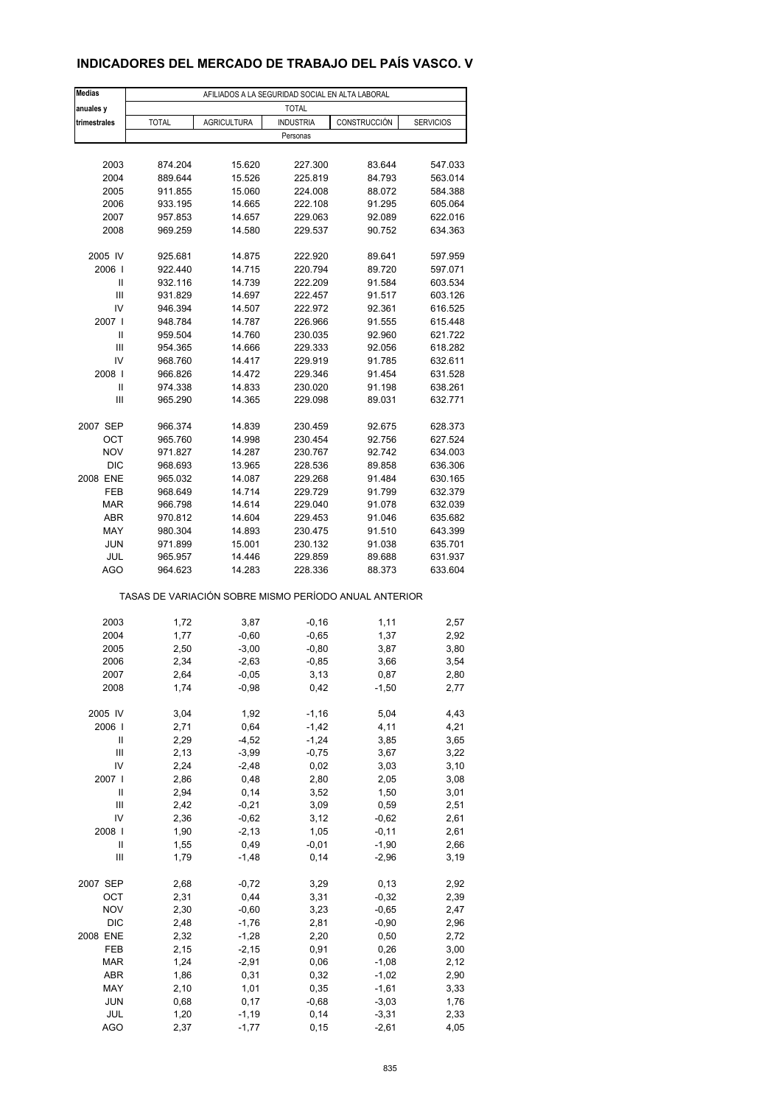## **INDICADORES DEL MERCADO DE TRABAJO DEL PAÍS VASCO. V**

| <b>Medias</b>     |                                                       | AFILIADOS A LA SEGURIDAD SOCIAL EN ALTA LABORAL |                    |                    |                    |
|-------------------|-------------------------------------------------------|-------------------------------------------------|--------------------|--------------------|--------------------|
| anuales y         |                                                       |                                                 | <b>TOTAL</b>       |                    |                    |
| trimestrales      | <b>TOTAL</b>                                          | <b>AGRICULTURA</b>                              | <b>INDUSTRIA</b>   | CONSTRUCCIÓN       | <b>SERVICIOS</b>   |
|                   |                                                       |                                                 | Personas           |                    |                    |
|                   |                                                       |                                                 |                    |                    |                    |
| 2003              | 874.204                                               | 15.620                                          | 227.300            | 83.644             | 547.033            |
| 2004              | 889.644                                               | 15.526                                          | 225.819            | 84.793             | 563.014            |
| 2005              | 911.855                                               | 15.060                                          | 224.008            | 88.072             | 584.388            |
| 2006              | 933.195                                               | 14.665                                          | 222.108            | 91.295             | 605.064            |
| 2007              | 957.853                                               | 14.657                                          | 229.063            | 92.089             | 622.016            |
| 2008              | 969.259                                               | 14.580                                          | 229.537            | 90.752             | 634.363            |
| 2005 IV           | 925.681                                               | 14.875                                          | 222.920            | 89.641             | 597.959            |
| 2006              | 922.440                                               | 14.715                                          | 220.794            | 89.720             | 597.071            |
| Ш                 | 932.116                                               | 14.739                                          | 222.209            | 91.584             | 603.534            |
| Ш                 | 931.829                                               | 14.697                                          | 222.457            | 91.517             | 603.126            |
| IV                | 946.394                                               | 14.507                                          | 222.972            | 92.361             | 616.525            |
| 2007 l            | 948.784                                               | 14.787                                          | 226.966            | 91.555             | 615.448            |
| Ш                 | 959.504                                               | 14.760                                          | 230.035            | 92.960             | 621.722            |
| Ш                 | 954.365                                               | 14.666                                          | 229.333            | 92.056             | 618.282            |
| IV                | 968.760                                               | 14.417                                          | 229.919            | 91.785             | 632.611            |
| 2008              | 966.826                                               | 14.472                                          | 229.346            | 91.454             | 631.528            |
| Ш                 | 974.338                                               | 14.833                                          | 230.020            | 91.198             | 638.261            |
| Ш                 | 965.290                                               | 14.365                                          | 229.098            | 89.031             | 632.771            |
|                   |                                                       |                                                 |                    | 92.675             |                    |
| 2007 SEP<br>ОСТ   | 966.374<br>965.760                                    | 14.839<br>14.998                                | 230.459<br>230.454 | 92.756             | 628.373<br>627.524 |
| <b>NOV</b>        | 971.827                                               | 14.287                                          | 230.767            | 92.742             | 634.003            |
| <b>DIC</b>        | 968.693                                               | 13.965                                          | 228.536            | 89.858             | 636.306            |
| 2008 ENE          | 965.032                                               | 14.087                                          | 229.268            | 91.484             | 630.165            |
| FEB               | 968.649                                               | 14.714                                          | 229.729            | 91.799             | 632.379            |
| <b>MAR</b>        | 966.798                                               | 14.614                                          | 229.040            | 91.078             | 632.039            |
| <b>ABR</b>        | 970.812                                               | 14.604                                          | 229.453            | 91.046             | 635.682            |
| MAY               | 980.304                                               | 14.893                                          | 230.475            | 91.510             | 643.399            |
| <b>JUN</b>        | 971.899                                               | 15.001                                          | 230.132            | 91.038             | 635.701            |
| JUL               | 965.957                                               | 14.446                                          | 229.859            | 89.688             | 631.937            |
| AGO               | 964.623                                               | 14.283                                          | 228.336            | 88.373             | 633.604            |
|                   | TASAS DE VARIACIÓN SOBRE MISMO PERÍODO ANUAL ANTERIOR |                                                 |                    |                    |                    |
| 2003              | 1,72                                                  | 3,87                                            | $-0,16$            | 1,11               | 2,57               |
| 2004              | 1,77                                                  | $-0,60$                                         | $-0,65$            | 1,37               | 2,92               |
| 2005              | 2,50                                                  | $-3,00$                                         | $-0,80$            | 3,87               | 3,80               |
| 2006              | 2,34                                                  | $-2,63$                                         | $-0,85$            | 3,66               | 3,54               |
| 2007              | 2,64                                                  | -0,05                                           | 3,13               | 0,87               | 2,80               |
| 2008              | 1,74                                                  | $-0,98$                                         | 0,42               | $-1,50$            | 2,77               |
|                   |                                                       |                                                 |                    |                    |                    |
| 2005 IV           | 3,04                                                  | 1,92                                            | $-1,16$            | 5,04               | 4,43               |
| 2006              | 2,71                                                  | 0,64                                            | $-1,42$            | 4,11               | 4,21               |
| Ш                 | 2,29                                                  | $-4,52$                                         | $-1,24$            | 3,85               | 3,65               |
| Ш                 | 2,13                                                  | $-3,99$                                         | $-0,75$            | 3,67               | 3,22               |
| IV                | 2,24                                                  | $-2,48$                                         | 0,02               | 3,03               | 3,10               |
| 2007  <br>Ш       | 2,86<br>2,94                                          | 0,48<br>0,14                                    | 2,80<br>3,52       | 2,05<br>1,50       | 3,08<br>3,01       |
| Ш                 | 2,42                                                  | $-0,21$                                         | 3,09               | 0,59               | 2,51               |
| IV                | 2,36                                                  | $-0,62$                                         | 3,12               | $-0,62$            | 2,61               |
| 2008              | 1,90                                                  | $-2, 13$                                        | 1,05               | $-0, 11$           | 2,61               |
| Ш                 | 1,55                                                  | 0,49                                            | $-0,01$            | $-1,90$            | 2,66               |
| Ш                 | 1,79                                                  | $-1,48$                                         | 0,14               | $-2,96$            | 3,19               |
| 2007 SEP          | 2,68                                                  | $-0,72$                                         | 3,29               | 0,13               | 2,92               |
| OCT               | 2,31                                                  | 0,44                                            | 3,31               | $-0,32$            | 2,39               |
| <b>NOV</b>        | 2,30                                                  | $-0,60$                                         | 3,23               | $-0,65$            | 2,47               |
| DIC               | 2,48                                                  | $-1,76$                                         | 2,81               | $-0,90$            | 2,96               |
| 2008 ENE          | 2,32                                                  | $-1,28$                                         | 2,20               | 0,50               | 2,72               |
| FEB               | 2,15                                                  | $-2,15$                                         | 0,91               | 0,26               | 3,00               |
| <b>MAR</b>        | 1,24                                                  | $-2,91$                                         | 0,06               | $-1,08$            | 2,12               |
| ABR               | 1,86                                                  | 0,31                                            | 0,32               | $-1,02$            | 2,90               |
| MAY               | 2,10                                                  | 1,01                                            | 0,35               | $-1,61$            | 3,33               |
| <b>JUN</b>        | 0,68                                                  | 0,17                                            | $-0,68$            | $-3,03$            | 1,76               |
| JUL<br><b>AGO</b> | 1,20<br>2,37                                          | $-1,19$<br>$-1,77$                              | 0,14<br>0, 15      | $-3,31$<br>$-2,61$ | 2,33<br>4,05       |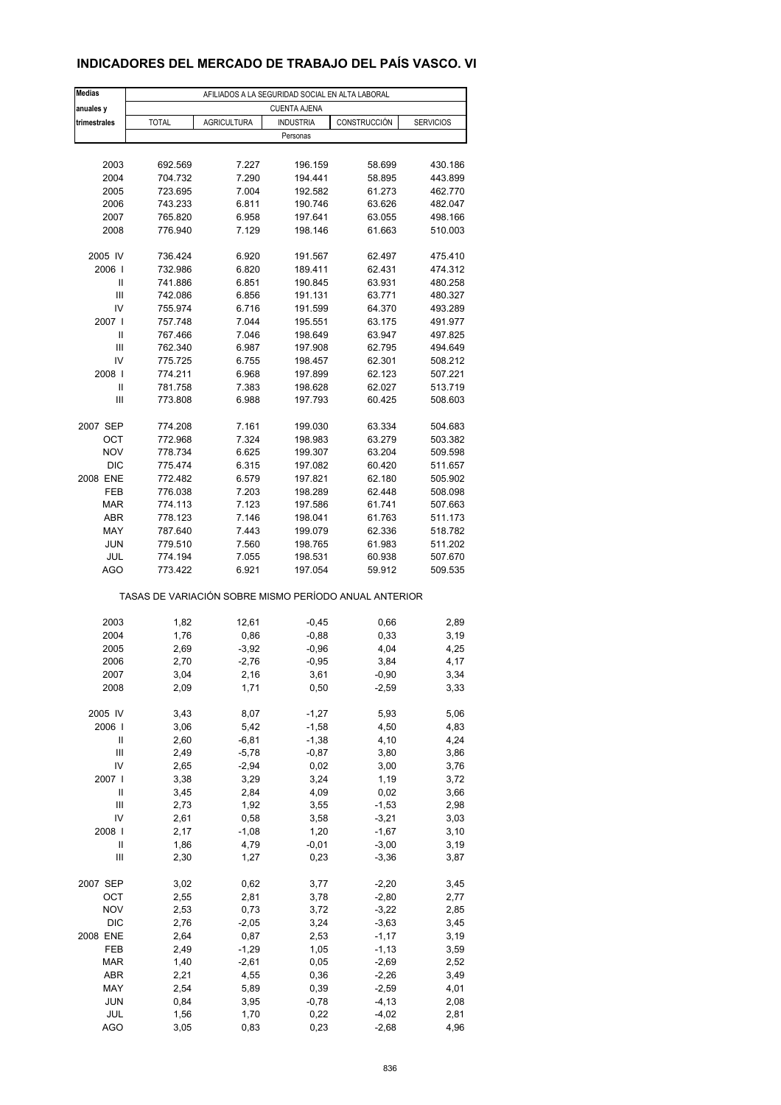## **INDICADORES DEL MERCADO DE TRABAJO DEL PAÍS VASCO. VI**

| <b>Medias</b> |                                                       |                    | AFILIADOS A LA SEGURIDAD SOCIAL EN ALTA LABORAL |              |                  |
|---------------|-------------------------------------------------------|--------------------|-------------------------------------------------|--------------|------------------|
| anuales y     |                                                       |                    | <b>CUENTA AJENA</b>                             |              |                  |
| trimestrales  | <b>TOTAL</b>                                          | <b>AGRICULTURA</b> | <b>INDUSTRIA</b>                                | CONSTRUCCIÓN | <b>SERVICIOS</b> |
|               |                                                       |                    | Personas                                        |              |                  |
|               |                                                       |                    |                                                 |              |                  |
| 2003          | 692.569                                               | 7.227              | 196.159                                         | 58.699       | 430.186          |
| 2004          | 704.732                                               | 7.290              | 194.441                                         | 58.895       | 443.899          |
| 2005          | 723.695                                               | 7.004              | 192.582                                         | 61.273       | 462.770          |
| 2006          | 743.233                                               | 6.811              | 190.746                                         | 63.626       | 482.047          |
| 2007          | 765.820                                               | 6.958              | 197.641                                         | 63.055       | 498.166          |
| 2008          | 776.940                                               | 7.129              | 198.146                                         | 61.663       | 510.003          |
| 2005 IV       | 736.424                                               | 6.920              | 191.567                                         | 62.497       | 475.410          |
| 2006          | 732.986                                               | 6.820              | 189.411                                         | 62.431       | 474.312          |
| Ш             | 741.886                                               | 6.851              | 190.845                                         | 63.931       | 480.258          |
| Ш             | 742.086                                               | 6.856              | 191.131                                         | 63.771       | 480.327          |
| IV            | 755.974                                               | 6.716              | 191.599                                         | 64.370       | 493.289          |
| 2007 l        | 757.748                                               | 7.044              | 195.551                                         | 63.175       | 491.977          |
| Ш             | 767.466                                               | 7.046              | 198.649                                         | 63.947       | 497.825          |
| Ш             | 762.340                                               | 6.987              | 197.908                                         | 62.795       | 494.649          |
| IV            | 775.725                                               | 6.755              | 198.457                                         | 62.301       | 508.212          |
| 2008          | 774.211                                               | 6.968              | 197.899                                         | 62.123       | 507.221          |
| Ш             | 781.758                                               | 7.383              | 198.628                                         | 62.027       | 513.719          |
| Ш             | 773.808                                               | 6.988              | 197.793                                         | 60.425       | 508.603          |
| 2007 SEP      | 774.208                                               | 7.161              | 199.030                                         | 63.334       | 504.683          |
| <b>OCT</b>    | 772.968                                               | 7.324              | 198.983                                         | 63.279       | 503.382          |
| <b>NOV</b>    | 778.734                                               | 6.625              | 199.307                                         | 63.204       | 509.598          |
| <b>DIC</b>    | 775.474                                               | 6.315              | 197.082                                         | 60.420       | 511.657          |
| 2008 ENE      | 772.482                                               | 6.579              | 197.821                                         | 62.180       | 505.902          |
| FEB           | 776.038                                               | 7.203              | 198.289                                         | 62.448       | 508.098          |
| <b>MAR</b>    | 774.113                                               | 7.123              | 197.586                                         | 61.741       | 507.663          |
| ABR           | 778.123                                               | 7.146              | 198.041                                         | 61.763       | 511.173          |
| MAY           | 787.640                                               | 7.443              | 199.079                                         | 62.336       | 518.782          |
| <b>JUN</b>    | 779.510                                               | 7.560              | 198.765                                         | 61.983       | 511.202          |
| JUL           | 774.194                                               | 7.055              | 198.531                                         | 60.938       | 507.670          |
| <b>AGO</b>    | 773.422                                               | 6.921              | 197.054                                         | 59.912       | 509.535          |
|               | TASAS DE VARIACIÓN SOBRE MISMO PERÍODO ANUAL ANTERIOR |                    |                                                 |              |                  |
|               |                                                       |                    |                                                 |              |                  |
| 2003          | 1,82                                                  | 12,61              | $-0,45$                                         | 0,66         | 2,89             |
| 2004          | 1,76                                                  | 0,86               | $-0,88$                                         | 0,33         | 3,19             |
| 2005          | 2,69                                                  | $-3,92$            | $-0,96$                                         | 4,04         | 4,25             |
| 2006          | 2,70                                                  | $-2,76$            | $-0,95$                                         | 3,84         | 4,17             |
| 2007          | 3,04                                                  | 2,16               | 3,61                                            | $-0,90$      | 3,34             |
| 2008          | 2,09                                                  | 1,71               | 0,50                                            | $-2,59$      | 3,33             |
| 2005 IV       | 3,43                                                  | 8,07               | $-1,27$                                         | 5,93         | 5,06             |
| 2006          | 3,06                                                  | 5,42               | $-1,58$                                         | 4,50         | 4,83             |
| Ш             | 2,60                                                  | $-6, 81$           | $-1,38$                                         | 4,10         | 4,24             |
| Ш             | 2,49                                                  | $-5,78$            | $-0,87$                                         | 3,80         | 3,86             |
| IV            | 2,65                                                  | $-2,94$            | 0,02                                            | 3,00         | 3,76             |
| 2007 l        | 3,38                                                  | 3,29               | 3,24                                            | 1,19         | 3,72             |
| Ш             | 3,45                                                  | 2,84               | 4,09                                            | 0,02         | 3,66             |
| Ш             | 2,73                                                  | 1,92               | 3,55                                            | $-1,53$      | 2,98             |
| IV            | 2,61                                                  | 0,58               | 3,58                                            | $-3,21$      | 3,03             |
| 2008          | 2,17                                                  | $-1,08$            | 1,20                                            | $-1,67$      | 3,10             |
| Ш             | 1,86                                                  | 4,79               | $-0,01$                                         | $-3,00$      | 3,19             |
| Ш             | 2,30                                                  | 1,27               | 0,23                                            | $-3,36$      | 3,87             |
| 2007 SEP      | 3,02                                                  | 0,62               | 3,77                                            | $-2,20$      | 3,45             |
| OCT           | 2,55                                                  | 2,81               | 3,78                                            | $-2,80$      | 2,77             |
| <b>NOV</b>    | 2,53                                                  | 0,73               | 3,72                                            | $-3,22$      | 2,85             |
| DIC           | 2,76                                                  | $-2,05$            | 3,24                                            | $-3,63$      | 3,45             |
| 2008 ENE      | 2,64                                                  | 0,87               | 2,53                                            | $-1,17$      | 3,19             |
| FEB           | 2,49                                                  | $-1,29$            | 1,05                                            | $-1, 13$     | 3,59             |
| MAR           | 1,40                                                  | $-2,61$            | 0,05                                            | $-2,69$      | 2,52             |
| ABR           | 2,21                                                  | 4,55               | 0,36                                            | $-2,26$      | 3,49             |
| MAY           | 2,54                                                  | 5,89               | 0,39                                            | $-2,59$      | 4,01             |
| <b>JUN</b>    | 0,84                                                  | 3,95               | $-0,78$                                         | $-4, 13$     | 2,08             |
| JUL           | 1,56                                                  | 1,70               | 0,22                                            | $-4,02$      | 2,81             |
| <b>AGO</b>    | 3,05                                                  | 0,83               | 0,23                                            | $-2,68$      | 4,96             |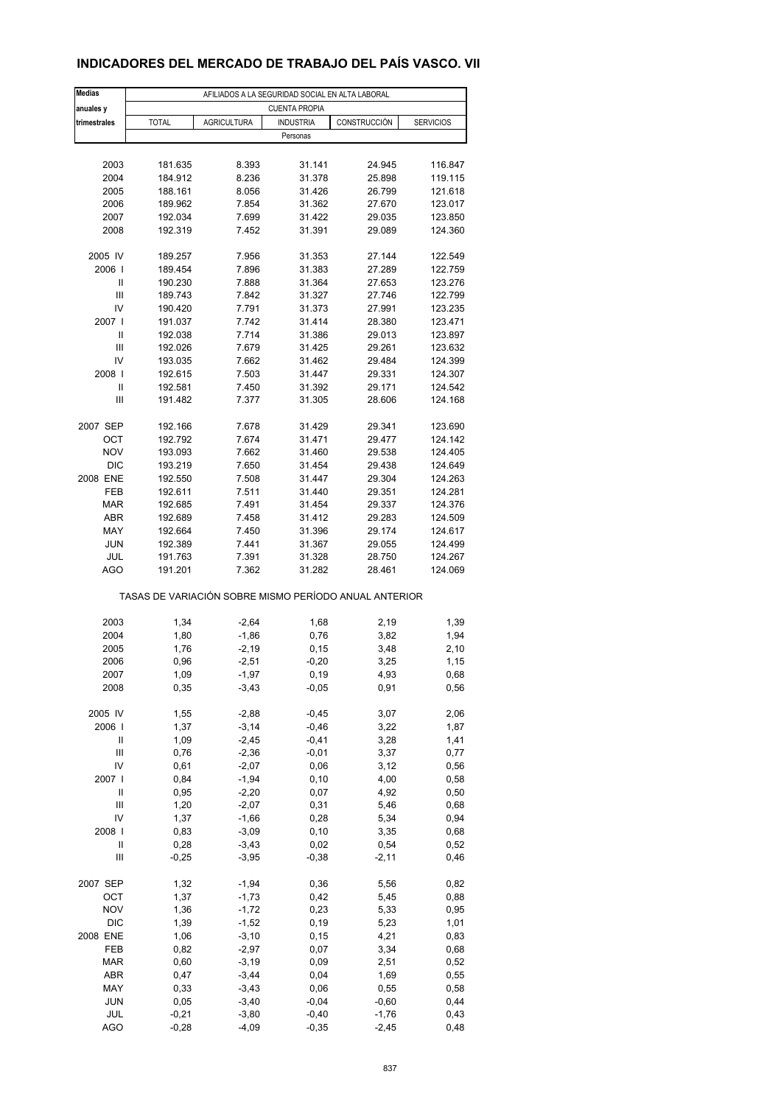## **INDICADORES DEL MERCADO DE TRABAJO DEL PAÍS VASCO. VII**

| <b>Medias</b>     | AFILIADOS A LA SEGURIDAD SOCIAL EN ALTA LABORAL       |                    |                      |                  |                    |  |  |  |
|-------------------|-------------------------------------------------------|--------------------|----------------------|------------------|--------------------|--|--|--|
| anuales y         |                                                       |                    | <b>CUENTA PROPIA</b> |                  |                    |  |  |  |
| trimestrales      | <b>TOTAL</b>                                          | <b>AGRICULTURA</b> | <b>INDUSTRIA</b>     | CONSTRUCCIÓN     | <b>SERVICIOS</b>   |  |  |  |
|                   |                                                       |                    | Personas             |                  |                    |  |  |  |
|                   |                                                       |                    |                      |                  |                    |  |  |  |
| 2003              | 181.635                                               | 8.393              | 31.141               | 24.945           | 116.847            |  |  |  |
| 2004<br>2005      | 184.912<br>188.161                                    | 8.236<br>8.056     | 31.378<br>31.426     | 25.898<br>26.799 | 119.115<br>121.618 |  |  |  |
| 2006              | 189.962                                               | 7.854              | 31.362               | 27.670           | 123.017            |  |  |  |
| 2007              | 192.034                                               | 7.699              | 31.422               | 29.035           | 123.850            |  |  |  |
| 2008              | 192.319                                               | 7.452              | 31.391               | 29.089           | 124.360            |  |  |  |
|                   |                                                       |                    |                      |                  |                    |  |  |  |
| 2005 IV           | 189.257                                               | 7.956              | 31.353               | 27.144           | 122.549            |  |  |  |
| 2006              | 189.454                                               | 7.896              | 31.383               | 27.289           | 122.759            |  |  |  |
| Ш                 | 190.230                                               | 7.888              | 31.364               | 27.653           | 123.276            |  |  |  |
| Ш                 | 189.743                                               | 7.842              | 31.327               | 27.746           | 122.799            |  |  |  |
| IV                | 190.420                                               | 7.791              | 31.373               | 27.991           | 123.235            |  |  |  |
| 2007 l            | 191.037                                               | 7.742              | 31.414               | 28.380           | 123.471            |  |  |  |
| Ш                 | 192.038                                               | 7.714              | 31.386               | 29.013           | 123.897            |  |  |  |
| Ш                 | 192.026                                               | 7.679              | 31.425               | 29.261           | 123.632            |  |  |  |
| IV<br>2008        | 193.035<br>192.615                                    | 7.662<br>7.503     | 31.462<br>31.447     | 29.484<br>29.331 | 124.399<br>124.307 |  |  |  |
| Ш                 | 192.581                                               | 7.450              | 31.392               | 29.171           | 124.542            |  |  |  |
| Ш                 | 191.482                                               | 7.377              | 31.305               | 28.606           | 124.168            |  |  |  |
|                   |                                                       |                    |                      |                  |                    |  |  |  |
| 2007 SEP          | 192.166                                               | 7.678              | 31.429               | 29.341           | 123.690            |  |  |  |
| OCT               | 192.792                                               | 7.674              | 31.471               | 29.477           | 124.142            |  |  |  |
| <b>NOV</b>        | 193.093                                               | 7.662              | 31.460               | 29.538           | 124.405            |  |  |  |
| <b>DIC</b>        | 193.219                                               | 7.650              | 31.454               | 29.438           | 124.649            |  |  |  |
| 2008 ENE          | 192.550                                               | 7.508              | 31.447               | 29.304           | 124.263            |  |  |  |
| FEB               | 192.611                                               | 7.511              | 31.440               | 29.351           | 124.281            |  |  |  |
| <b>MAR</b>        | 192.685                                               | 7.491              | 31.454               | 29.337           | 124.376            |  |  |  |
| <b>ABR</b>        | 192.689                                               | 7.458              | 31.412               | 29.283           | 124.509            |  |  |  |
| MAY               | 192.664                                               | 7.450              | 31.396               | 29.174           | 124.617            |  |  |  |
| <b>JUN</b>        | 192.389                                               | 7.441              | 31.367               | 29.055           | 124.499            |  |  |  |
| JUL<br><b>AGO</b> | 191.763<br>191.201                                    | 7.391<br>7.362     | 31.328<br>31.282     | 28.750<br>28.461 | 124.267<br>124.069 |  |  |  |
|                   |                                                       |                    |                      |                  |                    |  |  |  |
|                   | TASAS DE VARIACIÓN SOBRE MISMO PERÍODO ANUAL ANTERIOR |                    |                      |                  |                    |  |  |  |
|                   |                                                       |                    |                      |                  |                    |  |  |  |
| 2003              | 1,34                                                  | $-2,64$            | 1,68                 | 2,19             | 1,39               |  |  |  |
| 2004              | 1,80                                                  | $-1,86$            | 0,76                 | 3,82             | 1,94               |  |  |  |
| 2005              | 1,76                                                  | $-2,19$            | 0,15                 | 3,48             | 2,10               |  |  |  |
| 2006              | 0,96                                                  | $-2,51$            | $-0,20$              | 3,25             | 1,15               |  |  |  |
| 2007              | 1,09                                                  | -1,97              | 0,19                 | 4,93             | 0,68               |  |  |  |
| 2008              | 0,35                                                  | $-3,43$            | $-0,05$              | 0,91             | 0,56               |  |  |  |
| 2005 IV           | 1,55                                                  | $-2,88$            | $-0,45$              | 3,07             | 2,06               |  |  |  |
| 2006              | 1,37                                                  | $-3,14$            | $-0,46$              | 3,22             | 1,87               |  |  |  |
| Ш                 | 1,09                                                  | $-2,45$            | $-0,41$              | 3,28             | 1,41               |  |  |  |
| Ш                 | 0,76                                                  | $-2,36$            | $-0,01$              | 3,37             | 0,77               |  |  |  |
| IV                | 0,61                                                  | $-2,07$            | 0,06                 | 3,12             | 0,56               |  |  |  |
| 2007              | 0,84                                                  | $-1,94$            | 0, 10                | 4,00             | 0,58               |  |  |  |
| Ш                 | 0,95                                                  | $-2,20$            | 0,07                 | 4,92             | 0,50               |  |  |  |
| Ш                 | 1,20                                                  | $-2,07$            | 0,31                 | 5,46             | 0,68               |  |  |  |
| IV                | 1,37                                                  | $-1,66$            | 0,28                 | 5,34             | 0,94               |  |  |  |
| 2008              | 0,83                                                  | $-3,09$            | 0, 10                | 3,35             | 0,68               |  |  |  |
| Ш                 | 0,28                                                  | $-3,43$            | 0,02                 | 0,54             | 0,52               |  |  |  |
| $\mathbf{III}$    | $-0,25$                                               | $-3,95$            | $-0,38$              | $-2,11$          | 0,46               |  |  |  |
| 2007 SEP          | 1,32                                                  | $-1,94$            | 0,36                 | 5,56             | 0,82               |  |  |  |
| OCT               | 1,37                                                  | $-1,73$            | 0,42                 | 5,45             | 0,88               |  |  |  |
| <b>NOV</b>        | 1,36                                                  | $-1,72$            | 0,23                 | 5,33             | 0,95               |  |  |  |
| <b>DIC</b>        | 1,39                                                  | $-1,52$            | 0,19                 | 5,23             | 1,01               |  |  |  |
| 2008 ENE          | 1,06                                                  | $-3,10$            | 0, 15                | 4,21             | 0,83               |  |  |  |
| FEB               | 0,82                                                  | $-2,97$            | 0,07                 | 3,34             | 0,68               |  |  |  |
| <b>MAR</b>        | 0,60                                                  | $-3,19$            | 0,09                 | 2,51             | 0,52               |  |  |  |
| ABR               | 0,47                                                  | $-3,44$            | 0,04                 | 1,69             | 0,55               |  |  |  |
| MAY               | 0,33                                                  | $-3,43$            | 0,06                 | 0,55             | 0,58               |  |  |  |
| <b>JUN</b>        | 0,05                                                  | $-3,40$            | $-0,04$              | $-0,60$          | 0,44               |  |  |  |
| JUL               | $-0,21$                                               | $-3,80$            | $-0,40$              | $-1,76$          | 0,43               |  |  |  |
| <b>AGO</b>        | $-0,28$                                               | $-4,09$            | $-0,35$              | $-2,45$          | 0,48               |  |  |  |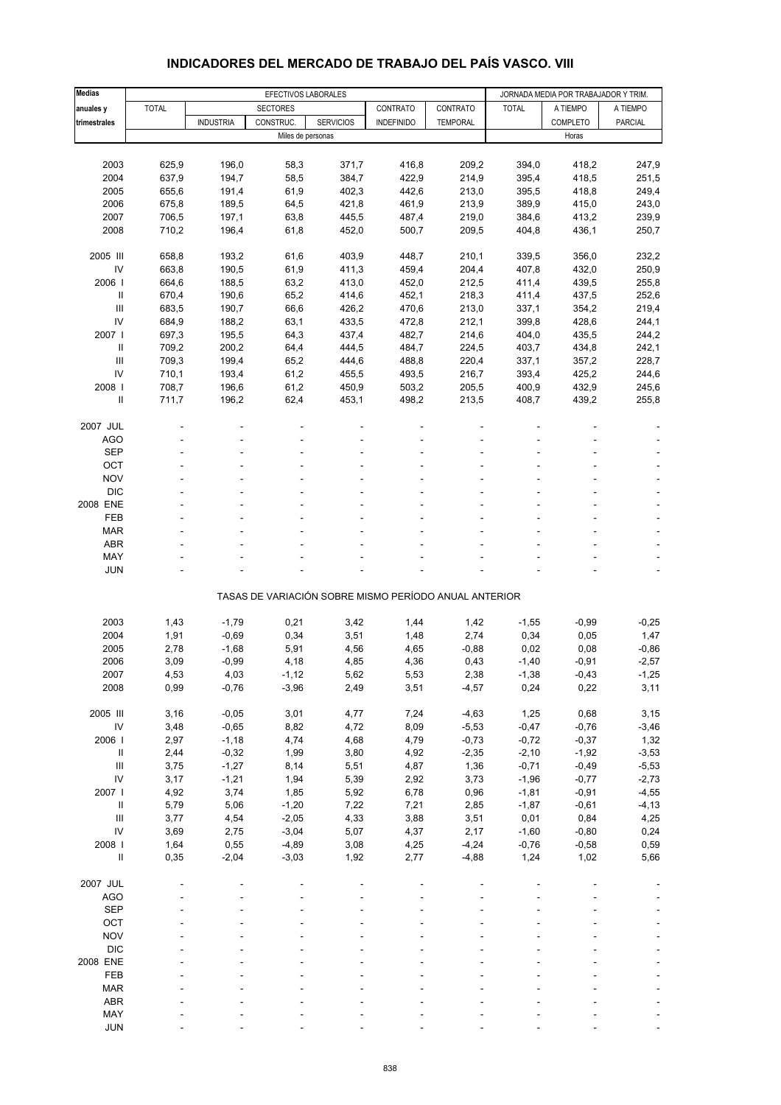| <b>Medias</b>                                |                | EFECTIVOS LABORALES |                   |                  |                                                       |                 | JORNADA MEDIA POR TRABAJADOR Y TRIM. |                    |                              |
|----------------------------------------------|----------------|---------------------|-------------------|------------------|-------------------------------------------------------|-----------------|--------------------------------------|--------------------|------------------------------|
| anuales y                                    | <b>TOTAL</b>   |                     | <b>SECTORES</b>   |                  | CONTRATO                                              | CONTRATO        | <b>TOTAL</b>                         | A TIEMPO           | A TIEMPO                     |
| trimestrales                                 |                | <b>INDUSTRIA</b>    | CONSTRUC.         | <b>SERVICIOS</b> | <b>INDEFINIDO</b>                                     | <b>TEMPORAL</b> |                                      | COMPLETO           | <b>PARCIAL</b>               |
|                                              |                |                     | Miles de personas |                  |                                                       |                 |                                      | Horas              |                              |
|                                              |                |                     |                   |                  |                                                       |                 |                                      |                    |                              |
| 2003                                         | 625,9          | 196,0               | 58,3              | 371,7            | 416,8                                                 | 209,2           | 394,0                                | 418,2              | 247,9                        |
| 2004<br>2005                                 | 637,9<br>655,6 | 194,7<br>191,4      | 58,5<br>61,9      | 384,7<br>402,3   | 422,9<br>442,6                                        | 214,9<br>213,0  | 395,4<br>395,5                       | 418,5<br>418,8     | 251,5<br>249,4               |
| 2006                                         | 675,8          | 189,5               | 64,5              | 421,8            | 461,9                                                 | 213,9           | 389,9                                | 415,0              | 243,0                        |
| 2007                                         | 706,5          | 197,1               | 63,8              | 445,5            | 487,4                                                 | 219,0           | 384,6                                | 413,2              | 239,9                        |
| 2008                                         | 710,2          | 196,4               | 61,8              | 452,0            | 500,7                                                 | 209,5           | 404,8                                | 436,1              | 250,7                        |
|                                              |                |                     |                   |                  |                                                       |                 |                                      |                    |                              |
| 2005 III                                     | 658,8          | 193,2               | 61,6              | 403,9            | 448,7                                                 | 210,1           | 339,5                                | 356,0              | 232,2                        |
| IV                                           | 663,8          | 190,5               | 61,9              | 411,3            | 459,4                                                 | 204,4           | 407,8                                | 432,0              | 250,9                        |
| 2006                                         | 664,6          | 188,5               | 63,2              | 413,0            | 452,0                                                 | 212,5           | 411,4                                | 439,5              | 255,8                        |
| $\ensuremath{\mathsf{II}}$                   | 670,4          | 190,6               | 65,2              | 414,6            | 452,1                                                 | 218,3           | 411,4                                | 437,5              | 252,6                        |
| III                                          | 683,5          | 190,7               | 66,6              | 426,2            | 470,6                                                 | 213,0           | 337,1                                | 354,2              | 219,4                        |
| IV                                           | 684,9          | 188,2               | 63,1              | 433,5            | 472,8                                                 | 212,1           | 399,8                                | 428,6              | 244,1                        |
| 2007 l<br>$\mathbf{II}$                      | 697,3<br>709,2 | 195,5<br>200,2      | 64,3<br>64,4      | 437,4<br>444,5   | 482,7<br>484,7                                        | 214,6<br>224,5  | 404,0<br>403,7                       | 435,5<br>434,8     | 244,2<br>242,1               |
| Ш                                            | 709,3          | 199,4               | 65,2              | 444,6            | 488,8                                                 | 220,4           | 337,1                                | 357,2              | 228,7                        |
| IV                                           | 710,1          | 193,4               | 61,2              | 455,5            | 493,5                                                 | 216,7           | 393,4                                | 425,2              | 244,6                        |
| 2008                                         | 708,7          | 196,6               | 61,2              | 450,9            | 503,2                                                 | 205,5           | 400,9                                | 432,9              | 245,6                        |
| Ш                                            | 711,7          | 196,2               | 62,4              | 453,1            | 498,2                                                 | 213,5           | 408,7                                | 439,2              | 255,8                        |
|                                              |                |                     |                   |                  |                                                       |                 |                                      |                    |                              |
| 2007 JUL                                     |                |                     |                   |                  |                                                       |                 |                                      |                    |                              |
| AGO                                          |                |                     |                   |                  |                                                       |                 |                                      |                    |                              |
| <b>SEP</b>                                   |                |                     |                   |                  |                                                       |                 |                                      |                    |                              |
| OCT                                          |                |                     |                   |                  |                                                       |                 |                                      |                    |                              |
| <b>NOV</b>                                   |                |                     |                   |                  |                                                       |                 |                                      |                    |                              |
| <b>DIC</b><br>2008 ENE                       |                |                     |                   |                  |                                                       |                 |                                      |                    |                              |
| <b>FEB</b>                                   |                |                     |                   |                  |                                                       |                 |                                      |                    |                              |
| <b>MAR</b>                                   |                |                     |                   |                  |                                                       |                 |                                      |                    |                              |
| <b>ABR</b>                                   |                |                     |                   |                  |                                                       |                 |                                      |                    |                              |
| MAY                                          |                |                     |                   |                  |                                                       |                 |                                      |                    |                              |
| <b>JUN</b>                                   |                |                     |                   |                  |                                                       |                 |                                      |                    | ÷,                           |
|                                              |                |                     |                   |                  |                                                       |                 |                                      |                    |                              |
|                                              |                |                     |                   |                  | TASAS DE VARIACIÓN SOBRE MISMO PERÍODO ANUAL ANTERIOR |                 |                                      |                    |                              |
| 2003                                         | 1,43           | $-1,79$             | 0,21              | 3,42             | 1,44                                                  | 1,42            | $-1,55$                              | $-0,99$            | $-0,25$                      |
| 2004                                         | 1,91           | $-0,69$             | 0,34              | 3,51             | 1,48                                                  | 2,74            | 0,34                                 | 0,05               | 1,47                         |
| 2005                                         | 2,78           | $-1,68$             | 5,91              | 4,56             | 4,65                                                  | $-0,88$         | 0,02                                 | 0,08               | $-0,86$                      |
| 2006                                         | 3,09           | $-0,99$             | 4,18              | 4,85             | 4,36                                                  | 0,43            | $-1,40$                              | $-0,91$            | $-2,57$                      |
| 2007                                         | 4,53           | 4,03                | -1,12             | 5,62             | 5,53                                                  | 2,38            | $-1,38$                              | $-0,43$            | $-1,25$                      |
| 2008                                         | 0,99           | $-0,76$             | $-3,96$           | 2,49             | 3,51                                                  | $-4,57$         | 0,24                                 | 0,22               | 3,11                         |
|                                              |                |                     |                   |                  |                                                       |                 |                                      |                    |                              |
| 2005 III                                     | 3,16           | $-0,05$             | 3,01              | 4,77             | 7,24                                                  | $-4,63$         | 1,25                                 | 0,68               | 3,15                         |
| IV                                           | 3,48           | $-0,65$             | 8,82              | 4,72             | 8,09                                                  | $-5,53$         | $-0,47$                              | $-0,76$            | $-3,46$                      |
| 2006                                         | 2,97           | $-1,18$             | 4,74              | 4,68             | 4,79                                                  | $-0,73$         | $-0,72$                              | $-0,37$            | 1,32                         |
| $\ensuremath{\mathsf{II}}$<br>$\mathbf{III}$ | 2,44           | $-0,32$             | 1,99              | 3,80             | 4,92                                                  | $-2,35$         | $-2,10$                              | $-1,92$            | $-3,53$                      |
| IV                                           | 3,75<br>3,17   | $-1,27$<br>$-1,21$  | 8,14<br>1,94      | 5,51<br>5,39     | 4,87<br>2,92                                          | 1,36<br>3,73    | $-0,71$<br>$-1,96$                   | $-0,49$<br>$-0,77$ | $-5,53$<br>$-2,73$           |
| 2007 l                                       | 4,92           | 3,74                | 1,85              | 5,92             | 6,78                                                  | 0,96            | $-1,81$                              | $-0,91$            | $-4,55$                      |
| $\ensuremath{\mathsf{II}}$                   | 5,79           | 5,06                | $-1,20$           | 7,22             | 7,21                                                  | 2,85            | $-1,87$                              | $-0,61$            | $-4, 13$                     |
| $\mathbf{III}$                               | 3,77           | 4,54                | $-2,05$           | 4,33             | 3,88                                                  | 3,51            | 0,01                                 | 0,84               | 4,25                         |
| IV                                           | 3,69           | 2,75                | $-3,04$           | 5,07             | 4,37                                                  | 2,17            | $-1,60$                              | $-0,80$            | 0,24                         |
| 2008                                         | 1,64           | 0,55                | $-4,89$           | 3,08             | 4,25                                                  | $-4,24$         | $-0,76$                              | $-0,58$            | 0,59                         |
| $\ensuremath{\mathsf{II}}$                   | 0,35           | $-2,04$             | $-3,03$           | 1,92             | 2,77                                                  | $-4,88$         | 1,24                                 | 1,02               | 5,66                         |
|                                              |                |                     |                   |                  |                                                       |                 |                                      |                    |                              |
| 2007 JUL                                     |                |                     |                   |                  |                                                       |                 |                                      |                    |                              |
| <b>AGO</b>                                   |                |                     |                   |                  |                                                       |                 |                                      |                    |                              |
| <b>SEP</b><br>OCT                            |                |                     |                   |                  |                                                       |                 |                                      |                    |                              |
| <b>NOV</b>                                   |                |                     |                   |                  |                                                       |                 |                                      |                    | $\qquad \qquad \blacksquare$ |
| <b>DIC</b>                                   |                |                     |                   |                  |                                                       |                 |                                      |                    |                              |
| 2008 ENE                                     |                |                     |                   |                  |                                                       |                 |                                      |                    |                              |
| FEB                                          |                |                     |                   |                  |                                                       |                 |                                      |                    |                              |
| <b>MAR</b>                                   |                |                     |                   |                  |                                                       |                 |                                      |                    |                              |
| ABR                                          |                |                     |                   |                  |                                                       |                 |                                      |                    |                              |
| MAY                                          |                |                     |                   |                  |                                                       |                 |                                      |                    |                              |

#### **INDICADORES DEL MERCADO DE TRABAJO DEL PAÍS VASCO. VIII**

JUN - - - - - - - - -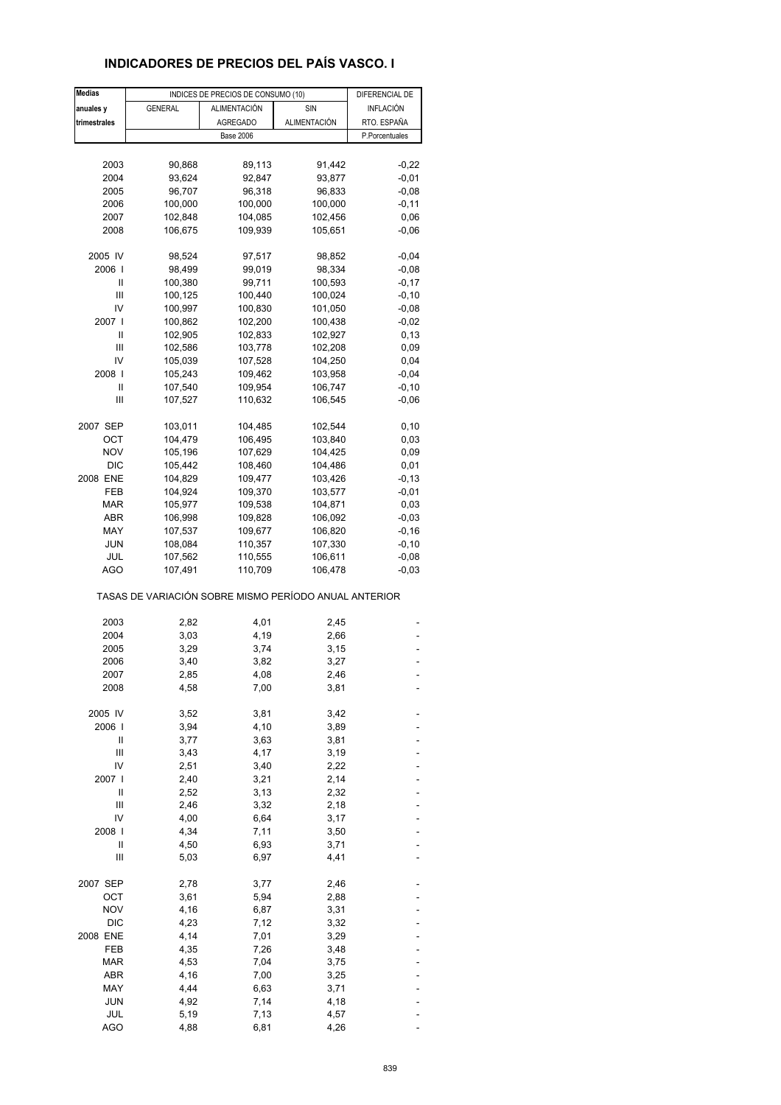## **INDICADORES DE PRECIOS DEL PAÍS VASCO. I**

| <b>Medias</b> |                                                       | INDICES DE PRECIOS DE CONSUMO (10) |              | DIFERENCIAL DE   |
|---------------|-------------------------------------------------------|------------------------------------|--------------|------------------|
| anuales y     | <b>GENERAL</b>                                        | ALIMENTACIÓN                       | SIN          | <b>INFLACIÓN</b> |
| trimestrales  |                                                       | <b>AGREGADO</b>                    | ALIMENTACIÓN | RTO. ESPAÑA      |
|               |                                                       | <b>Base 2006</b>                   |              | P.Porcentuales   |
|               |                                                       |                                    |              |                  |
|               |                                                       |                                    |              |                  |
| 2003          | 90,868                                                | 89,113                             | 91,442       | $-0,22$          |
| 2004          | 93,624                                                | 92,847                             | 93,877       | $-0,01$          |
| 2005          | 96,707                                                | 96,318                             | 96,833       | $-0,08$          |
| 2006          | 100,000                                               | 100,000                            | 100,000      | $-0,11$          |
| 2007          | 102,848                                               | 104,085                            | 102,456      | 0,06             |
| 2008          | 106,675                                               | 109,939                            | 105,651      | $-0,06$          |
|               |                                                       |                                    |              |                  |
| 2005 IV       | 98,524                                                | 97,517                             | 98,852       | $-0,04$          |
| 2006          | 98,499                                                | 99,019                             | 98,334       | $-0,08$          |
| Ш             | 100,380                                               | 99,711                             | 100,593      | $-0,17$          |
| Ш             | 100,125                                               | 100,440                            | 100,024      | $-0,10$          |
| IV            | 100,997                                               | 100,830                            | 101,050      | $-0,08$          |
| 2007 l        | 100,862                                               | 102,200                            | 100,438      | $-0,02$          |
| Ш             | 102,905                                               | 102,833                            | 102,927      | 0, 13            |
| Ш             | 102,586                                               | 103,778                            | 102,208      | 0,09             |
| IV            | 105,039                                               | 107,528                            | 104,250      | 0,04             |
| 2008          | 105,243                                               | 109,462                            | 103,958      | $-0.04$          |
| Ш             | 107,540                                               | 109,954                            | 106,747      | $-0, 10$         |
| Ш             | 107,527                                               | 110,632                            | 106,545      | $-0,06$          |
|               |                                                       |                                    |              |                  |
| 2007 SEP      | 103,011                                               | 104,485                            | 102,544      | 0,10             |
| ОСТ           | 104,479                                               | 106,495                            | 103,840      | 0,03             |
| <b>NOV</b>    | 105,196                                               | 107,629                            | 104,425      | 0,09             |
| <b>DIC</b>    | 105,442                                               | 108,460                            | 104,486      | 0,01             |
| 2008 ENE      | 104,829                                               | 109,477                            | 103,426      | $-0, 13$         |
| FEB           | 104,924                                               | 109,370                            | 103,577      | $-0,01$          |
| <b>MAR</b>    | 105,977                                               | 109,538                            | 104,871      | 0,03             |
| ABR           | 106,998                                               | 109,828                            | 106,092      | $-0,03$          |
| MAY           |                                                       |                                    | 106,820      | $-0,16$          |
|               | 107,537                                               | 109,677                            |              |                  |
| <b>JUN</b>    | 108,084                                               | 110,357                            | 107,330      | $-0, 10$         |
| JUL           | 107,562                                               | 110,555                            | 106,611      | $-0,08$          |
| <b>AGO</b>    | 107,491                                               | 110,709                            | 106,478      | $-0,03$          |
|               | TASAS DE VARIACIÓN SOBRE MISMO PERÍODO ANUAL ANTERIOR |                                    |              |                  |
| 2003          | 2,82                                                  | 4,01                               | 2,45         |                  |
|               |                                                       |                                    |              |                  |
| 2004          | 3,03                                                  | 4,19                               | 2,66         |                  |
| 2005          | 3,29                                                  | 3,74                               | 3,15         |                  |
| 2006          | 3,40                                                  | 3,82                               | 3,27         |                  |
| 2007          | 2,85                                                  | 4,08                               | 2,46         |                  |
| 2008          | 4,58                                                  | 7,00                               | 3,81         |                  |
| 2005 IV       | 3,52                                                  |                                    |              |                  |
|               |                                                       | 3,81                               | 3,42         |                  |
| 2006          | 3,94                                                  | 4,10                               | 3,89         |                  |
| Ш             | 3,77                                                  | 3,63                               | 3,81         |                  |
| Ш             | 3,43                                                  | 4,17                               | 3,19         |                  |
| IV            | 2,51                                                  | 3,40                               | 2,22         |                  |
| 2007 l        | 2,40                                                  | 3,21                               | 2,14         |                  |
| Ш             | 2,52                                                  | 3,13                               | 2,32         |                  |
| Ш             | 2,46                                                  | 3,32                               | 2,18         |                  |
| IV            | 4,00                                                  | 6,64                               | 3,17         |                  |
| 2008          | 4,34                                                  | 7,11                               | 3,50         |                  |
| Ш             | 4,50                                                  | 6,93                               | 3,71         |                  |
| Ш             | 5,03                                                  | 6,97                               | 4,41         |                  |
|               |                                                       |                                    |              |                  |
| 2007 SEP      | 2,78                                                  | 3,77                               | 2,46         |                  |
| ОСТ           | 3,61                                                  | 5,94                               | 2,88         |                  |
| <b>NOV</b>    | 4,16                                                  | 6,87                               | 3,31         |                  |
| <b>DIC</b>    | 4,23                                                  | 7,12                               | 3,32         |                  |
| 2008 ENE      | 4,14                                                  | 7,01                               | 3,29         |                  |
| FEB           | 4,35                                                  | 7,26                               | 3,48         |                  |
| <b>MAR</b>    | 4,53                                                  | 7,04                               | 3,75         |                  |
| ABR           | 4,16                                                  | 7,00                               | 3,25         |                  |
| MAY           | 4,44                                                  | 6,63                               | 3,71         |                  |
| <b>JUN</b>    | 4,92                                                  | 7,14                               | 4,18         |                  |
| JUL           |                                                       | 7,13                               |              |                  |
|               | 5,19                                                  |                                    | 4,57         |                  |
| <b>AGO</b>    | 4,88                                                  | 6,81                               | 4,26         |                  |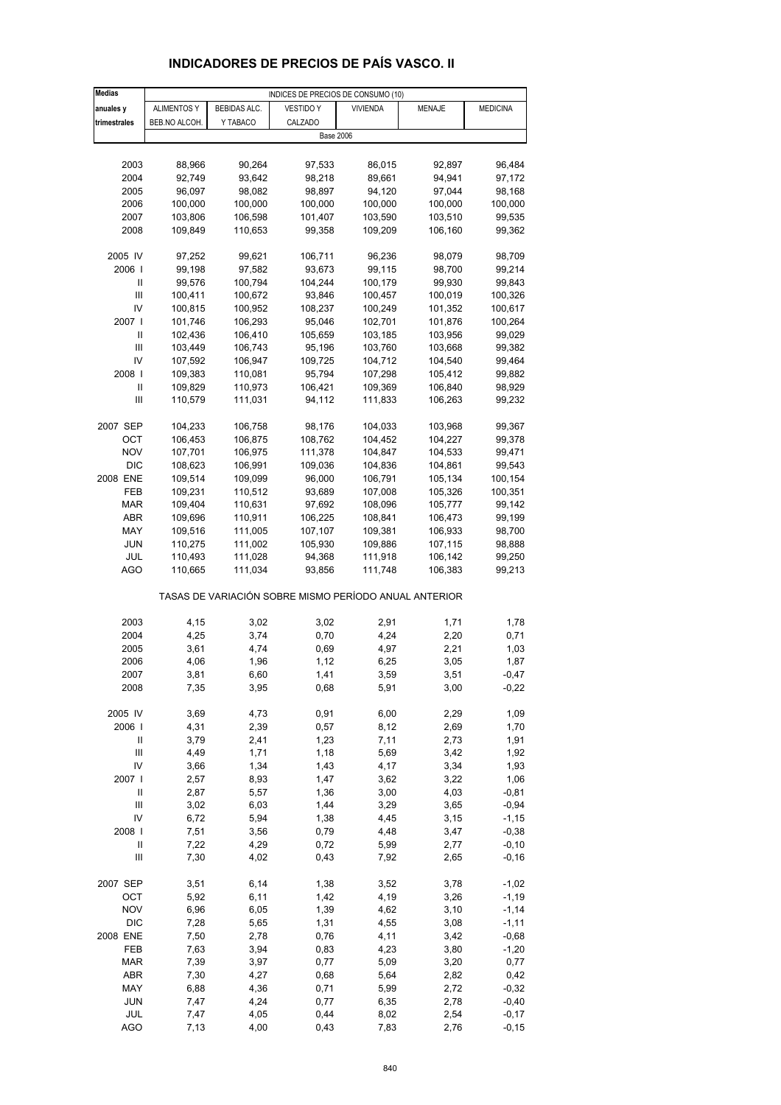| <b>Medias</b>              |                    |                  | INDICES DE PRECIOS DE CONSUMO (10)                    |                  |                  |                    |
|----------------------------|--------------------|------------------|-------------------------------------------------------|------------------|------------------|--------------------|
| anuales y                  | <b>ALIMENTOS Y</b> | BEBIDAS ALC.     | <b>VESTIDO Y</b>                                      | <b>VIVIENDA</b>  | MENAJE           | <b>MEDICINA</b>    |
| trimestrales               | BEB.NO ALCOH.      | Y TABACO         | CALZADO                                               |                  |                  |                    |
|                            |                    |                  |                                                       | <b>Base 2006</b> |                  |                    |
|                            |                    |                  |                                                       |                  |                  |                    |
| 2003                       | 88,966             | 90,264           | 97,533                                                | 86,015           | 92,897           | 96,484             |
| 2004                       | 92,749             | 93,642           | 98,218                                                | 89,661           | 94,941           | 97,172             |
| 2005                       | 96,097             | 98,082           | 98,897                                                | 94,120           | 97,044           | 98,168             |
| 2006                       | 100,000            | 100,000          | 100,000                                               | 100,000          | 100,000          | 100,000            |
| 2007                       | 103,806            | 106,598          | 101,407                                               | 103,590          | 103,510          | 99,535             |
| 2008                       | 109,849            | 110,653          | 99,358                                                | 109,209          | 106,160          | 99,362             |
|                            |                    |                  |                                                       |                  |                  |                    |
| 2005 IV<br>2006            | 97,252<br>99,198   | 99,621<br>97,582 | 106,711<br>93,673                                     | 96,236<br>99,115 | 98,079<br>98,700 | 98,709<br>99,214   |
| Ш                          | 99,576             | 100,794          | 104,244                                               | 100,179          | 99,930           | 99,843             |
| Ш                          | 100,411            | 100,672          | 93,846                                                | 100,457          | 100,019          | 100,326            |
| IV                         | 100,815            | 100,952          | 108,237                                               | 100,249          | 101,352          | 100,617            |
| 2007 l                     | 101,746            | 106,293          | 95,046                                                | 102,701          | 101,876          | 100,264            |
| Ш                          | 102,436            | 106,410          | 105,659                                               | 103,185          | 103,956          | 99,029             |
| Ш                          | 103,449            | 106,743          | 95,196                                                | 103,760          | 103,668          | 99,382             |
| IV                         | 107,592            | 106,947          | 109,725                                               | 104,712          | 104,540          | 99,464             |
| 2008                       | 109,383            | 110,081          | 95,794                                                | 107,298          | 105,412          | 99,882             |
| Ш                          | 109,829            | 110,973          | 106,421                                               | 109,369          | 106,840          | 98,929             |
| Ш                          | 110,579            | 111,031          | 94,112                                                | 111,833          | 106,263          | 99,232             |
| 2007 SEP                   | 104,233            | 106,758          | 98,176                                                | 104,033          | 103,968          | 99,367             |
| ОСТ                        | 106,453            | 106,875          | 108,762                                               | 104,452          | 104,227          | 99,378             |
| <b>NOV</b>                 | 107,701            | 106,975          | 111,378                                               | 104,847          | 104,533          | 99,471             |
| <b>DIC</b>                 | 108,623            | 106,991          | 109,036                                               | 104,836          | 104,861          | 99,543             |
| 2008 ENE                   | 109,514            | 109,099          | 96,000                                                | 106,791          | 105,134          | 100,154            |
| FEB                        | 109,231            | 110,512          | 93,689                                                | 107,008          | 105,326          | 100,351            |
| <b>MAR</b>                 | 109,404            | 110,631          | 97,692                                                | 108,096          | 105,777          | 99,142             |
| ABR                        | 109,696            | 110,911          | 106,225                                               | 108,841          | 106,473          | 99,199             |
| MAY                        | 109,516            | 111,005          | 107,107                                               | 109,381          | 106,933          | 98,700             |
| <b>JUN</b>                 | 110,275            | 111,002          | 105,930                                               | 109,886          | 107,115          | 98,888             |
| JUL                        | 110,493            | 111,028          | 94,368                                                | 111,918          | 106,142          | 99,250             |
| <b>AGO</b>                 | 110,665            | 111,034          | 93,856                                                | 111,748          | 106,383          | 99,213             |
|                            |                    |                  | TASAS DE VARIACIÓN SOBRE MISMO PERÍODO ANUAL ANTERIOR |                  |                  |                    |
| 2003                       | 4,15               | 3,02             | 3,02                                                  | 2,91             | 1,71             | 1,78               |
| 2004                       | 4,25               | 3,74             | 0,70                                                  | 4,24             | 2,20             | 0,71               |
| 2005                       | 3,61               | 4,74             | 0,69                                                  | 4,97             | 2,21             | 1,03               |
| 2006                       | 4,06               | 1,96             | 1,12                                                  | 6,25             | 3,05             | 1,87               |
| 2007                       | 3,81               | 6,60             | 1,41                                                  | 3,59             | 3,51             | $-0,47$            |
| 2008                       | 7,35               | 3,95             | 0,68                                                  | 5,91             | 3,00             | $-0,22$            |
|                            |                    |                  |                                                       |                  |                  |                    |
| 2005 IV                    | 3,69               | 4,73             | 0,91                                                  | 6,00             | 2,29             | 1,09               |
| 2006                       | 4,31               | 2,39             | 0,57                                                  | 8,12             | 2,69             | 1,70               |
| Ш                          | 3,79               | 2,41             | 1,23                                                  | 7,11             | 2,73             | 1,91               |
| Ш<br>IV                    | 4,49               | 1,71             | 1,18                                                  | 5,69             | 3,42             | 1,92<br>1,93       |
| 2007 l                     | 3,66<br>2,57       | 1,34<br>8,93     | 1,43<br>1,47                                          | 4,17<br>3,62     | 3,34<br>3,22     | 1,06               |
| Ш                          | 2,87               | 5,57             | 1,36                                                  | 3,00             | 4,03             | $-0,81$            |
| Ш                          | 3,02               | 6,03             | 1,44                                                  | 3,29             | 3,65             | $-0,94$            |
| IV                         | 6,72               | 5,94             | 1,38                                                  | 4,45             | 3,15             | $-1, 15$           |
| 2008                       | 7,51               | 3,56             | 0,79                                                  | 4,48             | 3,47             | $-0,38$            |
| $\ensuremath{\mathsf{II}}$ | 7,22               | 4,29             | 0,72                                                  | 5,99             | 2,77             | $-0, 10$           |
| Ш                          | 7,30               | 4,02             | 0,43                                                  | 7,92             | 2,65             | $-0,16$            |
| 2007 SEP                   | 3,51               | 6,14             | 1,38                                                  | 3,52             | 3,78             | $-1,02$            |
| OCT                        | 5,92               | 6, 11            | 1,42                                                  | 4,19             | 3,26             | $-1,19$            |
| <b>NOV</b>                 | 6,96               | 6,05             | 1,39                                                  | 4,62             | 3,10             | $-1,14$            |
| <b>DIC</b>                 | 7,28               | 5,65             | 1,31                                                  | 4,55             | 3,08             | $-1, 11$           |
| 2008 ENE                   | 7,50               | 2,78             | 0,76                                                  | 4,11             | 3,42             | $-0,68$            |
| FEB                        | 7,63               | 3,94             | 0,83                                                  | 4,23             | 3,80             | $-1,20$            |
| <b>MAR</b>                 | 7,39               | 3,97             | 0,77                                                  | 5,09             | 3,20             | 0,77               |
| ABR                        | 7,30               | 4,27             | 0,68                                                  | 5,64             | 2,82             | 0,42               |
| MAY                        | 6,88               | 4,36             | 0,71                                                  | 5,99             | 2,72             | $-0,32$            |
| <b>JUN</b><br>JUL          | 7,47               | 4,24<br>4,05     | 0,77                                                  | 6,35<br>8,02     | 2,78<br>2,54     | $-0,40$<br>$-0,17$ |
| <b>AGO</b>                 | 7,47<br>7,13       | 4,00             | 0,44<br>0,43                                          | 7,83             | 2,76             | $-0, 15$           |
|                            |                    |                  |                                                       |                  |                  |                    |

## **INDICADORES DE PRECIOS DE PAÍS VASCO. II**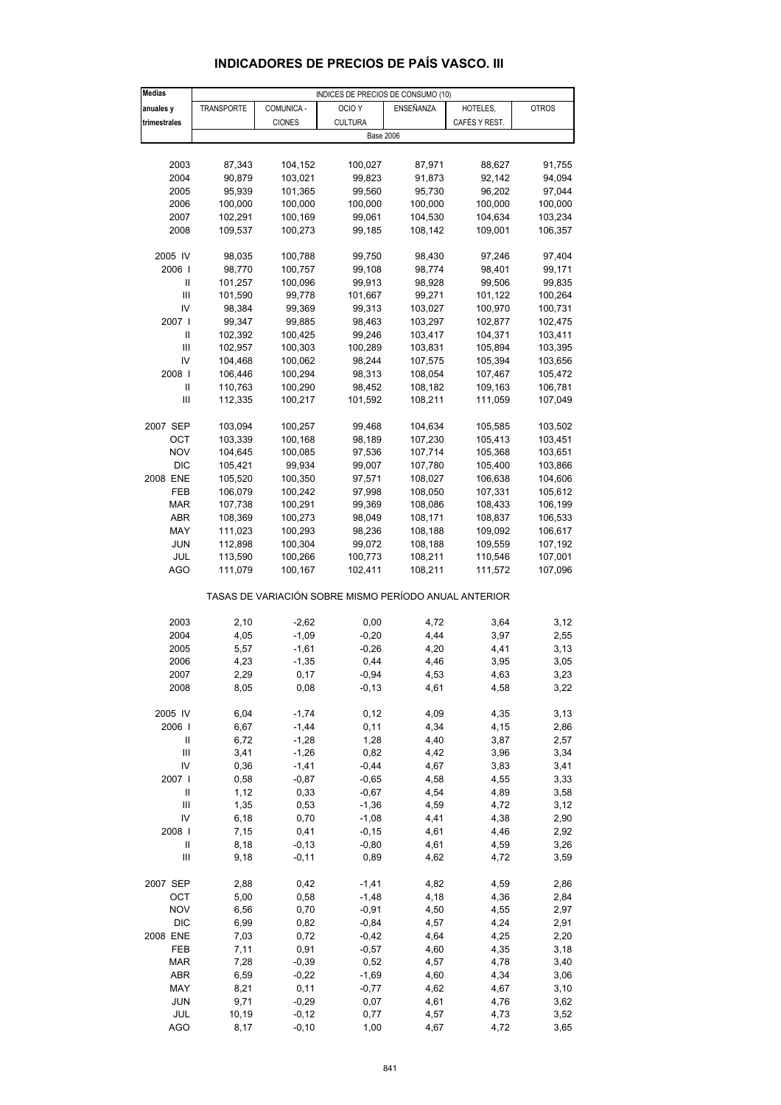| <b>Medias</b>  |            |               | INDICES DE PRECIOS DE CONSUMO (10)                    |           |               |              |
|----------------|------------|---------------|-------------------------------------------------------|-----------|---------------|--------------|
| anuales y      | TRANSPORTE | COMUNICA -    | OCIO <sub>Y</sub>                                     | ENSEÑANZA | HOTELES,      | <b>OTROS</b> |
| trimestrales   |            | <b>CIONES</b> | <b>CULTURA</b>                                        |           | CAFÉS Y REST. |              |
|                |            |               |                                                       |           |               |              |
|                |            |               | <b>Base 2006</b>                                      |           |               |              |
|                |            |               |                                                       |           |               |              |
| 2003           | 87,343     | 104,152       | 100,027                                               | 87,971    | 88,627        | 91,755       |
| 2004           | 90,879     | 103,021       | 99,823                                                | 91,873    | 92,142        | 94,094       |
| 2005           | 95,939     | 101,365       | 99,560                                                | 95,730    | 96,202        | 97,044       |
| 2006           | 100,000    | 100,000       | 100,000                                               | 100,000   | 100,000       | 100,000      |
| 2007           | 102,291    | 100,169       | 99,061                                                | 104,530   | 104,634       | 103,234      |
| 2008           | 109,537    | 100,273       | 99,185                                                | 108,142   | 109,001       | 106,357      |
|                |            |               |                                                       |           |               |              |
| 2005 IV        | 98,035     | 100,788       | 99,750                                                | 98,430    | 97,246        | 97,404       |
| 2006           | 98,770     | 100,757       | 99,108                                                | 98,774    | 98,401        | 99,171       |
| Ш              | 101,257    | 100,096       | 99,913                                                | 98,928    | 99,506        | 99,835       |
|                |            |               |                                                       |           |               |              |
| Ш              | 101,590    | 99,778        | 101,667                                               | 99,271    | 101,122       | 100,264      |
| IV             | 98,384     | 99,369        | 99,313                                                | 103,027   | 100,970       | 100,731      |
| 2007           | 99,347     | 99,885        | 98,463                                                | 103,297   | 102,877       | 102,475      |
| Ш              | 102,392    | 100,425       | 99,246                                                | 103,417   | 104,371       | 103,411      |
| $\mathbf{III}$ | 102,957    | 100,303       | 100,289                                               | 103,831   | 105,894       | 103,395      |
| IV             | 104,468    | 100,062       | 98,244                                                | 107,575   | 105,394       | 103,656      |
| 2008           | 106,446    | 100,294       | 98,313                                                | 108,054   | 107,467       | 105,472      |
| Ш              | 110,763    | 100,290       | 98,452                                                | 108,182   | 109,163       | 106,781      |
| Ш              | 112,335    | 100,217       | 101,592                                               | 108,211   | 111,059       | 107,049      |
|                |            |               |                                                       |           |               |              |
| 2007 SEP       | 103,094    | 100,257       | 99,468                                                | 104,634   | 105,585       | 103,502      |
|                |            |               |                                                       |           |               |              |
| OCT            | 103,339    | 100,168       | 98,189                                                | 107,230   | 105,413       | 103,451      |
| <b>NOV</b>     | 104,645    | 100,085       | 97,536                                                | 107,714   | 105,368       | 103,651      |
| DIC            | 105,421    | 99,934        | 99,007                                                | 107,780   | 105,400       | 103,866      |
| 2008 ENE       | 105,520    | 100,350       | 97,571                                                | 108,027   | 106,638       | 104,606      |
| FEB            | 106,079    | 100,242       | 97,998                                                | 108,050   | 107,331       | 105,612      |
| MAR            | 107,738    | 100,291       | 99,369                                                | 108,086   | 108,433       | 106,199      |
| ABR            | 108,369    | 100,273       | 98,049                                                | 108,171   | 108,837       | 106,533      |
| MAY            | 111,023    | 100,293       | 98,236                                                | 108,188   | 109,092       | 106,617      |
| <b>JUN</b>     | 112,898    | 100,304       | 99,072                                                | 108,188   | 109,559       | 107,192      |
| JUL            | 113,590    | 100,266       | 100,773                                               | 108,211   | 110,546       | 107,001      |
| <b>AGO</b>     | 111,079    | 100,167       | 102,411                                               | 108,211   | 111,572       | 107,096      |
|                |            |               |                                                       |           |               |              |
|                |            |               | TASAS DE VARIACIÓN SOBRE MISMO PERÍODO ANUAL ANTERIOR |           |               |              |
|                |            |               |                                                       |           |               |              |
| 2003           | 2,10       | $-2,62$       | 0,00                                                  | 4,72      | 3,64          | 3,12         |
|                |            |               | $-0,20$                                               |           |               |              |
| 2004           | 4,05       | $-1,09$       |                                                       | 4,44      | 3,97          | 2,55         |
| 2005           | 5,57       | $-1,61$       | $-0,26$                                               | 4,20      | 4,41          | 3,13         |
| 2006           | 4,23       | $-1,35$       | 0,44                                                  | 4,46      | 3,95          | 3,05         |
| 2007           | 2,29       | 0,17          | $-0,94$                                               | 4,53      | 4,63          | 3,23         |
| 2008           | 8,05       | 0,08          | $-0, 13$                                              | 4,61      | 4,58          | 3,22         |
|                |            |               |                                                       |           |               |              |
| 2005 IV        | 6,04       | $-1,74$       | 0,12                                                  | 4,09      | 4,35          | 3,13         |
| 2006           | 6,67       | $-1,44$       | 0,11                                                  | 4,34      | 4,15          | 2,86         |
| Ш              | 6,72       | $-1,28$       | 1,28                                                  | 4,40      | 3,87          | 2,57         |
| Ш              | 3,41       | $-1,26$       | 0,82                                                  | 4,42      | 3,96          | 3,34         |
| IV             | 0,36       | $-1,41$       | $-0,44$                                               | 4,67      | 3,83          | 3,41         |
| 2007 l         | 0,58       | $-0,87$       | $-0,65$                                               | 4,58      | 4,55          | 3,33         |
| Ш              | 1,12       | 0,33          | $-0,67$                                               | 4,54      | 4,89          | 3,58         |
|                |            |               |                                                       |           |               |              |
| Ш              | 1,35       | 0,53          | $-1,36$                                               | 4,59      | 4,72          | 3,12         |
| IV             | 6, 18      | 0,70          | $-1,08$                                               | 4,41      | 4,38          | 2,90         |
| 2008           | 7,15       | 0,41          | $-0,15$                                               | 4,61      | 4,46          | 2,92         |
| Ш              | 8,18       | $-0,13$       | $-0.80$                                               | 4,61      | 4,59          | 3,26         |
| Ш              | 9,18       | $-0,11$       | 0,89                                                  | 4,62      | 4,72          | 3,59         |
|                |            |               |                                                       |           |               |              |
| 2007 SEP       | 2,88       | 0,42          | $-1,41$                                               | 4,82      | 4,59          | 2,86         |
| OCT            | 5,00       | 0,58          | $-1,48$                                               | 4,18      | 4,36          | 2,84         |
| <b>NOV</b>     | 6,56       | 0,70          | $-0,91$                                               | 4,50      | 4,55          | 2,97         |
| DIC            | 6,99       | 0,82          | $-0,84$                                               | 4,57      | 4,24          | 2,91         |
| 2008 ENE       | 7,03       | 0,72          | $-0,42$                                               | 4,64      | 4,25          | 2,20         |
|                |            |               |                                                       |           |               |              |
| FEB            | 7,11       | 0,91          | $-0,57$                                               | 4,60      | 4,35          | 3,18         |
| MAR            | 7,28       | $-0,39$       | 0,52                                                  | 4,57      | 4,78          | 3,40         |
| ABR            | 6,59       | $-0,22$       | $-1,69$                                               | 4,60      | 4,34          | 3,06         |
| MAY            | 8,21       | 0,11          | $-0,77$                                               | 4,62      | 4,67          | 3,10         |
| JUN            | 9,71       | $-0,29$       | 0,07                                                  | 4,61      | 4,76          | 3,62         |

### **INDICADORES DE PRECIOS DE PAÍS VASCO. III**

 JUL 10,19 -0,12 0,77 4,57 4,73 3,52 AGO 8,17 -0,10 1,00 4,67 4,72 3,65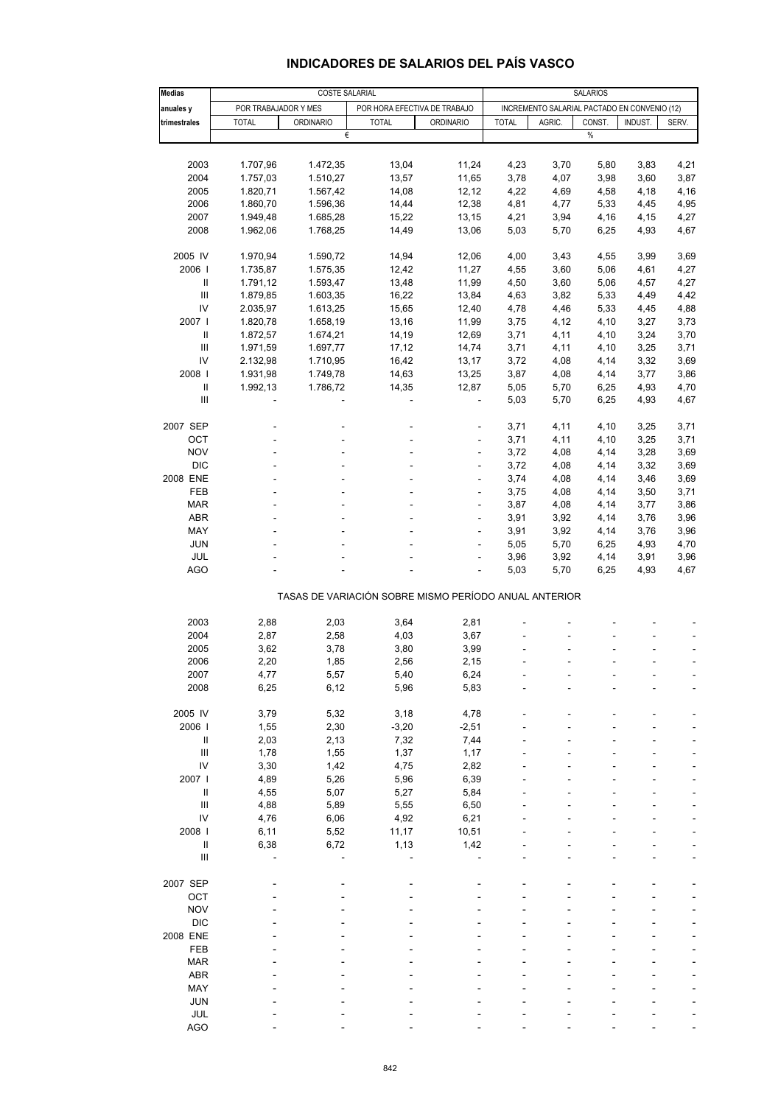## **INDICADORES DE SALARIOS DEL PAÍS VASCO**

| <b>Medias</b>                      | COSTE SALARIAL       |                                                       |                              |                                              |              | <b>SALARIOS</b> |        |         |       |  |  |
|------------------------------------|----------------------|-------------------------------------------------------|------------------------------|----------------------------------------------|--------------|-----------------|--------|---------|-------|--|--|
| anuales y                          | POR TRABAJADOR Y MES |                                                       | POR HORA EFECTIVA DE TRABAJO | INCREMENTO SALARIAL PACTADO EN CONVENIO (12) |              |                 |        |         |       |  |  |
| trimestrales                       | <b>TOTAL</b>         | <b>ORDINARIO</b>                                      | <b>TOTAL</b>                 | ORDINARIO                                    | <b>TOTAL</b> | AGRIC.          | CONST. | INDUST. | SERV. |  |  |
|                                    |                      | €                                                     |                              |                                              |              |                 | $\%$   |         |       |  |  |
|                                    |                      |                                                       |                              |                                              |              |                 |        |         |       |  |  |
| 2003                               | 1.707,96             | 1.472,35                                              | 13,04                        | 11,24                                        | 4,23         | 3,70            | 5,80   | 3,83    | 4,21  |  |  |
| 2004                               | 1.757,03             | 1.510,27                                              | 13,57                        | 11,65                                        | 3,78         | 4,07            | 3,98   | 3,60    | 3,87  |  |  |
| 2005                               | 1.820,71             | 1.567,42                                              | 14,08                        | 12,12                                        | 4,22         | 4,69            | 4,58   | 4,18    | 4,16  |  |  |
| 2006                               | 1.860,70             | 1.596,36                                              | 14,44                        | 12,38                                        | 4,81         | 4,77            |        | 4,45    | 4,95  |  |  |
|                                    |                      |                                                       |                              |                                              |              |                 | 5,33   |         |       |  |  |
| 2007                               | 1.949,48             | 1.685,28                                              | 15,22                        | 13,15                                        | 4,21         | 3,94            | 4,16   | 4,15    | 4,27  |  |  |
| 2008                               | 1.962,06             | 1.768,25                                              | 14,49                        | 13,06                                        | 5,03         | 5,70            | 6,25   | 4,93    | 4,67  |  |  |
| 2005 IV                            | 1.970,94             | 1.590,72                                              | 14,94                        | 12,06                                        | 4,00         | 3,43            | 4,55   | 3,99    | 3,69  |  |  |
| 2006                               | 1.735,87             | 1.575,35                                              | 12,42                        | 11,27                                        | 4,55         | 3,60            | 5,06   | 4,61    | 4,27  |  |  |
| $\ensuremath{\mathsf{II}}$         | 1.791,12             | 1.593,47                                              | 13,48                        | 11,99                                        | 4,50         | 3,60            | 5,06   | 4,57    | 4,27  |  |  |
|                                    |                      |                                                       |                              |                                              |              |                 |        |         |       |  |  |
| $\ensuremath{\mathsf{III}}\xspace$ | 1.879,85             | 1.603,35                                              | 16,22                        | 13,84                                        | 4,63         | 3,82            | 5,33   | 4,49    | 4,42  |  |  |
| IV                                 | 2.035,97             | 1.613,25                                              | 15,65                        | 12,40                                        | 4,78         | 4,46            | 5,33   | 4,45    | 4,88  |  |  |
| 2007                               | 1.820,78             | 1.658,19                                              | 13,16                        | 11,99                                        | 3,75         | 4,12            | 4,10   | 3,27    | 3,73  |  |  |
| $\ensuremath{\mathsf{II}}$         | 1.872,57             | 1.674,21                                              | 14,19                        | 12,69                                        | 3,71         | 4,11            | 4,10   | 3,24    | 3,70  |  |  |
| Ш                                  | 1.971,59             | 1.697,77                                              | 17,12                        | 14,74                                        | 3,71         | 4,11            | 4,10   | 3,25    | 3,71  |  |  |
| IV                                 | 2.132,98             | 1.710,95                                              | 16,42                        | 13,17                                        | 3,72         | 4,08            | 4,14   | 3,32    | 3,69  |  |  |
| 2008                               | 1.931,98             | 1.749,78                                              | 14,63                        | 13,25                                        | 3,87         | 4,08            | 4,14   | 3,77    | 3,86  |  |  |
| Ш                                  | 1.992,13             | 1.786,72                                              | 14,35                        | 12,87                                        | 5,05         | 5,70            | 6,25   | 4,93    | 4,70  |  |  |
| $\ensuremath{\mathsf{III}}\xspace$ |                      |                                                       | ÷,                           |                                              | 5,03         | 5,70            | 6,25   | 4,93    | 4,67  |  |  |
|                                    |                      |                                                       |                              |                                              |              |                 |        |         |       |  |  |
| 2007 SEP                           |                      |                                                       |                              |                                              | 3,71         | 4,11            | 4,10   | 3,25    | 3,71  |  |  |
| OCT                                |                      |                                                       | ä,                           |                                              | 3,71         | 4,11            | 4,10   | 3,25    | 3,71  |  |  |
| <b>NOV</b>                         |                      |                                                       | ÷,                           | $\overline{a}$                               | 3,72         | 4,08            | 4,14   | 3,28    | 3,69  |  |  |
| <b>DIC</b>                         |                      |                                                       | ÷                            | ÷,                                           | 3,72         | 4,08            | 4,14   | 3,32    | 3,69  |  |  |
| 2008 ENE                           |                      |                                                       | ä,                           |                                              | 3,74         | 4,08            | 4,14   | 3,46    | 3,69  |  |  |
| FEB                                |                      |                                                       | ÷,                           | ÷,                                           | 3,75         | 4,08            | 4,14   | 3,50    | 3,71  |  |  |
| <b>MAR</b>                         |                      |                                                       | ä,                           | ÷,                                           | 3,87         | 4,08            | 4,14   | 3,77    | 3,86  |  |  |
| <b>ABR</b>                         |                      |                                                       | ÷,                           |                                              | 3,91         | 3,92            | 4,14   | 3,76    | 3,96  |  |  |
| MAY                                |                      |                                                       | ÷,                           | ÷,                                           | 3,91         | 3,92            | 4,14   | 3,76    | 3,96  |  |  |
| <b>JUN</b>                         |                      |                                                       |                              | ÷,                                           | 5,05         | 5,70            | 6,25   | 4,93    | 4,70  |  |  |
| <b>JUL</b>                         |                      |                                                       |                              | L,                                           | 3,96         | 3,92            | 4,14   | 3,91    | 3,96  |  |  |
| <b>AGO</b>                         |                      |                                                       |                              | $\frac{1}{2}$                                | 5,03         | 5,70            | 6,25   | 4,93    | 4,67  |  |  |
|                                    |                      |                                                       |                              |                                              |              |                 |        |         |       |  |  |
|                                    |                      | TASAS DE VARIACIÓN SOBRE MISMO PERÍODO ANUAL ANTERIOR |                              |                                              |              |                 |        |         |       |  |  |
| 2003                               | 2,88                 | 2,03                                                  | 3,64                         | 2,81                                         |              |                 |        |         |       |  |  |
| 2004                               | 2,87                 | 2,58                                                  | 4,03                         | 3,67                                         |              |                 |        |         |       |  |  |
| 2005                               | 3,62                 | 3,78                                                  | 3,80                         | 3,99                                         |              |                 |        |         | ÷,    |  |  |
| 2006                               | 2,20                 | 1,85                                                  | 2,56                         | 2,15                                         |              |                 |        |         |       |  |  |
| 2007                               | 4,77                 | 5,57                                                  | 5,40                         | 6,24                                         |              |                 |        |         |       |  |  |
| 2008                               | 6,25                 | 6,12                                                  | 5,96                         | 5,83                                         |              |                 |        |         |       |  |  |
|                                    |                      |                                                       |                              |                                              |              |                 |        |         |       |  |  |
| 2005 IV                            | 3,79                 | 5,32                                                  | 3,18                         | 4,78                                         |              |                 |        |         |       |  |  |
| 2006                               | 1,55                 | 2,30                                                  | $-3,20$                      | $-2,51$                                      |              |                 |        |         |       |  |  |
| $\, \parallel$                     | 2,03                 | 2,13                                                  | 7,32                         | 7,44                                         |              |                 |        |         |       |  |  |
| $\ensuremath{\mathsf{III}}\xspace$ | 1,78                 | 1,55                                                  | 1,37                         | 1,17                                         |              |                 |        |         |       |  |  |
| IV                                 | 3,30                 | 1,42                                                  | 4,75                         | 2,82                                         |              |                 |        |         |       |  |  |
| 2007 l                             | 4,89                 | 5,26                                                  | 5,96                         | 6,39                                         |              |                 |        |         |       |  |  |
| Ш                                  | 4,55                 | 5,07                                                  | 5,27                         | 5,84                                         |              |                 |        |         |       |  |  |
| $\ensuremath{\mathsf{III}}\xspace$ | 4,88                 | 5,89                                                  | 5,55                         | 6,50                                         |              |                 |        |         |       |  |  |
| IV                                 |                      |                                                       |                              |                                              |              |                 |        |         |       |  |  |
|                                    | 4,76                 | 6,06                                                  | 4,92                         | 6,21                                         |              |                 |        |         |       |  |  |
| 2008                               | 6,11                 | 5,52                                                  | 11,17                        | 10,51                                        |              |                 |        |         |       |  |  |
| $\sf II$                           | 6,38                 | 6,72                                                  | 1,13                         | 1,42                                         |              |                 |        |         |       |  |  |
| $\ensuremath{\mathsf{III}}\xspace$ |                      |                                                       |                              |                                              |              |                 |        |         |       |  |  |
| 2007 SEP                           |                      |                                                       |                              |                                              |              |                 |        |         |       |  |  |
| OCT                                |                      |                                                       |                              |                                              |              |                 |        |         |       |  |  |
| <b>NOV</b>                         |                      |                                                       |                              |                                              |              |                 |        |         |       |  |  |
| <b>DIC</b>                         |                      |                                                       |                              |                                              |              |                 |        |         |       |  |  |
|                                    |                      |                                                       |                              |                                              |              |                 |        |         |       |  |  |
| 2008 ENE                           |                      |                                                       |                              |                                              |              |                 |        |         |       |  |  |
| FEB                                |                      |                                                       |                              |                                              |              |                 |        |         |       |  |  |
| <b>MAR</b>                         |                      |                                                       |                              |                                              |              |                 |        |         |       |  |  |
| ABR                                |                      |                                                       |                              |                                              |              |                 |        |         |       |  |  |
| MAY                                |                      |                                                       |                              |                                              |              |                 |        |         |       |  |  |
| <b>JUN</b>                         |                      |                                                       |                              |                                              |              |                 |        |         |       |  |  |
| JUL                                |                      |                                                       |                              |                                              |              |                 |        |         |       |  |  |
| <b>AGO</b>                         |                      |                                                       |                              |                                              |              |                 |        |         |       |  |  |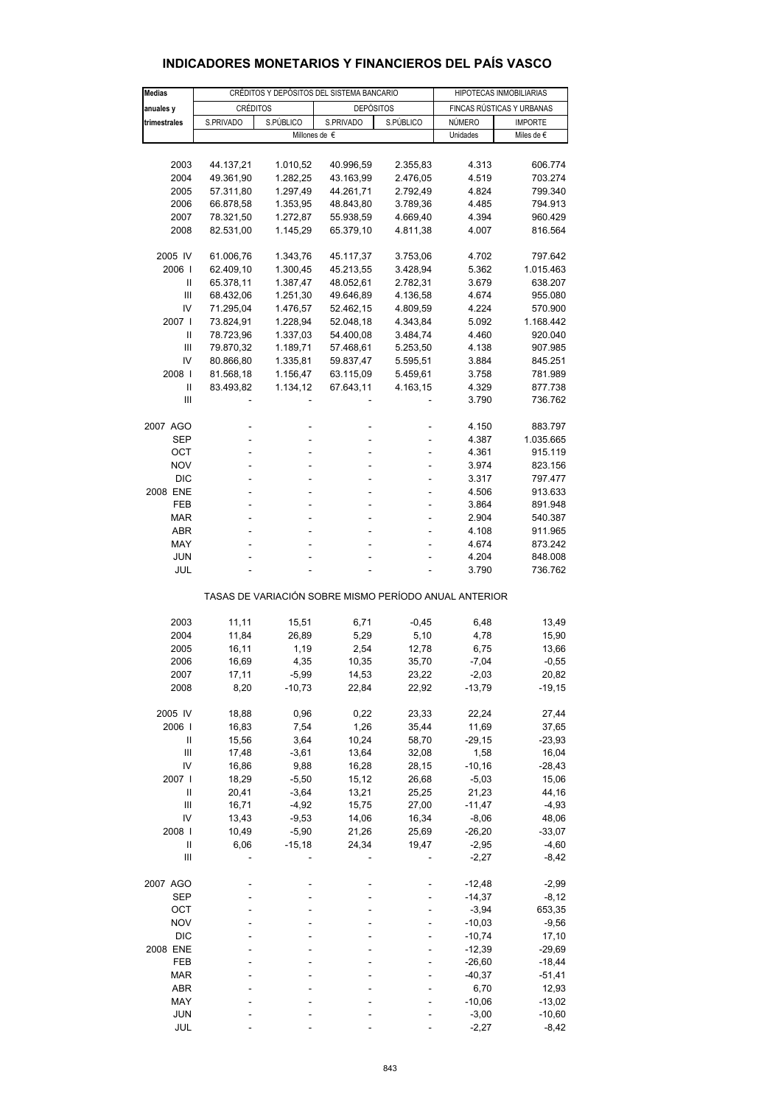| <b>Medias</b>                                         |                        | CRÉDITOS Y DEPÓSITOS DEL SISTEMA BANCARIO | HIPOTECAS INMOBILIARIAS |                      |                           |                      |  |  |
|-------------------------------------------------------|------------------------|-------------------------------------------|-------------------------|----------------------|---------------------------|----------------------|--|--|
| anuales y                                             | CRÉDITOS               |                                           | <b>DEPÓSITOS</b>        |                      | FINCAS RÚSTICAS Y URBANAS |                      |  |  |
| trimestrales                                          | S.PRIVADO              |                                           | S.PÚBLICO<br>S.PRIVADO  |                      | NÚMERO                    | <b>IMPORTE</b>       |  |  |
|                                                       |                        |                                           | Millones de €           |                      | Unidades                  | Miles de €           |  |  |
|                                                       |                        |                                           |                         |                      |                           |                      |  |  |
| 2003                                                  | 44.137,21              | 1.010,52                                  | 40.996,59               | 2.355,83             | 4.313                     | 606.774              |  |  |
| 2004                                                  | 49.361,90              | 1.282,25                                  | 43.163,99               | 2.476,05             | 4.519                     | 703.274              |  |  |
| 2005                                                  | 57.311,80              | 1.297,49                                  | 44.261,71               | 2.792,49             | 4.824                     | 799.340              |  |  |
| 2006                                                  | 66.878,58              | 1.353,95                                  | 48.843,80               | 3.789,36             | 4.485                     | 794.913              |  |  |
| 2007                                                  | 78.321,50              | 1.272,87                                  | 55.938,59               | 4.669,40             | 4.394                     | 960.429              |  |  |
| 2008                                                  | 82.531,00              | 1.145,29                                  | 65.379,10               | 4.811,38             | 4.007                     | 816.564              |  |  |
|                                                       |                        |                                           |                         |                      |                           |                      |  |  |
| 2005 IV<br>2006                                       | 61.006,76<br>62.409,10 | 1.343,76<br>1.300,45                      | 45.117,37<br>45.213,55  | 3.753,06<br>3.428,94 | 4.702<br>5.362            | 797.642<br>1.015.463 |  |  |
| Ш                                                     | 65.378,11              | 1.387,47                                  | 48.052,61               | 2.782,31             | 3.679                     | 638.207              |  |  |
| Ш                                                     | 68.432,06              | 1.251,30                                  | 49.646,89               | 4.136,58             | 4.674                     | 955.080              |  |  |
| IV                                                    | 71.295,04              | 1.476,57                                  | 52.462,15               | 4.809,59             | 4.224                     | 570.900              |  |  |
| 2007 l                                                | 73.824,91              | 1.228,94                                  | 52.048,18               | 4.343,84             | 5.092                     | 1.168.442            |  |  |
| Ш                                                     | 78.723,96              | 1.337,03                                  | 54.400,08               | 3.484,74             | 4.460                     | 920.040              |  |  |
| Ш                                                     | 79.870,32              | 1.189,71                                  | 57.468,61               | 5.253,50             | 4.138                     | 907.985              |  |  |
| IV                                                    | 80.866,80              | 1.335,81                                  | 59.837,47               | 5.595,51             | 3.884                     | 845.251              |  |  |
| 2008                                                  | 81.568,18              | 1.156,47                                  | 63.115,09               | 5.459,61             | 3.758                     | 781.989              |  |  |
| $\mathbf{I}$                                          | 83.493,82              | 1.134,12                                  | 67.643,11               | 4.163,15             | 4.329                     | 877.738              |  |  |
| Ш                                                     |                        |                                           |                         |                      | 3.790                     | 736.762              |  |  |
|                                                       |                        |                                           |                         |                      |                           |                      |  |  |
| 2007 AGO                                              |                        |                                           |                         |                      | 4.150                     | 883.797              |  |  |
| SEP                                                   | ä,                     |                                           | L,                      | ÷,                   | 4.387                     | 1.035.665            |  |  |
| OCT<br><b>NOV</b>                                     | ٠                      | ٠                                         | ٠                       | ÷                    | 4.361<br>3.974            | 915.119<br>823.156   |  |  |
| <b>DIC</b>                                            | ÷.                     |                                           |                         | ä,                   | 3.317                     | 797.477              |  |  |
| 2008 ENE                                              |                        |                                           |                         |                      | 4.506                     | 913.633              |  |  |
| <b>FEB</b>                                            | ٠                      | ٠                                         | ÷,                      | ÷                    | 3.864                     | 891.948              |  |  |
| <b>MAR</b>                                            | ä,                     |                                           |                         | ÷,                   | 2.904                     | 540.387              |  |  |
| ABR                                                   |                        |                                           |                         |                      | 4.108                     | 911.965              |  |  |
| MAY                                                   | ٠                      | ٠                                         | ٠                       | ÷,                   | 4.674                     | 873.242              |  |  |
| JUN                                                   |                        |                                           |                         |                      | 4.204                     | 848.008              |  |  |
| JUL                                                   |                        |                                           |                         |                      | 3.790                     | 736.762              |  |  |
| TASAS DE VARIACIÓN SOBRE MISMO PERÍODO ANUAL ANTERIOR |                        |                                           |                         |                      |                           |                      |  |  |
|                                                       |                        |                                           |                         |                      |                           |                      |  |  |
| 2003                                                  | 11,11                  | 15,51                                     | 6,71                    | $-0,45$              | 6,48                      | 13,49                |  |  |
| 2004<br>2005                                          | 11,84                  | 26,89                                     | 5,29                    | 5,10                 | 4,78                      | 15,90<br>13,66       |  |  |
| 2006                                                  | 16,11<br>16,69         | 1,19<br>4,35                              | 2,54<br>10,35           | 12,78<br>35,70       | 6,75<br>$-7,04$           | $-0,55$              |  |  |
| 2007                                                  | 17,11                  | -5,99                                     | 14,53                   | 23,22                | -2,03                     | 20,82                |  |  |
| 2008                                                  | 8,20                   | $-10,73$                                  | 22,84                   | 22,92                | $-13,79$                  | $-19,15$             |  |  |
|                                                       |                        |                                           |                         |                      |                           |                      |  |  |
| 2005 IV                                               | 18,88                  | 0,96                                      | 0,22                    | 23,33                | 22,24                     | 27,44                |  |  |
| 2006                                                  | 16,83                  | 7,54                                      | 1,26                    | 35,44                | 11,69                     | 37,65                |  |  |
| Ш                                                     | 15,56                  | 3,64                                      | 10,24                   | 58,70                | $-29,15$                  | $-23,93$             |  |  |
| $\mathbf{III}$                                        | 17,48                  | $-3,61$                                   | 13,64                   | 32,08                | 1,58                      | 16,04                |  |  |
| IV                                                    | 16,86                  | 9,88                                      | 16,28                   | 28,15                | $-10,16$                  | $-28,43$             |  |  |
| 2007 l                                                | 18,29                  | $-5,50$                                   | 15,12                   | 26,68                | $-5,03$                   | 15,06                |  |  |
| Ш                                                     | 20,41                  | $-3,64$                                   | 13,21                   | 25,25                | 21,23                     | 44,16                |  |  |
| Ш                                                     | 16,71                  | $-4,92$                                   | 15,75                   | 27,00                | $-11,47$                  | $-4,93$              |  |  |
| IV                                                    | 13,43                  | $-9,53$                                   | 14,06                   | 16,34                | $-8,06$                   | 48,06                |  |  |
| 2008  <br>$\begin{array}{c} \hline \end{array}$       | 10,49<br>6,06          | $-5,90$<br>$-15,18$                       | 21,26<br>24,34          | 25,69<br>19,47       | $-26,20$<br>$-2,95$       | $-33,07$<br>$-4,60$  |  |  |
| Ш                                                     |                        |                                           |                         |                      | $-2,27$                   | $-8,42$              |  |  |
|                                                       |                        |                                           |                         |                      |                           |                      |  |  |
| 2007 AGO                                              |                        |                                           |                         |                      | $-12,48$                  | $-2,99$              |  |  |
| <b>SEP</b>                                            |                        |                                           |                         |                      | $-14,37$                  | $-8,12$              |  |  |
| OCT                                                   |                        |                                           |                         |                      | $-3,94$                   | 653,35               |  |  |
| <b>NOV</b>                                            |                        |                                           |                         |                      | $-10,03$                  | $-9,56$              |  |  |
| <b>DIC</b>                                            |                        |                                           |                         |                      | $-10,74$                  | 17,10                |  |  |
| 2008 ENE                                              |                        |                                           |                         |                      | $-12,39$                  | $-29,69$             |  |  |
| FEB                                                   |                        |                                           |                         |                      | $-26,60$                  | $-18,44$             |  |  |
| MAR                                                   |                        |                                           |                         |                      | $-40,37$                  | $-51,41$<br>12,93    |  |  |
| ABR<br>MAY                                            |                        |                                           |                         |                      | 6,70<br>$-10,06$          | $-13,02$             |  |  |
| <b>JUN</b>                                            |                        |                                           |                         |                      | $-3,00$                   | $-10,60$             |  |  |
| JUL                                                   |                        |                                           |                         |                      | $-2,27$                   | $-8,42$              |  |  |

## **INDICADORES MONETARIOS Y FINANCIEROS DEL PAÍS VASCO**